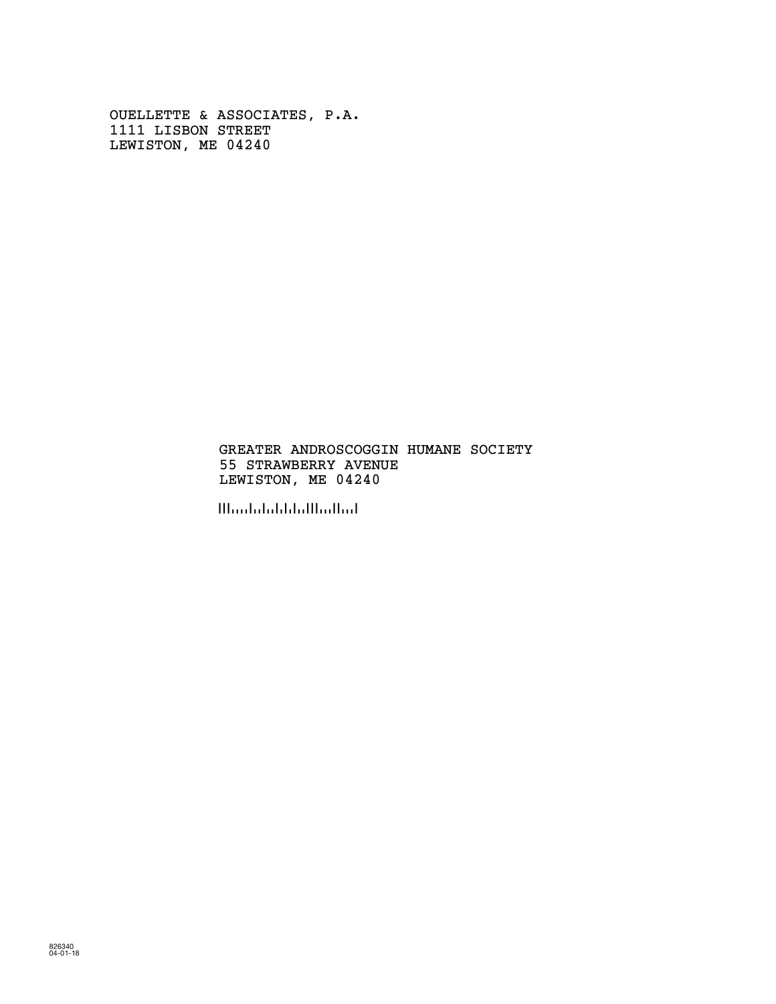OUELLETTE & ASSOCIATES, P.A. 1111 LISBON STREET LEWISTON, ME 04240

#### GREATER ANDROSCOGGIN HUMANE SOCIETY 55 STRAWBERRY AVENUE LEWISTON, ME 04240

!042400!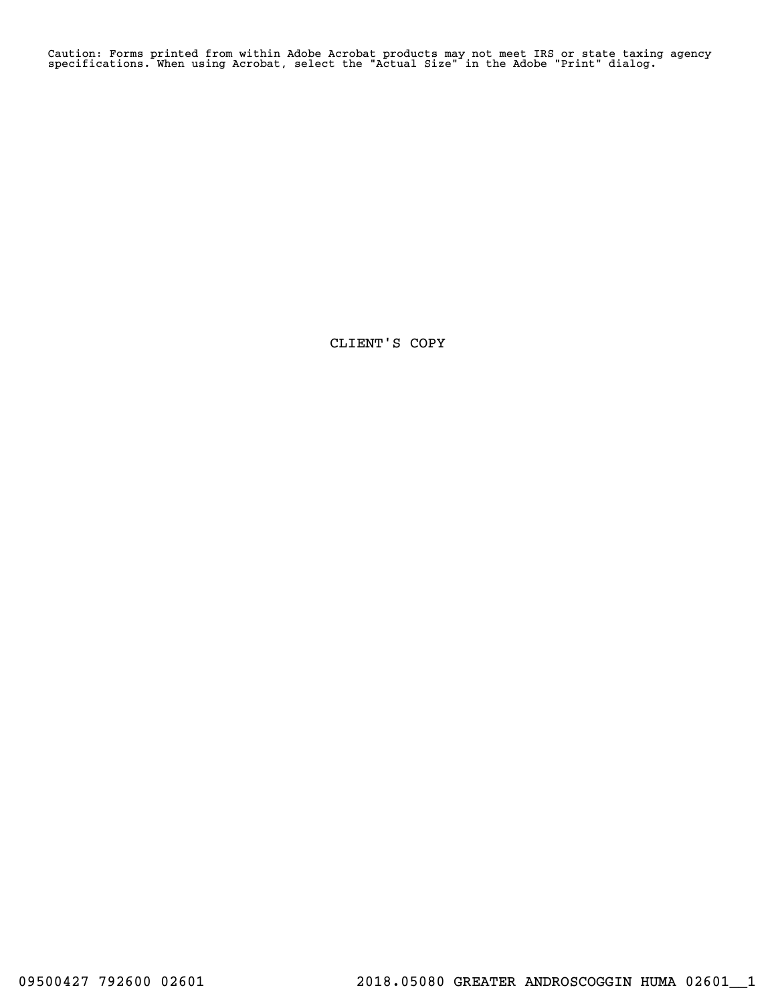Caution: Forms printed from within Adobe Acrobat products may not meet IRS or state taxing agency specifications. When using Acrobat, select the "Actual Size" in the Adobe "Print" dialog.

CLIENT'S COPY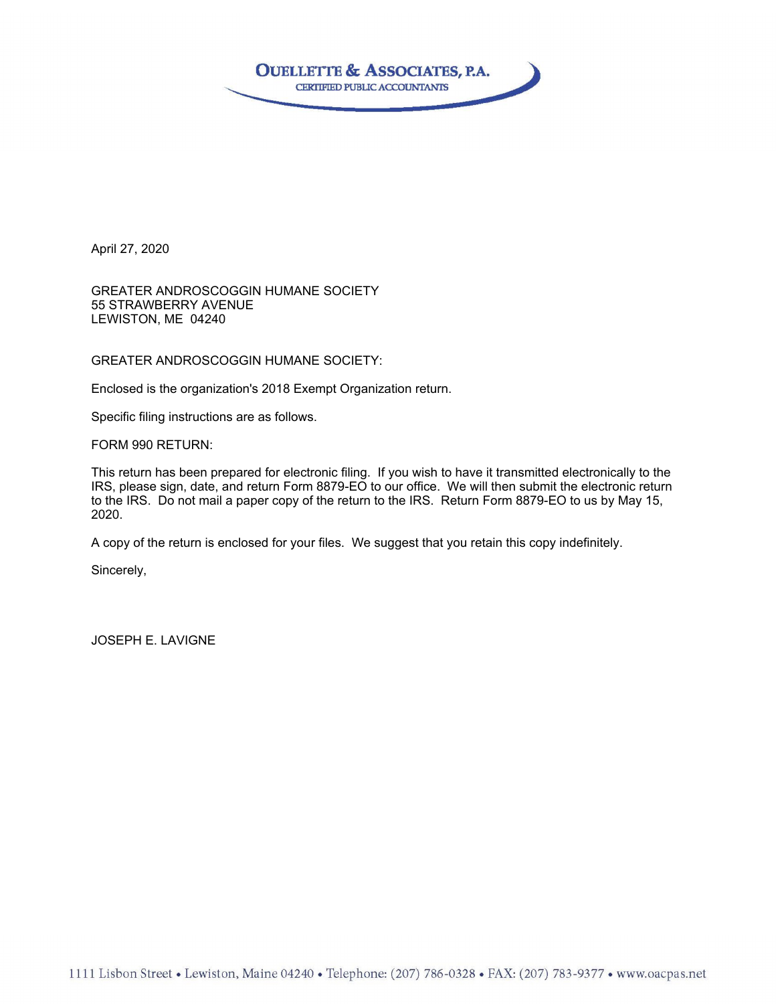

April 27, 2020

GREATER ANDROSCOGGIN HUMANE SOCIETY 55 STRAWBERRY AVENUE LEWISTON, ME 04240

GREATER ANDROSCOGGIN HUMANE SOCIETY:

Enclosed is the organization's 2018 Exempt Organization return.

Specific filing instructions are as follows.

FORM 990 RETURN:

This return has been prepared for electronic filing. If you wish to have it transmitted electronically to the IRS, please sign, date, and return Form 8879-EO to our office. We will then submit the electronic return to the IRS. Do not mail a paper copy of the return to the IRS. Return Form 8879-EO to us by May 15, 2020.

A copy of the return is enclosed for your files. We suggest that you retain this copy indefinitely.

Sincerely,

JOSEPH E. LAVIGNE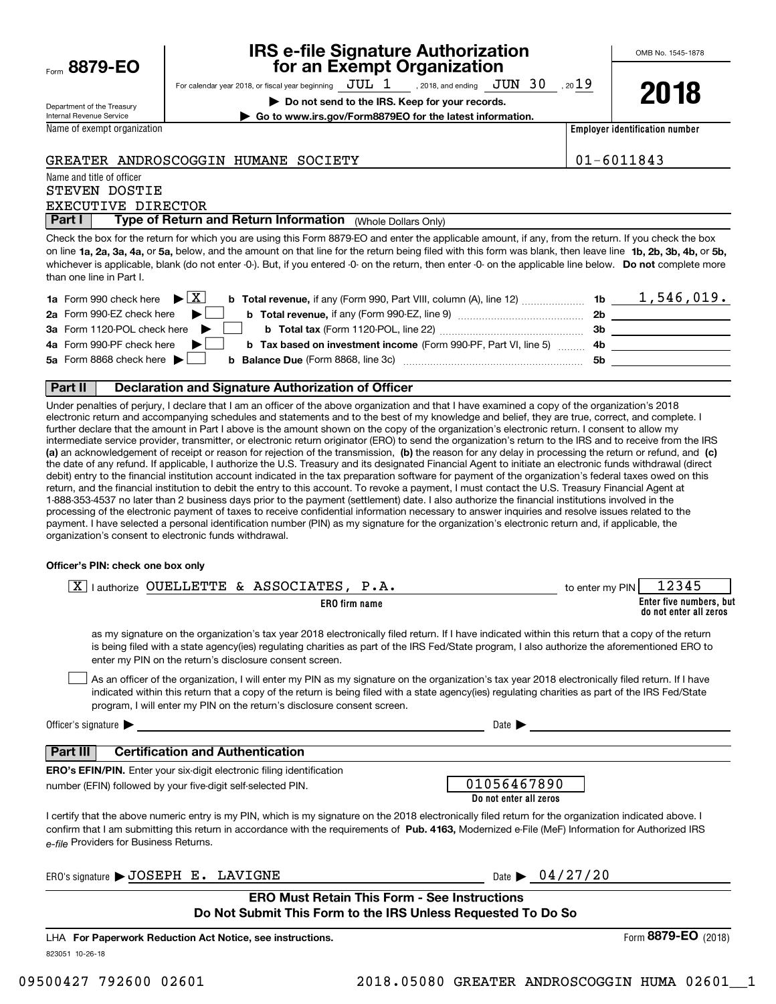| Form 8879-EO |  |
|--------------|--|
|              |  |

### **IRS e-file Signature Authorization for an Exempt Organization**

For calendar year 2018, or fiscal year beginning  $\rm\,JUL~$   $1$   $\rm\,$  , 2018, and ending  $\rm\,JUN~$   $30$   $\rm\,$  , 20 $19$ 

**| Do not send to the IRS. Keep for your records.**

| 20 | 10<br>۰<br>I O<br>J |
|----|---------------------|
|----|---------------------|

Department of the Treasury Internal Revenue Service

Name of exempt organization

**| Go to www.irs.gov/Form8879EO for the latest information.**

**Employer identification number**

#### GREATER ANDROSCOGGIN HUMANE SOCIETY 01-6011843

Name and title of officer STEVEN DOSTIE

EXECUTIVE DIRECTOR

**Part I** | Type of Return and Return Information (Whole Dollars Only)

on line **1a, 2a, 3a, 4a,** or **5a,** below, and the amount on that line for the return being filed with this form was blank, then leave line **1b, 2b, 3b, 4b,** or **5b,** whichever is applicable, blank (do not enter -0-). But, if you entered -0- on the return, then enter -0- on the applicable line below. **Do not** complete more Check the box for the return for which you are using this Form 8879-EO and enter the applicable amount, if any, from the return. If you check the box than one line in Part I.

| <b>1a</b> Form 990 check here $\blacktriangleright \begin{bmatrix} X \end{bmatrix}$                                          |     | 1,546,019. |
|------------------------------------------------------------------------------------------------------------------------------|-----|------------|
| 2a Form 990-EZ check here $\blacktriangleright$<br><b>b</b> Total revenue, if any (Form 990-EZ, line 9) <i></i>              | 2b  |            |
| 3a Form 1120-POL check here $\blacktriangleright$                                                                            | 3b. |            |
| 4a Form 990-PF check here $\blacktriangleright$<br><b>b</b> Tax based on investment income (Form 990-PF, Part VI, line 5) 4b |     |            |
| 5a Form 8868 check here $\blacktriangleright$                                                                                | .5b |            |
|                                                                                                                              |     |            |

#### **Part II Declaration and Signature Authorization of Officer**

**(a)** an acknowledgement of receipt or reason for rejection of the transmission, (b) the reason for any delay in processing the return or refund, and (c) Under penalties of perjury, I declare that I am an officer of the above organization and that I have examined a copy of the organization's 2018 electronic return and accompanying schedules and statements and to the best of my knowledge and belief, they are true, correct, and complete. I further declare that the amount in Part I above is the amount shown on the copy of the organization's electronic return. I consent to allow my intermediate service provider, transmitter, or electronic return originator (ERO) to send the organization's return to the IRS and to receive from the IRS the date of any refund. If applicable, I authorize the U.S. Treasury and its designated Financial Agent to initiate an electronic funds withdrawal (direct debit) entry to the financial institution account indicated in the tax preparation software for payment of the organization's federal taxes owed on this return, and the financial institution to debit the entry to this account. To revoke a payment, I must contact the U.S. Treasury Financial Agent at 1-888-353-4537 no later than 2 business days prior to the payment (settlement) date. I also authorize the financial institutions involved in the processing of the electronic payment of taxes to receive confidential information necessary to answer inquiries and resolve issues related to the payment. I have selected a personal identification number (PIN) as my signature for the organization's electronic return and, if applicable, the organization's consent to electronic funds withdrawal.

#### **Officer's PIN: check one box only**

| lauthorize OUELLETTE & ASSOCIATES, P.A.<br>-X I                                                                                                                                                                                                                                                                                                                                  | 12345<br>to enter my PIN                          |
|----------------------------------------------------------------------------------------------------------------------------------------------------------------------------------------------------------------------------------------------------------------------------------------------------------------------------------------------------------------------------------|---------------------------------------------------|
| <b>ERO</b> firm name                                                                                                                                                                                                                                                                                                                                                             | Enter five numbers, but<br>do not enter all zeros |
| as my signature on the organization's tax year 2018 electronically filed return. If I have indicated within this return that a copy of the return<br>is being filed with a state agency(ies) regulating charities as part of the IRS Fed/State program, I also authorize the aforementioned ERO to<br>enter my PIN on the return's disclosure consent screen.                    |                                                   |
| As an officer of the organization, I will enter my PIN as my signature on the organization's tax year 2018 electronically filed return. If I have<br>indicated within this return that a copy of the return is being filed with a state agency(ies) regulating charities as part of the IRS Fed/State<br>program, I will enter my PIN on the return's disclosure consent screen. |                                                   |
| Officer's signature $\blacktriangleright$                                                                                                                                                                                                                                                                                                                                        | Date $\blacktriangleright$                        |
| <b>Certification and Authentication</b><br>Part III                                                                                                                                                                                                                                                                                                                              |                                                   |
| <b>ERO's EFIN/PIN.</b> Enter your six-digit electronic filing identification<br>number (EFIN) followed by your five-digit self-selected PIN.                                                                                                                                                                                                                                     | 01056467890<br>Do not enter all zeros             |
| I certify that the above numeric entry is my PIN, which is my signature on the 2018 electronically filed return for the organization indicated above. I<br>confirm that I am submitting this return in accordance with the requirements of Pub. 4163, Modernized e-File (MeF) Information for Authorized IRS<br>e-file Providers for Business Returns.                           |                                                   |
| ERO's signature > JOSEPH E. LAVIGNE                                                                                                                                                                                                                                                                                                                                              | Date $\triangleright$ 04/27/20                    |
| <b>ERO Must Retain This Form - See Instructions</b><br>Do Not Submit This Form to the IRS Unless Requested To Do So                                                                                                                                                                                                                                                              |                                                   |
| LHA For Paperwork Reduction Act Notice, see instructions.                                                                                                                                                                                                                                                                                                                        | Form 8879-EO (2018)                               |

823051 10-26-18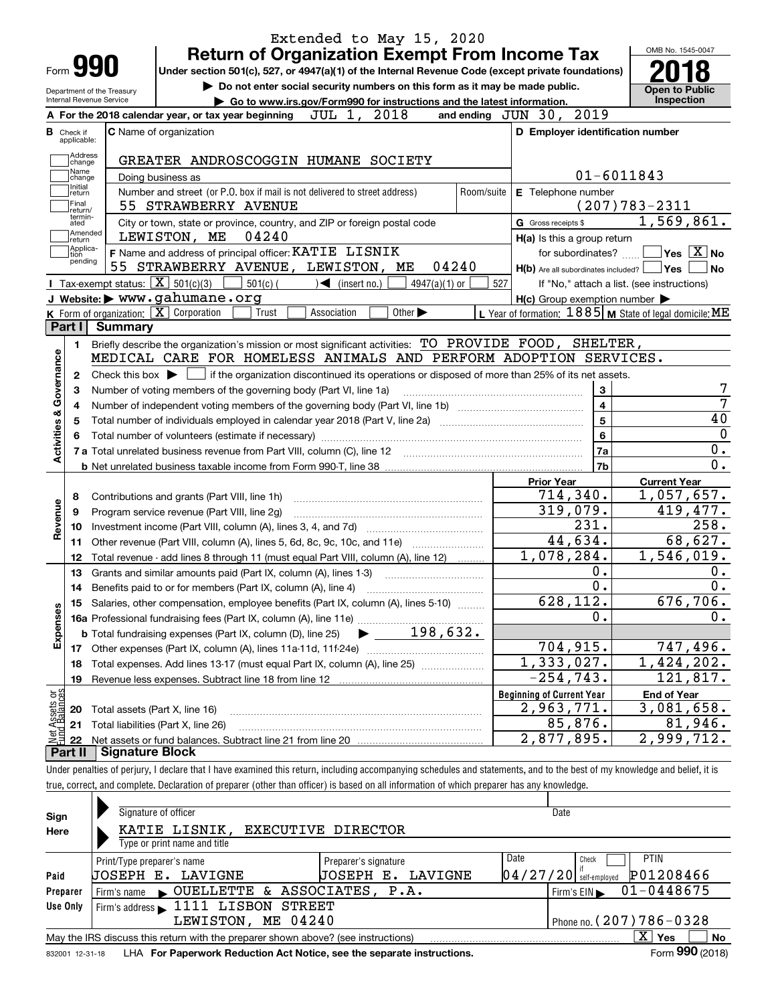|                                                                                        |                                                   | <b>Return of Organization Exempt From Income Tax</b>                                                                                      | Extended to May 15, 2020 |                                                     | OMB No. 1545-0047                                                                                                                   |  |
|----------------------------------------------------------------------------------------|---------------------------------------------------|-------------------------------------------------------------------------------------------------------------------------------------------|--------------------------|-----------------------------------------------------|-------------------------------------------------------------------------------------------------------------------------------------|--|
| Form <b>990</b>                                                                        |                                                   | Under section 501(c), 527, or 4947(a)(1) of the Internal Revenue Code (except private foundations)                                        |                          |                                                     |                                                                                                                                     |  |
|                                                                                        | Department of the Treasury                        | Do not enter social security numbers on this form as it may be made public.                                                               |                          |                                                     | <b>Open to Public</b>                                                                                                               |  |
| Internal Revenue Service                                                               |                                                   | Go to www.irs.gov/Form990 for instructions and the latest information.                                                                    |                          | Inspection                                          |                                                                                                                                     |  |
|                                                                                        |                                                   | 2018<br>JUL 1,<br>A For the 2018 calendar year, or tax year beginning                                                                     |                          | and ending JUN 30, 2019                             |                                                                                                                                     |  |
| <b>B</b> Check if<br>applicable:                                                       |                                                   | <b>C</b> Name of organization                                                                                                             |                          | D Employer identification number                    |                                                                                                                                     |  |
| Address<br>change                                                                      |                                                   | GREATER ANDROSCOGGIN HUMANE SOCIETY                                                                                                       |                          |                                                     |                                                                                                                                     |  |
| Name<br>change                                                                         |                                                   | Doing business as                                                                                                                         |                          |                                                     | $01 - 6011843$                                                                                                                      |  |
| Initial<br>return                                                                      |                                                   | Number and street (or P.O. box if mail is not delivered to street address)<br>Room/suite                                                  |                          | E Telephone number                                  |                                                                                                                                     |  |
| Final<br>return/                                                                       |                                                   | 55 STRAWBERRY AVENUE                                                                                                                      |                          |                                                     | $(207)783 - 2311$                                                                                                                   |  |
| termin-<br>ated                                                                        |                                                   | City or town, state or province, country, and ZIP or foreign postal code                                                                  |                          | G Gross receipts \$                                 | 1,569,861.                                                                                                                          |  |
| Amended<br>∣return                                                                     |                                                   | 04240<br>LEWISTON, ME                                                                                                                     |                          | $H(a)$ is this a group return                       |                                                                                                                                     |  |
| Applica-<br>tion<br>pending                                                            |                                                   | F Name and address of principal officer: KATIE LISNIK                                                                                     |                          | for subordinates?                                   | $\blacksquare$ Yes $\boxed{\text{X}}$ No                                                                                            |  |
|                                                                                        | 55                                                | 04240<br>STRAWBERRY AVENUE, LEWISTON, ME                                                                                                  |                          | $H(b)$ Are all subordinates included? $\Box$ Yes    | No                                                                                                                                  |  |
|                                                                                        | Tax-exempt status: $\boxed{\mathbf{X}}$ 501(c)(3) | $501(c)$ (<br>$\sqrt{\frac{1}{1}}$ (insert no.)<br>$4947(a)(1)$ or                                                                        | 527                      |                                                     | If "No," attach a list. (see instructions)                                                                                          |  |
|                                                                                        |                                                   | J Website: > www.gahumane.org                                                                                                             |                          | $H(c)$ Group exemption number $\blacktriangleright$ |                                                                                                                                     |  |
|                                                                                        |                                                   | <b>K</b> Form of organization: $\boxed{\mathbf{X}}$ Corporation<br>Other $\blacktriangleright$<br>Trust<br>Association                    |                          |                                                     | L Year of formation: $1885$ M State of legal domicile: ME                                                                           |  |
| Part I                                                                                 | Summary                                           |                                                                                                                                           |                          |                                                     |                                                                                                                                     |  |
| 1.                                                                                     |                                                   | Briefly describe the organization's mission or most significant activities: TO PROVIDE FOOD, SHELTER,                                     |                          |                                                     |                                                                                                                                     |  |
|                                                                                        |                                                   | MEDICAL CARE FOR HOMELESS ANIMALS AND PERFORM ADOPTION SERVICES.                                                                          |                          |                                                     |                                                                                                                                     |  |
| 2                                                                                      |                                                   | Check this box $\blacktriangleright \Box$ if the organization discontinued its operations or disposed of more than 25% of its net assets. |                          |                                                     |                                                                                                                                     |  |
| З                                                                                      |                                                   | Number of voting members of the governing body (Part VI, line 1a)                                                                         |                          | 3                                                   |                                                                                                                                     |  |
| 4                                                                                      |                                                   |                                                                                                                                           |                          | $\overline{\mathbf{4}}$                             |                                                                                                                                     |  |
| 5                                                                                      |                                                   |                                                                                                                                           |                          |                                                     |                                                                                                                                     |  |
|                                                                                        |                                                   |                                                                                                                                           |                          | 5                                                   |                                                                                                                                     |  |
|                                                                                        |                                                   |                                                                                                                                           |                          | 6                                                   |                                                                                                                                     |  |
|                                                                                        |                                                   |                                                                                                                                           |                          | 7a                                                  |                                                                                                                                     |  |
|                                                                                        |                                                   |                                                                                                                                           |                          | 7 <sub>b</sub>                                      |                                                                                                                                     |  |
|                                                                                        |                                                   |                                                                                                                                           |                          | <b>Prior Year</b>                                   | <b>Current Year</b>                                                                                                                 |  |
| 8                                                                                      |                                                   | Contributions and grants (Part VIII, line 1h)                                                                                             |                          | 714,340.                                            |                                                                                                                                     |  |
| 9                                                                                      |                                                   | Program service revenue (Part VIII, line 2g)                                                                                              |                          | 319,079.                                            |                                                                                                                                     |  |
| 10                                                                                     |                                                   |                                                                                                                                           |                          | 231.                                                |                                                                                                                                     |  |
| 11                                                                                     |                                                   |                                                                                                                                           |                          | 44,634.                                             |                                                                                                                                     |  |
| 12                                                                                     |                                                   | Total revenue - add lines 8 through 11 (must equal Part VIII, column (A), line 12)                                                        |                          | 1,078,284.                                          |                                                                                                                                     |  |
| 13                                                                                     |                                                   | Grants and similar amounts paid (Part IX, column (A), lines 1-3)                                                                          |                          | $0$ .                                               |                                                                                                                                     |  |
| 14                                                                                     |                                                   |                                                                                                                                           |                          | 0.                                                  |                                                                                                                                     |  |
|                                                                                        |                                                   | 15 Salaries, other compensation, employee benefits (Part IX, column (A), lines 5-10)                                                      |                          | 628,112.                                            |                                                                                                                                     |  |
|                                                                                        |                                                   |                                                                                                                                           |                          | 0.                                                  |                                                                                                                                     |  |
|                                                                                        |                                                   | 198,632.<br><b>b</b> Total fundraising expenses (Part IX, column (D), line 25)                                                            |                          |                                                     |                                                                                                                                     |  |
| 17                                                                                     |                                                   |                                                                                                                                           |                          | 704,915.                                            |                                                                                                                                     |  |
| 18                                                                                     |                                                   | Total expenses. Add lines 13-17 (must equal Part IX, column (A), line 25)                                                                 |                          | 1,333,027.                                          |                                                                                                                                     |  |
| 19                                                                                     |                                                   |                                                                                                                                           |                          | $-254, 743.$                                        |                                                                                                                                     |  |
|                                                                                        |                                                   |                                                                                                                                           |                          | <b>Beginning of Current Year</b>                    | <b>End of Year</b>                                                                                                                  |  |
| 20                                                                                     |                                                   | Total assets (Part X, line 16)                                                                                                            |                          | 2,963,771.                                          |                                                                                                                                     |  |
| 21                                                                                     |                                                   | Total liabilities (Part X, line 26)                                                                                                       |                          | 85,876.                                             | 1,057,657.<br>419,477.<br>258.<br>68,627.<br>1,546,019.<br>676, 706.<br>747,496.<br>1,424,202.<br>121,817.<br>3,081,658.<br>81,946. |  |
| Activities & Governance<br>Revenue<br>Expenses<br>t Assets or<br>d Balances<br>혏<br>22 |                                                   |                                                                                                                                           |                          | 2,877,895.                                          | 2,999,712.                                                                                                                          |  |

| Sign     | Signature of officer                                                                                                                                                                                                              |                         | Date                                  |  |  |  |  |
|----------|-----------------------------------------------------------------------------------------------------------------------------------------------------------------------------------------------------------------------------------|-------------------------|---------------------------------------|--|--|--|--|
| Here     | KATIE LISNIK, EXECUTIVE DIRECTOR<br>Type or print name and title                                                                                                                                                                  |                         |                                       |  |  |  |  |
|          | Print/Type preparer's name                                                                                                                                                                                                        | Preparer's signature    | Date<br><b>PTIN</b><br>Check          |  |  |  |  |
| Paid     | UOSEPH E. LAVIGNE                                                                                                                                                                                                                 | UOSEPH<br>LAVIGNE<br>Е. | P01208466<br>$04/27/20$ self-employed |  |  |  |  |
| Preparer |                                                                                                                                                                                                                                   |                         | $01 - 0448675$<br>Firm's $EIN$        |  |  |  |  |
| Use Only | Firm's address 1111 LISBON STREET                                                                                                                                                                                                 |                         |                                       |  |  |  |  |
|          | Phone no. $(207)$ 786 - 0328<br>LEWISTON, ME 04240                                                                                                                                                                                |                         |                                       |  |  |  |  |
|          | May the IRS discuss this return with the preparer shown above? (see instructions)                                                                                                                                                 |                         | ΧI<br>No<br>Yes                       |  |  |  |  |
|          | $\mathbf{r}$ . The contract of the contract of the contract of the contract of the contract of the contract of the contract of the contract of the contract of the contract of the contract of the contract of the contract of th |                         | $\sim$ 000 $\sim$                     |  |  |  |  |

true, correct, and complete. Declaration of preparer (other than officer) is based on all information of which preparer has any knowledge.

832001\_12-31-18 LHA **For Paperwork Reduction Act Notice, see the separate instructions.** Form 990 (2018)

**990**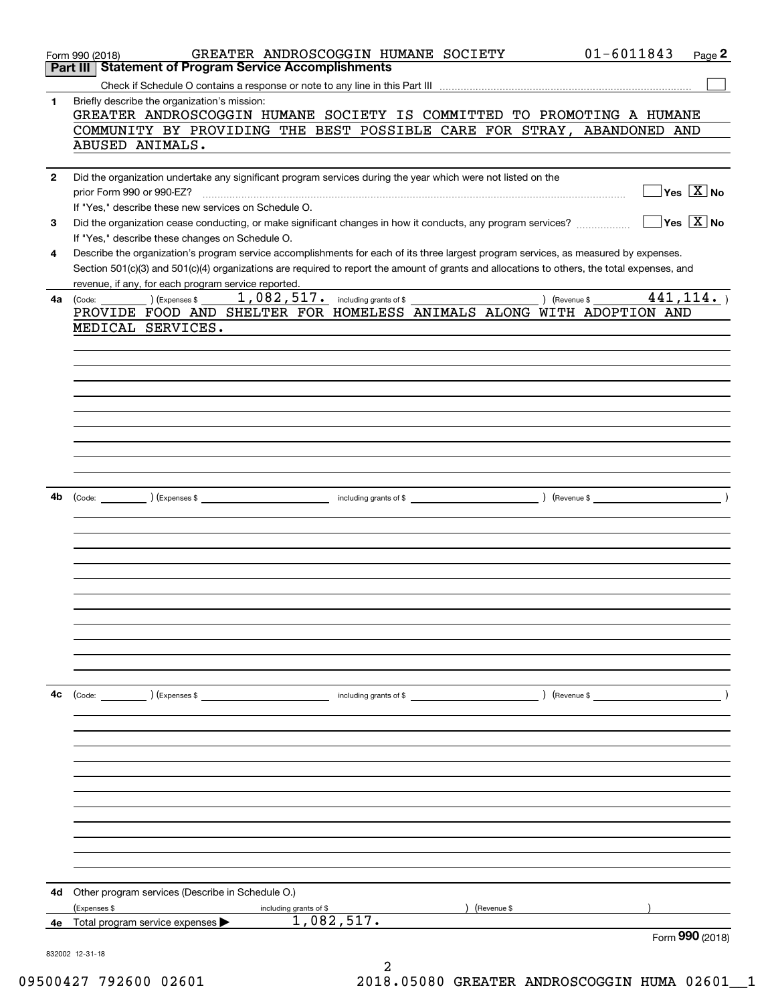|              | GREATER ANDROSCOGGIN HUMANE SOCIETY<br>Form 990 (2018)<br>Part III Statement of Program Service Accomplishments                              | $01 - 6011843$<br>Page 2                                        |
|--------------|----------------------------------------------------------------------------------------------------------------------------------------------|-----------------------------------------------------------------|
|              |                                                                                                                                              |                                                                 |
| 1.           | Briefly describe the organization's mission:                                                                                                 |                                                                 |
|              | GREATER ANDROSCOGGIN HUMANE SOCIETY IS COMMITTED TO PROMOTING A HUMANE                                                                       |                                                                 |
|              | COMMUNITY BY PROVIDING THE BEST POSSIBLE CARE FOR STRAY, ABANDONED AND                                                                       |                                                                 |
|              | ABUSED ANIMALS.                                                                                                                              |                                                                 |
| $\mathbf{2}$ | Did the organization undertake any significant program services during the year which were not listed on the                                 |                                                                 |
|              | prior Form 990 or 990-EZ?                                                                                                                    | $\overline{\mathsf{Yes} \mathrel{\hspace{0.5pt}\mathsf{X}}}$ No |
|              | If "Yes," describe these new services on Schedule O.                                                                                         |                                                                 |
| 3            | Did the organization cease conducting, or make significant changes in how it conducts, any program services?                                 | $\overline{\mathsf{Yes} \mathrel{\hspace{0.5pt}\mathsf{X}}}$ No |
|              | If "Yes," describe these changes on Schedule O.                                                                                              |                                                                 |
| 4            | Describe the organization's program service accomplishments for each of its three largest program services, as measured by expenses.         |                                                                 |
|              | Section 501(c)(3) and 501(c)(4) organizations are required to report the amount of grants and allocations to others, the total expenses, and |                                                                 |
|              | revenue, if any, for each program service reported.<br><u> 1989 - Johann Barn, mars ann an t-Amhair an t-A</u>                               | 441, 114.                                                       |
| 4a           | $(Ex)$ (Expenses \$<br>(Code:<br>PROVIDE FOOD AND SHELTER FOR HOMELESS ANIMALS ALONG WITH ADOPTION AND                                       |                                                                 |
|              | MEDICAL SERVICES.                                                                                                                            |                                                                 |
|              |                                                                                                                                              |                                                                 |
|              |                                                                                                                                              |                                                                 |
|              |                                                                                                                                              |                                                                 |
|              |                                                                                                                                              |                                                                 |
|              |                                                                                                                                              |                                                                 |
|              |                                                                                                                                              |                                                                 |
|              |                                                                                                                                              |                                                                 |
|              |                                                                                                                                              |                                                                 |
|              |                                                                                                                                              |                                                                 |
|              |                                                                                                                                              |                                                                 |
| 4b           |                                                                                                                                              |                                                                 |
|              |                                                                                                                                              |                                                                 |
|              |                                                                                                                                              |                                                                 |
|              |                                                                                                                                              |                                                                 |
|              |                                                                                                                                              |                                                                 |
|              |                                                                                                                                              |                                                                 |
|              |                                                                                                                                              |                                                                 |
|              |                                                                                                                                              |                                                                 |
|              |                                                                                                                                              |                                                                 |
|              |                                                                                                                                              |                                                                 |
|              |                                                                                                                                              |                                                                 |
|              |                                                                                                                                              |                                                                 |
|              |                                                                                                                                              |                                                                 |
| 4с           |                                                                                                                                              |                                                                 |
|              |                                                                                                                                              |                                                                 |
|              |                                                                                                                                              |                                                                 |
|              |                                                                                                                                              |                                                                 |
|              |                                                                                                                                              |                                                                 |
|              |                                                                                                                                              |                                                                 |
|              |                                                                                                                                              |                                                                 |
|              |                                                                                                                                              |                                                                 |
|              |                                                                                                                                              |                                                                 |
|              |                                                                                                                                              |                                                                 |
|              |                                                                                                                                              |                                                                 |
|              |                                                                                                                                              |                                                                 |
| 4d           | Other program services (Describe in Schedule O.)                                                                                             |                                                                 |
|              | (Expenses \$<br>(Revenue \$<br>including grants of \$                                                                                        |                                                                 |
| 4e           | 1,082,517.<br>Total program service expenses                                                                                                 |                                                                 |
|              |                                                                                                                                              | Form 990 (2018)                                                 |
|              | 832002 12-31-18                                                                                                                              |                                                                 |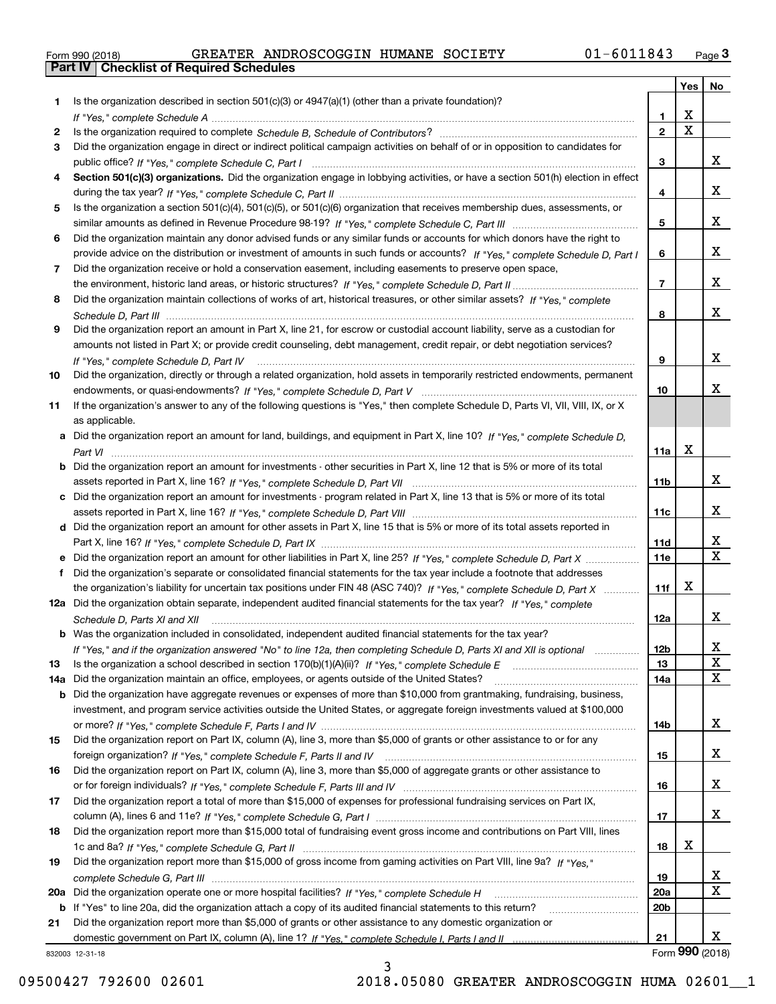|  | Form 990 (2018) |  |
|--|-----------------|--|

|     |                                                                                                                                                                                                                                                   |                  | Yes                     | No                |
|-----|---------------------------------------------------------------------------------------------------------------------------------------------------------------------------------------------------------------------------------------------------|------------------|-------------------------|-------------------|
| 1.  | Is the organization described in section $501(c)(3)$ or $4947(a)(1)$ (other than a private foundation)?                                                                                                                                           |                  |                         |                   |
|     |                                                                                                                                                                                                                                                   | 1.               | X                       |                   |
| 2   |                                                                                                                                                                                                                                                   | $\overline{2}$   | $\overline{\mathbf{x}}$ |                   |
| 3   | Did the organization engage in direct or indirect political campaign activities on behalf of or in opposition to candidates for                                                                                                                   |                  |                         |                   |
|     |                                                                                                                                                                                                                                                   | 3                |                         | x                 |
| 4   | Section 501(c)(3) organizations. Did the organization engage in lobbying activities, or have a section 501(h) election in effect                                                                                                                  |                  |                         |                   |
|     |                                                                                                                                                                                                                                                   | 4                |                         | x                 |
| 5   | Is the organization a section 501(c)(4), 501(c)(5), or 501(c)(6) organization that receives membership dues, assessments, or                                                                                                                      |                  |                         | x                 |
|     |                                                                                                                                                                                                                                                   | 5                |                         |                   |
| 6   | Did the organization maintain any donor advised funds or any similar funds or accounts for which donors have the right to                                                                                                                         |                  |                         | x                 |
| 7   | provide advice on the distribution or investment of amounts in such funds or accounts? If "Yes," complete Schedule D, Part I<br>Did the organization receive or hold a conservation easement, including easements to preserve open space,         | 6                |                         |                   |
|     |                                                                                                                                                                                                                                                   | $\overline{7}$   |                         | x                 |
| 8   | Did the organization maintain collections of works of art, historical treasures, or other similar assets? If "Yes," complete                                                                                                                      |                  |                         |                   |
|     |                                                                                                                                                                                                                                                   | 8                |                         | X.                |
| 9   | Did the organization report an amount in Part X, line 21, for escrow or custodial account liability, serve as a custodian for                                                                                                                     |                  |                         |                   |
|     | amounts not listed in Part X; or provide credit counseling, debt management, credit repair, or debt negotiation services?                                                                                                                         |                  |                         |                   |
|     | If "Yes," complete Schedule D, Part IV                                                                                                                                                                                                            | 9                |                         | x                 |
| 10  | Did the organization, directly or through a related organization, hold assets in temporarily restricted endowments, permanent                                                                                                                     |                  |                         |                   |
|     |                                                                                                                                                                                                                                                   | 10               |                         | x.                |
| 11  | If the organization's answer to any of the following questions is "Yes," then complete Schedule D, Parts VI, VIII, VIII, IX, or X                                                                                                                 |                  |                         |                   |
|     | as applicable.                                                                                                                                                                                                                                    |                  |                         |                   |
|     | a Did the organization report an amount for land, buildings, and equipment in Part X, line 10? If "Yes," complete Schedule D,                                                                                                                     |                  |                         |                   |
|     |                                                                                                                                                                                                                                                   | 11a              | Х                       |                   |
|     | <b>b</b> Did the organization report an amount for investments - other securities in Part X, line 12 that is 5% or more of its total                                                                                                              |                  |                         |                   |
|     |                                                                                                                                                                                                                                                   | 11b              |                         | x                 |
|     | c Did the organization report an amount for investments - program related in Part X, line 13 that is 5% or more of its total                                                                                                                      |                  |                         |                   |
|     |                                                                                                                                                                                                                                                   | 11c              |                         | x                 |
|     | d Did the organization report an amount for other assets in Part X, line 15 that is 5% or more of its total assets reported in                                                                                                                    |                  |                         |                   |
|     |                                                                                                                                                                                                                                                   | 11d              |                         | x<br>$\mathbf{X}$ |
|     | e Did the organization report an amount for other liabilities in Part X, line 25? If "Yes," complete Schedule D, Part X                                                                                                                           | 11e              |                         |                   |
| f   | Did the organization's separate or consolidated financial statements for the tax year include a footnote that addresses                                                                                                                           | 11f              | Х                       |                   |
|     | the organization's liability for uncertain tax positions under FIN 48 (ASC 740)? If "Yes," complete Schedule D, Part X<br>12a Did the organization obtain separate, independent audited financial statements for the tax year? If "Yes," complete |                  |                         |                   |
|     |                                                                                                                                                                                                                                                   | 12a              |                         | X.                |
|     | Schedule D, Parts XI and XII<br><b>b</b> Was the organization included in consolidated, independent audited financial statements for the tax year?                                                                                                |                  |                         |                   |
|     | If "Yes," and if the organization answered "No" to line 12a, then completing Schedule D, Parts XI and XII is optional manum                                                                                                                       | 12b              |                         | ᅀ                 |
| 13  |                                                                                                                                                                                                                                                   | 13               |                         | X                 |
| 14a | Did the organization maintain an office, employees, or agents outside of the United States?                                                                                                                                                       | 14a              |                         | х                 |
| b   | Did the organization have aggregate revenues or expenses of more than \$10,000 from grantmaking, fundraising, business,                                                                                                                           |                  |                         |                   |
|     | investment, and program service activities outside the United States, or aggregate foreign investments valued at \$100,000                                                                                                                        |                  |                         |                   |
|     |                                                                                                                                                                                                                                                   | 14b              |                         | X.                |
| 15  | Did the organization report on Part IX, column (A), line 3, more than \$5,000 of grants or other assistance to or for any                                                                                                                         |                  |                         |                   |
|     |                                                                                                                                                                                                                                                   | 15               |                         | X.                |
| 16  | Did the organization report on Part IX, column (A), line 3, more than \$5,000 of aggregate grants or other assistance to                                                                                                                          |                  |                         |                   |
|     |                                                                                                                                                                                                                                                   | 16               |                         | X.                |
| 17  | Did the organization report a total of more than \$15,000 of expenses for professional fundraising services on Part IX,                                                                                                                           |                  |                         |                   |
|     |                                                                                                                                                                                                                                                   | 17               |                         | x                 |
| 18  | Did the organization report more than \$15,000 total of fundraising event gross income and contributions on Part VIII, lines                                                                                                                      |                  |                         |                   |
|     |                                                                                                                                                                                                                                                   | 18               | х                       |                   |
| 19  | Did the organization report more than \$15,000 of gross income from gaming activities on Part VIII, line 9a? If "Yes."                                                                                                                            |                  |                         | X.                |
|     |                                                                                                                                                                                                                                                   | 19<br><b>20a</b> |                         | х                 |
|     | b If "Yes" to line 20a, did the organization attach a copy of its audited financial statements to this return?                                                                                                                                    | 20 <sub>b</sub>  |                         |                   |
| 21  | Did the organization report more than \$5,000 of grants or other assistance to any domestic organization or                                                                                                                                       |                  |                         |                   |
|     |                                                                                                                                                                                                                                                   | 21               |                         | X.                |
|     | 832003 12-31-18                                                                                                                                                                                                                                   |                  |                         | Form 990 (2018)   |

3

832003 12-31-18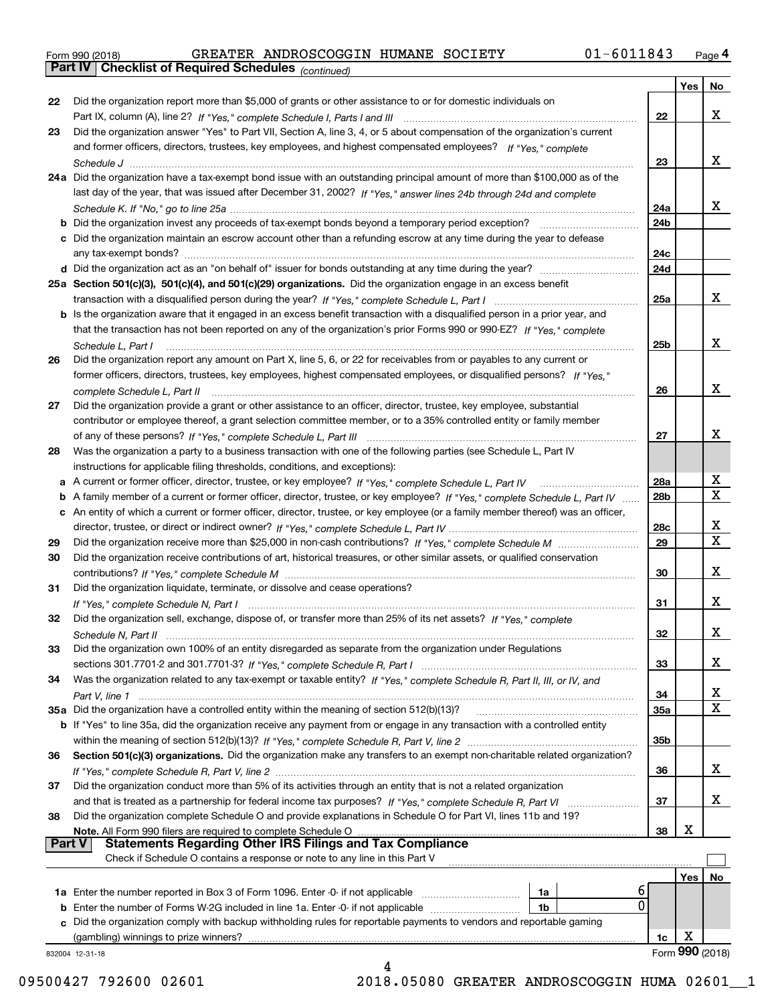|  | Form 990 (2018) |
|--|-----------------|
|  |                 |

*(continued)*

|    |                                                                                                                                                                                                                                                 |     | Yes                  | No                      |
|----|-------------------------------------------------------------------------------------------------------------------------------------------------------------------------------------------------------------------------------------------------|-----|----------------------|-------------------------|
| 22 | Did the organization report more than \$5,000 of grants or other assistance to or for domestic individuals on                                                                                                                                   |     |                      |                         |
|    |                                                                                                                                                                                                                                                 | 22  |                      | x                       |
| 23 | Did the organization answer "Yes" to Part VII, Section A, line 3, 4, or 5 about compensation of the organization's current                                                                                                                      |     |                      |                         |
|    | and former officers, directors, trustees, key employees, and highest compensated employees? If "Yes," complete                                                                                                                                  |     |                      |                         |
|    |                                                                                                                                                                                                                                                 | 23  |                      | x                       |
|    | 24a Did the organization have a tax-exempt bond issue with an outstanding principal amount of more than \$100,000 as of the                                                                                                                     |     |                      |                         |
|    | last day of the year, that was issued after December 31, 2002? If "Yes," answer lines 24b through 24d and complete                                                                                                                              |     |                      |                         |
|    |                                                                                                                                                                                                                                                 | 24a |                      | x                       |
|    |                                                                                                                                                                                                                                                 | 24b |                      |                         |
|    | c Did the organization maintain an escrow account other than a refunding escrow at any time during the year to defease                                                                                                                          |     |                      |                         |
|    |                                                                                                                                                                                                                                                 | 24c |                      |                         |
|    |                                                                                                                                                                                                                                                 | 24d |                      |                         |
|    | 25a Section 501(c)(3), 501(c)(4), and 501(c)(29) organizations. Did the organization engage in an excess benefit                                                                                                                                |     |                      |                         |
|    |                                                                                                                                                                                                                                                 | 25a |                      | X                       |
|    | b Is the organization aware that it engaged in an excess benefit transaction with a disqualified person in a prior year, and                                                                                                                    |     |                      |                         |
|    | that the transaction has not been reported on any of the organization's prior Forms 990 or 990-EZ? If "Yes," complete                                                                                                                           |     |                      |                         |
|    | Schedule L, Part I                                                                                                                                                                                                                              | 25b |                      | x                       |
| 26 |                                                                                                                                                                                                                                                 |     |                      |                         |
|    | Did the organization report any amount on Part X, line 5, 6, or 22 for receivables from or payables to any current or<br>former officers, directors, trustees, key employees, highest compensated employees, or disqualified persons? If "Yes." |     |                      |                         |
|    |                                                                                                                                                                                                                                                 |     |                      | x                       |
|    |                                                                                                                                                                                                                                                 | 26  |                      |                         |
| 27 | Did the organization provide a grant or other assistance to an officer, director, trustee, key employee, substantial                                                                                                                            |     |                      |                         |
|    | contributor or employee thereof, a grant selection committee member, or to a 35% controlled entity or family member                                                                                                                             |     |                      |                         |
|    |                                                                                                                                                                                                                                                 | 27  |                      | x                       |
| 28 | Was the organization a party to a business transaction with one of the following parties (see Schedule L, Part IV                                                                                                                               |     |                      |                         |
|    | instructions for applicable filing thresholds, conditions, and exceptions):                                                                                                                                                                     |     |                      |                         |
|    |                                                                                                                                                                                                                                                 | 28a |                      | х                       |
| b  | A family member of a current or former officer, director, trustee, or key employee? If "Yes," complete Schedule L, Part IV                                                                                                                      | 28b |                      | $\overline{\mathbf{X}}$ |
| с  | An entity of which a current or former officer, director, trustee, or key employee (or a family member thereof) was an officer,                                                                                                                 |     |                      |                         |
|    |                                                                                                                                                                                                                                                 | 28c |                      | X                       |
| 29 |                                                                                                                                                                                                                                                 | 29  |                      | $\overline{\mathbf{X}}$ |
| 30 | Did the organization receive contributions of art, historical treasures, or other similar assets, or qualified conservation                                                                                                                     |     |                      |                         |
|    |                                                                                                                                                                                                                                                 | 30  |                      | x                       |
| 31 | Did the organization liquidate, terminate, or dissolve and cease operations?                                                                                                                                                                    |     |                      |                         |
|    |                                                                                                                                                                                                                                                 | 31  |                      | x                       |
| 32 | Did the organization sell, exchange, dispose of, or transfer more than 25% of its net assets? If "Yes," complete                                                                                                                                |     |                      |                         |
|    |                                                                                                                                                                                                                                                 | 32  |                      | x                       |
|    | Did the organization own 100% of an entity disregarded as separate from the organization under Regulations                                                                                                                                      |     |                      |                         |
|    |                                                                                                                                                                                                                                                 | 33  |                      | X                       |
|    |                                                                                                                                                                                                                                                 |     |                      |                         |
| 34 | Was the organization related to any tax-exempt or taxable entity? If "Yes," complete Schedule R, Part II, III, or IV, and                                                                                                                       |     |                      |                         |
|    |                                                                                                                                                                                                                                                 | 34  |                      | X                       |
|    | 35a Did the organization have a controlled entity within the meaning of section 512(b)(13)?                                                                                                                                                     | 35a |                      | X                       |
|    | b If "Yes" to line 35a, did the organization receive any payment from or engage in any transaction with a controlled entity                                                                                                                     |     |                      |                         |
|    |                                                                                                                                                                                                                                                 | 35b |                      |                         |
| 36 | Section 501(c)(3) organizations. Did the organization make any transfers to an exempt non-charitable related organization?                                                                                                                      |     |                      |                         |
|    |                                                                                                                                                                                                                                                 | 36  |                      | x                       |
| 37 | Did the organization conduct more than 5% of its activities through an entity that is not a related organization                                                                                                                                |     |                      |                         |
|    |                                                                                                                                                                                                                                                 | 37  |                      | x                       |
| 38 | Did the organization complete Schedule O and provide explanations in Schedule O for Part VI, lines 11b and 19?                                                                                                                                  |     |                      |                         |
|    | Note. All Form 990 filers are required to complete Schedule O                                                                                                                                                                                   | 38  | X                    |                         |
|    | <b>Statements Regarding Other IRS Filings and Tax Compliance</b><br><b>Part V</b>                                                                                                                                                               |     |                      |                         |
|    | Check if Schedule O contains a response or note to any line in this Part V                                                                                                                                                                      |     |                      |                         |
|    |                                                                                                                                                                                                                                                 |     | Yes                  | No                      |
|    | 6<br>1a                                                                                                                                                                                                                                         |     |                      |                         |
|    | 0<br><b>b</b> Enter the number of Forms W-2G included in line 1a. Enter -0- if not applicable<br>1b                                                                                                                                             |     |                      |                         |
|    |                                                                                                                                                                                                                                                 |     |                      |                         |
|    | c Did the organization comply with backup withholding rules for reportable payments to vendors and reportable gaming                                                                                                                            |     |                      |                         |
|    |                                                                                                                                                                                                                                                 |     |                      |                         |
|    | 832004 12-31-18                                                                                                                                                                                                                                 | 1c. | х<br>Form 990 (2018) |                         |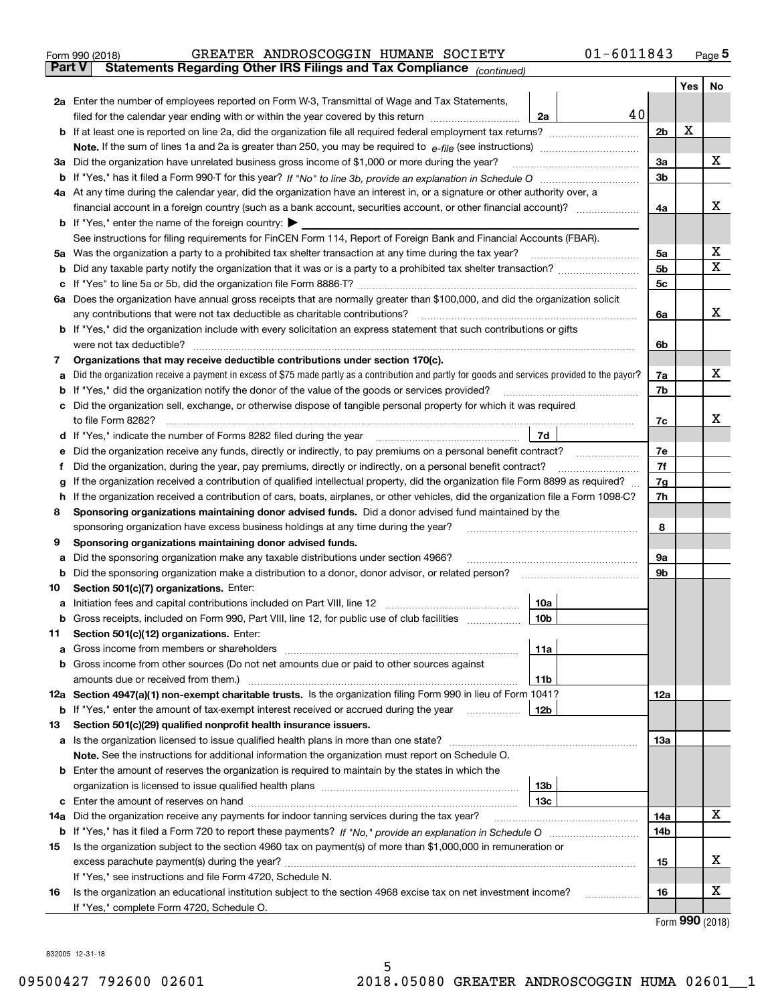| Form 990 (2018) |  | GREATER ANDROSCOGGIN HUMANE SOCIETY                                                            |  | $01 - 6011843$ | Page 5 |
|-----------------|--|------------------------------------------------------------------------------------------------|--|----------------|--------|
|                 |  | <b>Part V</b> Statements Regarding Other IRS Filings and Tax Compliance <sub>(continued)</sub> |  |                |        |

| Part V | Statements Regarding Other IRS Fillings and Tax Compilance<br>(continued)                                                                         |                |     |        |  |  |  |  |  |  |
|--------|---------------------------------------------------------------------------------------------------------------------------------------------------|----------------|-----|--------|--|--|--|--|--|--|
|        |                                                                                                                                                   |                | Yes | No     |  |  |  |  |  |  |
|        | 2a Enter the number of employees reported on Form W-3, Transmittal of Wage and Tax Statements,                                                    |                |     |        |  |  |  |  |  |  |
|        | 40<br>filed for the calendar year ending with or within the year covered by this return<br>2a                                                     |                |     |        |  |  |  |  |  |  |
|        |                                                                                                                                                   | 2 <sub>b</sub> | X   |        |  |  |  |  |  |  |
|        |                                                                                                                                                   |                |     |        |  |  |  |  |  |  |
|        | 3a Did the organization have unrelated business gross income of \$1,000 or more during the year?                                                  |                |     |        |  |  |  |  |  |  |
|        |                                                                                                                                                   |                |     |        |  |  |  |  |  |  |
|        | 4a At any time during the calendar year, did the organization have an interest in, or a signature or other authority over, a                      |                |     |        |  |  |  |  |  |  |
|        |                                                                                                                                                   |                |     |        |  |  |  |  |  |  |
|        | <b>b</b> If "Yes," enter the name of the foreign country: $\blacktriangleright$                                                                   |                |     |        |  |  |  |  |  |  |
|        | See instructions for filing requirements for FinCEN Form 114, Report of Foreign Bank and Financial Accounts (FBAR).                               |                |     |        |  |  |  |  |  |  |
| 5а     | Was the organization a party to a prohibited tax shelter transaction at any time during the tax year?                                             | 5а             |     | х<br>х |  |  |  |  |  |  |
|        |                                                                                                                                                   | 5b             |     |        |  |  |  |  |  |  |
|        |                                                                                                                                                   | 5c             |     |        |  |  |  |  |  |  |
| 6а     | Does the organization have annual gross receipts that are normally greater than \$100,000, and did the organization solicit                       |                |     | х      |  |  |  |  |  |  |
|        | any contributions that were not tax deductible as charitable contributions?                                                                       | 6a             |     |        |  |  |  |  |  |  |
|        | <b>b</b> If "Yes," did the organization include with every solicitation an express statement that such contributions or gifts                     |                |     |        |  |  |  |  |  |  |
|        | were not tax deductible?                                                                                                                          | 6b             |     |        |  |  |  |  |  |  |
| 7      | Organizations that may receive deductible contributions under section 170(c).                                                                     |                |     | х      |  |  |  |  |  |  |
|        | a Did the organization receive a payment in excess of \$75 made partly as a contribution and partly for goods and services provided to the payor? | 7a             |     |        |  |  |  |  |  |  |
|        | <b>b</b> If "Yes," did the organization notify the donor of the value of the goods or services provided?                                          | 7b             |     |        |  |  |  |  |  |  |
|        | c Did the organization sell, exchange, or otherwise dispose of tangible personal property for which it was required<br>to file Form 8282?         | 7c             |     | х      |  |  |  |  |  |  |
|        | 7d<br>d If "Yes," indicate the number of Forms 8282 filed during the year                                                                         |                |     |        |  |  |  |  |  |  |
| е      | Did the organization receive any funds, directly or indirectly, to pay premiums on a personal benefit contract?                                   | 7е             |     |        |  |  |  |  |  |  |
| f      | Did the organization, during the year, pay premiums, directly or indirectly, on a personal benefit contract?                                      | 7f             |     |        |  |  |  |  |  |  |
| g      | If the organization received a contribution of qualified intellectual property, did the organization file Form 8899 as required?                  |                |     |        |  |  |  |  |  |  |
| h      | If the organization received a contribution of cars, boats, airplanes, or other vehicles, did the organization file a Form 1098-C?                |                |     |        |  |  |  |  |  |  |
| 8      | Sponsoring organizations maintaining donor advised funds. Did a donor advised fund maintained by the                                              | 7h             |     |        |  |  |  |  |  |  |
|        | sponsoring organization have excess business holdings at any time during the year?                                                                | 8              |     |        |  |  |  |  |  |  |
| 9      | Sponsoring organizations maintaining donor advised funds.                                                                                         |                |     |        |  |  |  |  |  |  |
| а      | Did the sponsoring organization make any taxable distributions under section 4966?                                                                | 9а             |     |        |  |  |  |  |  |  |
| b      | Did the sponsoring organization make a distribution to a donor, donor advisor, or related person?                                                 |                |     |        |  |  |  |  |  |  |
| 10     | Section 501(c)(7) organizations. Enter:                                                                                                           |                |     |        |  |  |  |  |  |  |
| а      | 10a                                                                                                                                               |                |     |        |  |  |  |  |  |  |
|        | b Gross receipts, included on Form 990, Part VIII, line 12, for public use of club facilities<br>10b                                              |                |     |        |  |  |  |  |  |  |
| 11.    | Section 501(c)(12) organizations. Enter:                                                                                                          |                |     |        |  |  |  |  |  |  |
|        | 11a                                                                                                                                               |                |     |        |  |  |  |  |  |  |
|        | <b>b</b> Gross income from other sources (Do not net amounts due or paid to other sources against                                                 |                |     |        |  |  |  |  |  |  |
|        | 11b                                                                                                                                               |                |     |        |  |  |  |  |  |  |
|        | 12a Section 4947(a)(1) non-exempt charitable trusts. Is the organization filing Form 990 in lieu of Form 1041?                                    | 12a            |     |        |  |  |  |  |  |  |
|        | 12 <sub>b</sub><br><b>b</b> If "Yes," enter the amount of tax-exempt interest received or accrued during the year <i>manument</i>                 |                |     |        |  |  |  |  |  |  |
| 13     | Section 501(c)(29) qualified nonprofit health insurance issuers.                                                                                  |                |     |        |  |  |  |  |  |  |
|        | a Is the organization licensed to issue qualified health plans in more than one state?                                                            | 13a            |     |        |  |  |  |  |  |  |
|        | Note. See the instructions for additional information the organization must report on Schedule O.                                                 |                |     |        |  |  |  |  |  |  |
|        | <b>b</b> Enter the amount of reserves the organization is required to maintain by the states in which the                                         |                |     |        |  |  |  |  |  |  |
|        | 13 <sub>b</sub>                                                                                                                                   |                |     |        |  |  |  |  |  |  |
|        | 13с                                                                                                                                               |                |     |        |  |  |  |  |  |  |
| 14a    | Did the organization receive any payments for indoor tanning services during the tax year?                                                        | 14a            |     | х      |  |  |  |  |  |  |
|        |                                                                                                                                                   | 14b            |     |        |  |  |  |  |  |  |
| 15     | Is the organization subject to the section 4960 tax on payment(s) of more than \$1,000,000 in remuneration or                                     |                |     |        |  |  |  |  |  |  |
|        |                                                                                                                                                   | 15             |     | x      |  |  |  |  |  |  |
|        | If "Yes," see instructions and file Form 4720, Schedule N.                                                                                        |                |     |        |  |  |  |  |  |  |
| 16     | Is the organization an educational institution subject to the section 4968 excise tax on net investment income?                                   | 16             |     | х      |  |  |  |  |  |  |
|        | If "Yes," complete Form 4720, Schedule O.                                                                                                         |                |     |        |  |  |  |  |  |  |

Form (2018) **990**

832005 12-31-18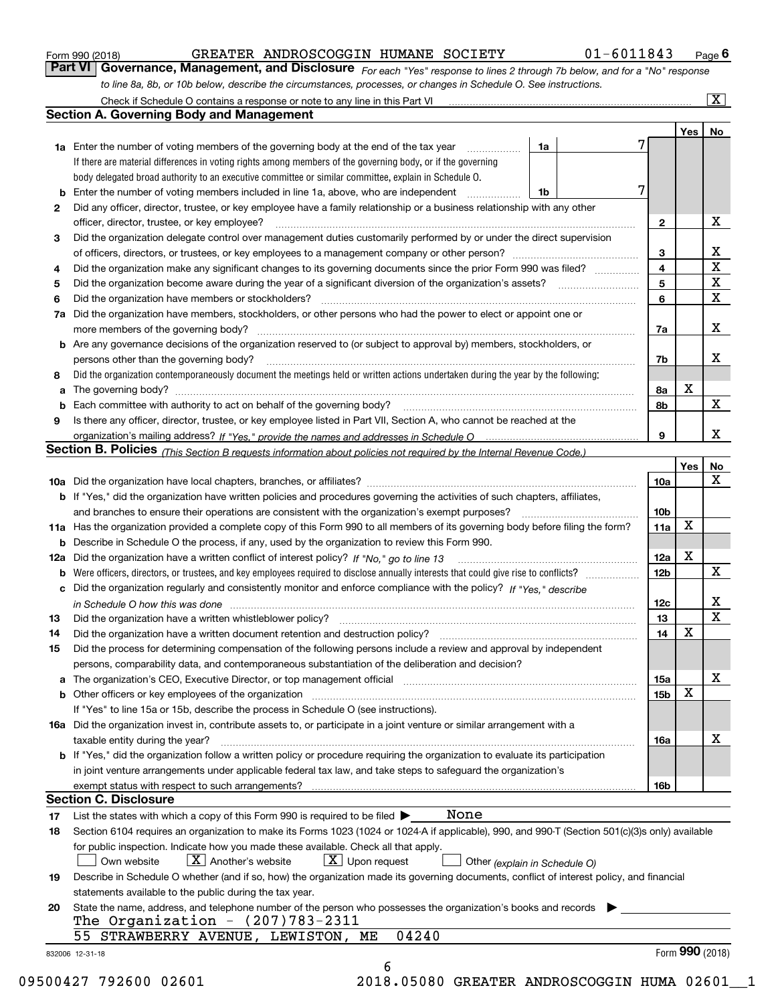| Form 990 (2018) |
|-----------------|
|-----------------|

| Form 990 (2018) |                                                                                                                               | GREATER ANDROSCOGGIN HUMANE SOCIETY |  | 01-6011843 | $P_{\text{aqe}}$ 6 |
|-----------------|-------------------------------------------------------------------------------------------------------------------------------|-------------------------------------|--|------------|--------------------|
|                 | Part VI   Governance, Management, and Disclosure For each "Yes" response to lines 2 through 7b below, and for a "No" response |                                     |  |            |                    |
|                 | to line 8a, 8b, or 10b below, describe the circumstances, processes, or changes in Schedule O. See instructions.              |                                     |  |            |                    |

|    | <b>Section A. Governing Body and Management</b>                                                                                                                            |                               |   |                 |                 |                         |
|----|----------------------------------------------------------------------------------------------------------------------------------------------------------------------------|-------------------------------|---|-----------------|-----------------|-------------------------|
|    |                                                                                                                                                                            |                               |   |                 | Yes             | No                      |
|    | 1a Enter the number of voting members of the governing body at the end of the tax year <i>manument</i>                                                                     | 1a                            |   |                 |                 |                         |
|    | If there are material differences in voting rights among members of the governing body, or if the governing                                                                |                               |   |                 |                 |                         |
|    | body delegated broad authority to an executive committee or similar committee, explain in Schedule O.                                                                      |                               |   |                 |                 |                         |
| b  | Enter the number of voting members included in line 1a, above, who are independent <i>manumum</i>                                                                          | 1b                            | 7 |                 |                 |                         |
| 2  | Did any officer, director, trustee, or key employee have a family relationship or a business relationship with any other                                                   |                               |   |                 |                 |                         |
|    | officer, director, trustee, or key employee?                                                                                                                               |                               |   | $\mathbf{2}$    |                 | х                       |
| 3  | Did the organization delegate control over management duties customarily performed by or under the direct supervision                                                      |                               |   |                 |                 |                         |
|    |                                                                                                                                                                            |                               |   | 3               |                 | х                       |
| 4  | Did the organization make any significant changes to its governing documents since the prior Form 990 was filed?                                                           |                               |   | 4               |                 | $\overline{\mathbf{x}}$ |
| 5  |                                                                                                                                                                            |                               |   | 5               |                 | $\overline{\textbf{x}}$ |
| 6  | Did the organization have members or stockholders?                                                                                                                         |                               |   | 6               |                 | $\overline{\mathbf{x}}$ |
|    | 7a Did the organization have members, stockholders, or other persons who had the power to elect or appoint one or                                                          |                               |   |                 |                 |                         |
|    |                                                                                                                                                                            |                               |   | 7a              |                 | х                       |
|    | <b>b</b> Are any governance decisions of the organization reserved to (or subject to approval by) members, stockholders, or                                                |                               |   |                 |                 |                         |
|    | persons other than the governing body?                                                                                                                                     |                               |   | 7b              |                 | х                       |
| 8  | Did the organization contemporaneously document the meetings held or written actions undertaken during the year by the following:                                          |                               |   |                 |                 |                         |
| a  |                                                                                                                                                                            |                               |   | 8а              | x               |                         |
|    |                                                                                                                                                                            |                               |   | 8b              |                 | $\mathbf X$             |
| 9  | Is there any officer, director, trustee, or key employee listed in Part VII, Section A, who cannot be reached at the                                                       |                               |   |                 |                 |                         |
|    |                                                                                                                                                                            |                               |   | 9               |                 | X                       |
|    | Section B. Policies (This Section B requests information about policies not required by the Internal Revenue Code.)                                                        |                               |   |                 |                 |                         |
|    |                                                                                                                                                                            |                               |   |                 | Yes             | No                      |
|    |                                                                                                                                                                            |                               |   | 10a             |                 | X                       |
|    | b If "Yes," did the organization have written policies and procedures governing the activities of such chapters, affiliates,                                               |                               |   |                 |                 |                         |
|    |                                                                                                                                                                            |                               |   | 10 <sub>b</sub> |                 |                         |
|    | 11a Has the organization provided a complete copy of this Form 990 to all members of its governing body before filing the form?                                            |                               |   | 11a             | X               |                         |
| b  | Describe in Schedule O the process, if any, used by the organization to review this Form 990.                                                                              |                               |   |                 |                 |                         |
|    |                                                                                                                                                                            |                               |   | <b>12a</b>      | Х               |                         |
| b  |                                                                                                                                                                            |                               |   | 12 <sub>b</sub> |                 | $\mathbf x$             |
|    | c Did the organization regularly and consistently monitor and enforce compliance with the policy? If "Yes," describe                                                       |                               |   |                 |                 |                         |
|    | in Schedule O how this was done www.communication.com/www.communications.com/www.communications.com/                                                                       |                               |   | 12c             |                 | х                       |
| 13 |                                                                                                                                                                            |                               |   | 13              |                 | $\overline{\mathbf{x}}$ |
| 14 |                                                                                                                                                                            |                               |   | 14              | X               |                         |
|    | Did the organization have a written document retention and destruction policy? manufactured and the organization have a written document retention and destruction policy? |                               |   |                 |                 |                         |
| 15 | Did the process for determining compensation of the following persons include a review and approval by independent                                                         |                               |   |                 |                 |                         |
|    | persons, comparability data, and contemporaneous substantiation of the deliberation and decision?                                                                          |                               |   |                 |                 | х                       |
|    |                                                                                                                                                                            |                               |   | 15a             | X               |                         |
|    | <b>b</b> Other officers or key employees of the organization                                                                                                               |                               |   | 15b             |                 |                         |
|    | If "Yes" to line 15a or 15b, describe the process in Schedule O (see instructions).                                                                                        |                               |   |                 |                 |                         |
|    | 16a Did the organization invest in, contribute assets to, or participate in a joint venture or similar arrangement with a                                                  |                               |   |                 |                 |                         |
|    | taxable entity during the year?                                                                                                                                            |                               |   | 16a             |                 | х                       |
|    | b If "Yes," did the organization follow a written policy or procedure requiring the organization to evaluate its participation                                             |                               |   |                 |                 |                         |
|    | in joint venture arrangements under applicable federal tax law, and take steps to safeguard the organization's                                                             |                               |   |                 |                 |                         |
|    | exempt status with respect to such arrangements?                                                                                                                           |                               |   | 16b             |                 |                         |
|    | <b>Section C. Disclosure</b>                                                                                                                                               |                               |   |                 |                 |                         |
| 17 | None<br>List the states with which a copy of this Form 990 is required to be filed $\blacktriangleright$                                                                   |                               |   |                 |                 |                         |
| 18 | Section 6104 requires an organization to make its Forms 1023 (1024 or 1024-A if applicable), 990, and 990-T (Section 501(c)(3)s only) available                            |                               |   |                 |                 |                         |
|    | for public inspection. Indicate how you made these available. Check all that apply.                                                                                        |                               |   |                 |                 |                         |
|    | $X$ Upon request<br>$X$ Another's website<br>Own website                                                                                                                   | Other (explain in Schedule O) |   |                 |                 |                         |
| 19 | Describe in Schedule O whether (and if so, how) the organization made its governing documents, conflict of interest policy, and financial                                  |                               |   |                 |                 |                         |
|    | statements available to the public during the tax year.                                                                                                                    |                               |   |                 |                 |                         |
| 20 | State the name, address, and telephone number of the person who possesses the organization's books and records                                                             |                               |   |                 |                 |                         |
|    | The Organization - $(207)783 - 2311$                                                                                                                                       |                               |   |                 |                 |                         |
|    | 55 STRAWBERRY AVENUE, LEWISTON, ME<br>04240                                                                                                                                |                               |   |                 |                 |                         |
|    |                                                                                                                                                                            |                               |   |                 | Form 990 (2018) |                         |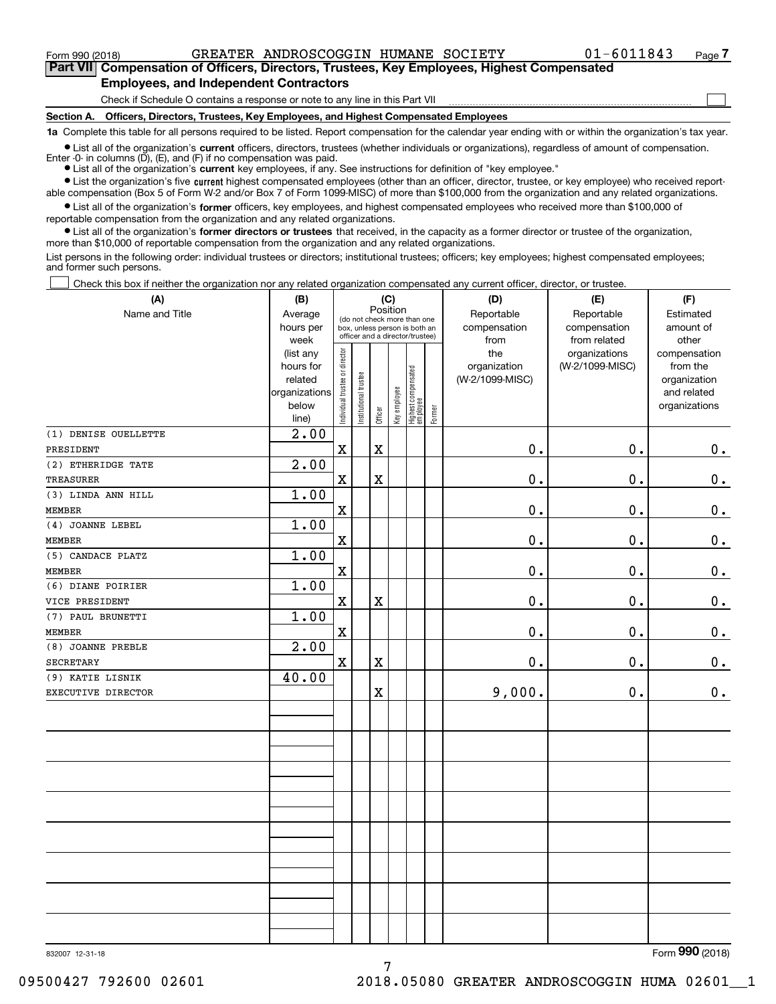**(A)**

 $\mathcal{L}^{\text{max}}$ 

**7Part VII Compensation of Officers, Directors, Trustees, Key Employees, Highest Compensated Employees, and Independent Contractors**

Check if Schedule O contains a response or note to any line in this Part VII

**Section A. Officers, Directors, Trustees, Key Employees, and Highest Compensated Employees**

**1a**  Complete this table for all persons required to be listed. Report compensation for the calendar year ending with or within the organization's tax year.

**•** List all of the organization's current officers, directors, trustees (whether individuals or organizations), regardless of amount of compensation. Enter -0- in columns  $(D)$ ,  $(E)$ , and  $(F)$  if no compensation was paid.

● List all of the organization's **current** key employees, if any. See instructions for definition of "key employee."

**•** List the organization's five current highest compensated employees (other than an officer, director, trustee, or key employee) who received reportable compensation (Box 5 of Form W-2 and/or Box 7 of Form 1099-MISC) of more than \$100,000 from the organization and any related organizations.

 $\bullet$  List all of the organization's **former** officers, key employees, and highest compensated employees who received more than \$100,000 of reportable compensation from the organization and any related organizations.

**•** List all of the organization's former directors or trustees that received, in the capacity as a former director or trustee of the organization, more than \$10,000 of reportable compensation from the organization and any related organizations.

List persons in the following order: individual trustees or directors; institutional trustees; officers; key employees; highest compensated employees; and former such persons.

Check this box if neither the organization nor any related organization compensated any current officer, director, or trustee.  $\mathcal{L}^{\text{max}}$ 

| (A)                  | (B)               |                                |                       |                         | (C)          |                                                                  |          | (D)                  | (E)                          | (F)                |
|----------------------|-------------------|--------------------------------|-----------------------|-------------------------|--------------|------------------------------------------------------------------|----------|----------------------|------------------------------|--------------------|
| Name and Title       | Average           |                                |                       | Position                |              | (do not check more than one                                      |          | Reportable           | Reportable                   | Estimated          |
|                      | hours per<br>week |                                |                       |                         |              | box, unless person is both an<br>officer and a director/trustee) |          | compensation<br>from | compensation<br>from related | amount of<br>other |
|                      | (list any         |                                |                       |                         |              |                                                                  |          | the                  | organizations                | compensation       |
|                      | hours for         |                                |                       |                         | organization | (W-2/1099-MISC)                                                  | from the |                      |                              |                    |
|                      | related           |                                |                       |                         |              |                                                                  |          | (W-2/1099-MISC)      |                              | organization       |
|                      | organizations     |                                |                       |                         |              |                                                                  |          |                      |                              | and related        |
|                      | below<br>line)    | Individual trustee or director | Institutional trustee | Officer                 | Key employee | Highest compensated<br>employee                                  | Former   |                      |                              | organizations      |
| (1) DENISE OUELLETTE | 2.00              |                                |                       |                         |              |                                                                  |          |                      |                              |                    |
| PRESIDENT            |                   | $\mathbf X$                    |                       | $\overline{\textbf{X}}$ |              |                                                                  |          | 0.                   | 0.                           | 0.                 |
| (2) ETHERIDGE TATE   | 2.00              |                                |                       |                         |              |                                                                  |          |                      |                              |                    |
| <b>TREASURER</b>     |                   | X                              |                       | $\overline{\textbf{X}}$ |              |                                                                  |          | 0.                   | 0.                           | $0_{.}$            |
| (3) LINDA ANN HILL   | 1.00              |                                |                       |                         |              |                                                                  |          |                      |                              |                    |
| <b>MEMBER</b>        |                   | $\mathbf X$                    |                       |                         |              |                                                                  |          | 0.                   | 0.                           | 0.                 |
| (4) JOANNE LEBEL     | 1.00              |                                |                       |                         |              |                                                                  |          |                      |                              |                    |
| <b>MEMBER</b>        |                   | $\rm X$                        |                       |                         |              |                                                                  |          | 0.                   | 0.                           | $\mathbf 0$ .      |
| (5) CANDACE PLATZ    | 1.00              |                                |                       |                         |              |                                                                  |          |                      |                              |                    |
| <b>MEMBER</b>        |                   | $\rm X$                        |                       |                         |              |                                                                  |          | 0.                   | 0.                           | 0.                 |
| (6) DIANE POIRIER    | 1.00              |                                |                       |                         |              |                                                                  |          |                      |                              |                    |
| VICE PRESIDENT       |                   | $\rm X$                        |                       | $\overline{\text{X}}$   |              |                                                                  |          | 0.                   | 0.                           | $\mathbf 0$ .      |
| (7) PAUL BRUNETTI    | 1.00              |                                |                       |                         |              |                                                                  |          |                      |                              |                    |
| <b>MEMBER</b>        |                   | $\mathbf X$                    |                       |                         |              |                                                                  |          | 0.                   | 0.                           | 0.                 |
| (8) JOANNE PREBLE    | 2.00              |                                |                       |                         |              |                                                                  |          |                      |                              |                    |
| <b>SECRETARY</b>     |                   | $\mathbf x$                    |                       | $\overline{\textbf{X}}$ |              |                                                                  |          | 0.                   | 0.                           | $0_{.}$            |
| (9) KATIE LISNIK     | 40.00             |                                |                       |                         |              |                                                                  |          |                      |                              |                    |
| EXECUTIVE DIRECTOR   |                   |                                |                       | $\overline{\textbf{X}}$ |              |                                                                  |          | 9,000.               | 0.                           | $\mathbf 0$ .      |
|                      |                   |                                |                       |                         |              |                                                                  |          |                      |                              |                    |
|                      |                   |                                |                       |                         |              |                                                                  |          |                      |                              |                    |
|                      |                   |                                |                       |                         |              |                                                                  |          |                      |                              |                    |
|                      |                   |                                |                       |                         |              |                                                                  |          |                      |                              |                    |
|                      |                   |                                |                       |                         |              |                                                                  |          |                      |                              |                    |
|                      |                   |                                |                       |                         |              |                                                                  |          |                      |                              |                    |
|                      |                   |                                |                       |                         |              |                                                                  |          |                      |                              |                    |
|                      |                   |                                |                       |                         |              |                                                                  |          |                      |                              |                    |
|                      |                   |                                |                       |                         |              |                                                                  |          |                      |                              |                    |
|                      |                   |                                |                       |                         |              |                                                                  |          |                      |                              |                    |
|                      |                   |                                |                       |                         |              |                                                                  |          |                      |                              |                    |
|                      |                   |                                |                       |                         |              |                                                                  |          |                      |                              |                    |

7

832007 12-31-18

Form (2018) **990**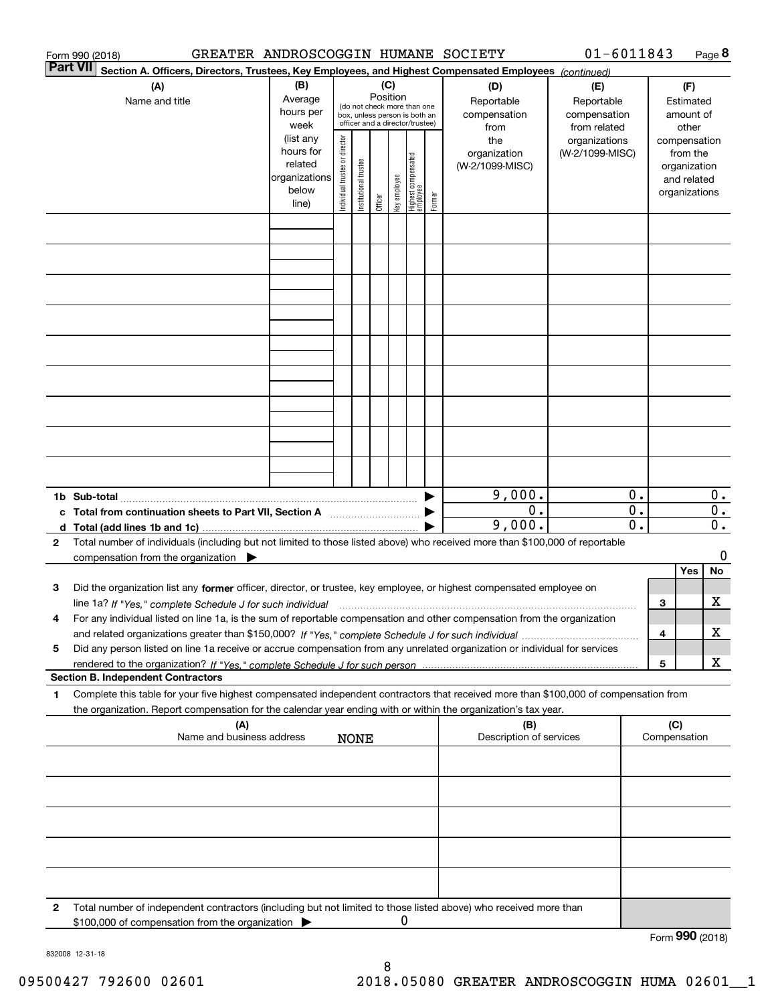|          | GREATER ANDROSCOGGIN HUMANE SOCIETY<br>Form 990 (2018)                                                                                                                                                                                                                      |                                                                      |                                |                            |         |              |                                 |        |                                                   | $01 - 6011843$                   |                                               |                                        |     | Page 8                               |
|----------|-----------------------------------------------------------------------------------------------------------------------------------------------------------------------------------------------------------------------------------------------------------------------------|----------------------------------------------------------------------|--------------------------------|----------------------------|---------|--------------|---------------------------------|--------|---------------------------------------------------|----------------------------------|-----------------------------------------------|----------------------------------------|-----|--------------------------------------|
| Part VII | Section A. Officers, Directors, Trustees, Key Employees, and Highest Compensated Employees (continued)                                                                                                                                                                      |                                                                      |                                |                            |         |              |                                 |        |                                                   |                                  |                                               |                                        |     |                                      |
|          | (C)<br>(B)<br>(A)<br>(D)<br>Position<br>Average<br>Reportable<br>Name and title<br>(do not check more than one<br>hours per<br>compensation<br>box, unless person is both an<br>officer and a director/trustee)<br>week<br>from                                             |                                                                      |                                |                            |         |              |                                 |        | (E)<br>Reportable<br>compensation<br>from related |                                  |                                               | (F)<br>Estimated<br>amount of<br>other |     |                                      |
|          |                                                                                                                                                                                                                                                                             | (list any<br>hours for<br>related<br>organizations<br>below<br>line) | Individual trustee or director | trustee<br>Institutional t | Officer | Key employee | Highest compensated<br>employee | Former | the<br>organization<br>(W-2/1099-MISC)            | organizations<br>(W-2/1099-MISC) |                                               |                                        |     |                                      |
|          |                                                                                                                                                                                                                                                                             |                                                                      |                                |                            |         |              |                                 |        |                                                   |                                  |                                               |                                        |     |                                      |
|          |                                                                                                                                                                                                                                                                             |                                                                      |                                |                            |         |              |                                 |        |                                                   |                                  |                                               |                                        |     |                                      |
|          |                                                                                                                                                                                                                                                                             |                                                                      |                                |                            |         |              |                                 |        |                                                   |                                  |                                               |                                        |     |                                      |
|          |                                                                                                                                                                                                                                                                             |                                                                      |                                |                            |         |              |                                 |        |                                                   |                                  |                                               |                                        |     |                                      |
|          |                                                                                                                                                                                                                                                                             |                                                                      |                                |                            |         |              |                                 |        |                                                   |                                  |                                               |                                        |     |                                      |
|          |                                                                                                                                                                                                                                                                             |                                                                      |                                |                            |         |              |                                 |        |                                                   |                                  |                                               |                                        |     |                                      |
|          |                                                                                                                                                                                                                                                                             |                                                                      |                                |                            |         |              |                                 |        |                                                   |                                  |                                               |                                        |     |                                      |
|          |                                                                                                                                                                                                                                                                             |                                                                      |                                |                            |         |              |                                 |        | 9,000.                                            |                                  | 0.                                            |                                        |     | $0$ .                                |
|          | c Total from continuation sheets to Part VII, Section A <b>manual</b> contains the Total from continuum                                                                                                                                                                     |                                                                      |                                |                            |         |              |                                 |        | 0.<br>9,000.                                      |                                  | $\overline{0}$ .<br>$\overline{\mathbf{0}}$ . |                                        |     | $\overline{0}$ .<br>$\overline{0}$ . |
| 2        | Total number of individuals (including but not limited to those listed above) who received more than \$100,000 of reportable<br>compensation from the organization $\blacktriangleright$                                                                                    |                                                                      |                                |                            |         |              |                                 |        |                                                   |                                  |                                               |                                        |     | 0                                    |
|          |                                                                                                                                                                                                                                                                             |                                                                      |                                |                            |         |              |                                 |        |                                                   |                                  |                                               |                                        | Yes | No                                   |
| з        | Did the organization list any former officer, director, or trustee, key employee, or highest compensated employee on                                                                                                                                                        |                                                                      |                                |                            |         |              |                                 |        |                                                   |                                  |                                               |                                        |     | x                                    |
| 4        | line 1a? If "Yes," complete Schedule J for such individual manufactured contained and the 1a? If "Yes," complete Schedule J for such individual<br>For any individual listed on line 1a, is the sum of reportable compensation and other compensation from the organization |                                                                      |                                |                            |         |              |                                 |        |                                                   |                                  |                                               | З                                      |     |                                      |
|          |                                                                                                                                                                                                                                                                             |                                                                      |                                |                            |         |              |                                 |        |                                                   |                                  |                                               | 4                                      |     | x                                    |
| 5        | Did any person listed on line 1a receive or accrue compensation from any unrelated organization or individual for services                                                                                                                                                  |                                                                      |                                |                            |         |              |                                 |        |                                                   |                                  |                                               |                                        |     |                                      |
|          | <b>Section B. Independent Contractors</b>                                                                                                                                                                                                                                   |                                                                      |                                |                            |         |              |                                 |        |                                                   |                                  |                                               | 5                                      |     | x                                    |
| 1        | Complete this table for your five highest compensated independent contractors that received more than \$100,000 of compensation from                                                                                                                                        |                                                                      |                                |                            |         |              |                                 |        |                                                   |                                  |                                               |                                        |     |                                      |
|          | the organization. Report compensation for the calendar year ending with or within the organization's tax year.<br>(A)                                                                                                                                                       |                                                                      |                                |                            |         |              |                                 |        | (B)                                               |                                  |                                               | (C)                                    |     |                                      |
|          | Name and business address                                                                                                                                                                                                                                                   |                                                                      |                                | <b>NONE</b>                |         |              |                                 |        | Description of services                           |                                  |                                               | Compensation                           |     |                                      |
|          |                                                                                                                                                                                                                                                                             |                                                                      |                                |                            |         |              |                                 |        |                                                   |                                  |                                               |                                        |     |                                      |
|          |                                                                                                                                                                                                                                                                             |                                                                      |                                |                            |         |              |                                 |        |                                                   |                                  |                                               |                                        |     |                                      |
|          |                                                                                                                                                                                                                                                                             |                                                                      |                                |                            |         |              |                                 |        |                                                   |                                  |                                               |                                        |     |                                      |
|          |                                                                                                                                                                                                                                                                             |                                                                      |                                |                            |         |              |                                 |        |                                                   |                                  |                                               |                                        |     |                                      |
| 2        | Total number of independent contractors (including but not limited to those listed above) who received more than<br>\$100,000 of compensation from the organization                                                                                                         |                                                                      |                                |                            |         | 0            |                                 |        |                                                   |                                  |                                               |                                        |     |                                      |
|          |                                                                                                                                                                                                                                                                             |                                                                      |                                |                            |         |              |                                 |        |                                                   |                                  |                                               | Form 990 (2018)                        |     |                                      |

832008 12-31-18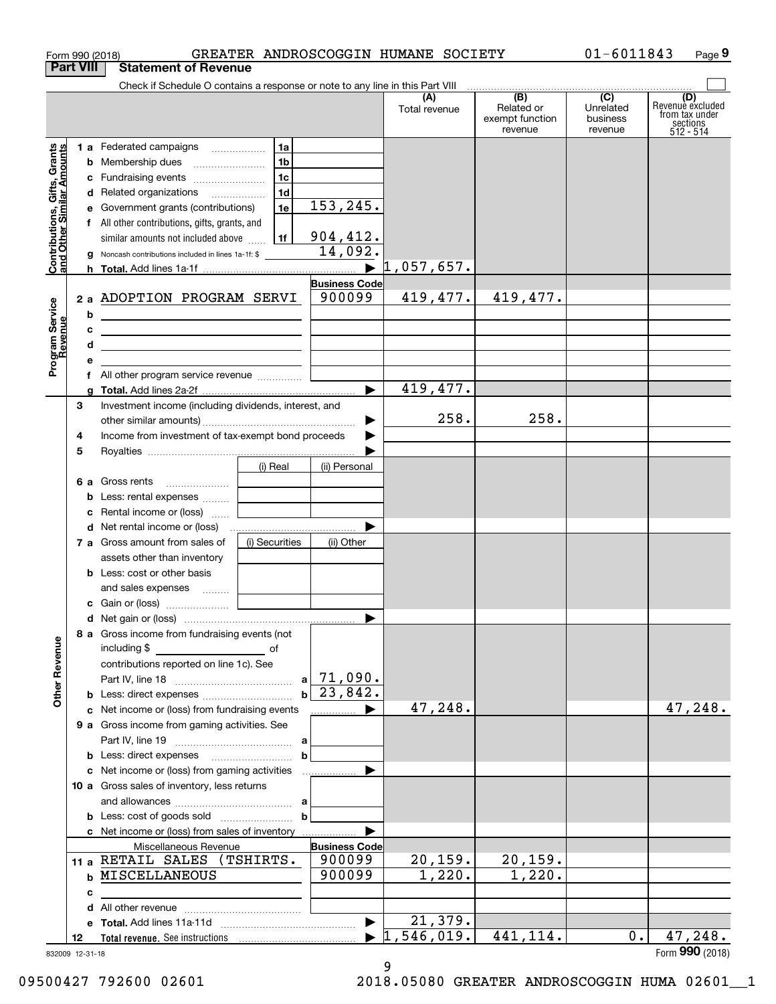| Form 990 (2018)                                                | GREATER ANDROSCOGGIN HUMANE SOCIETY                                                                                  |                                |                      |                                                 | $01 - 6011843$                                       | Page 9                                                             |
|----------------------------------------------------------------|----------------------------------------------------------------------------------------------------------------------|--------------------------------|----------------------|-------------------------------------------------|------------------------------------------------------|--------------------------------------------------------------------|
| <b>Part VIII</b>                                               | <b>Statement of Revenue</b>                                                                                          |                                |                      |                                                 |                                                      |                                                                    |
|                                                                | Check if Schedule O contains a response or note to any line in this Part VIII                                        |                                | (A)<br>Total revenue | (B)<br>Related or<br>exempt function<br>revenue | $\overline{(C)}$<br>Unrelated<br>business<br>revenue | (D)<br>Revenue excluded<br>from tax under<br>sections<br>512 - 514 |
|                                                                | 1 a Federated campaigns<br>1a                                                                                        |                                |                      |                                                 |                                                      |                                                                    |
| Contributions, Gifts, Grants<br>and Other Similar Amounts<br>b | 1 <sub>b</sub><br>Membership dues                                                                                    |                                |                      |                                                 |                                                      |                                                                    |
|                                                                | 1c<br>c Fundraising events                                                                                           |                                |                      |                                                 |                                                      |                                                                    |
|                                                                | 1 <sub>d</sub><br>d Related organizations                                                                            |                                |                      |                                                 |                                                      |                                                                    |
| е                                                              | 1e<br>Government grants (contributions)                                                                              | 153, 245.                      |                      |                                                 |                                                      |                                                                    |
|                                                                | f All other contributions, gifts, grants, and                                                                        |                                |                      |                                                 |                                                      |                                                                    |
|                                                                | 1f<br>similar amounts not included above                                                                             | 904, 412.                      |                      |                                                 |                                                      |                                                                    |
| g                                                              | Noncash contributions included in lines 1a-1f: \$                                                                    | 14,092.                        |                      |                                                 |                                                      |                                                                    |
| h.                                                             |                                                                                                                      | ▶                              | 1,057,657.           |                                                 |                                                      |                                                                    |
|                                                                |                                                                                                                      | <b>Business Code</b>           |                      |                                                 |                                                      |                                                                    |
|                                                                | 2 a ADOPTION PROGRAM SERVI                                                                                           | 900099                         | 419,477.             | 419,477.                                        |                                                      |                                                                    |
| b                                                              | <u> 1980 - Johann Barn, mars ann an t-Amhain Aonaich an t-Aonaich an t-Aonaich ann an t-Aonaich ann an t-Aonaich</u> |                                |                      |                                                 |                                                      |                                                                    |
| с                                                              | <u> 2000 - Jan James Alexandria (h. 1878).</u>                                                                       |                                |                      |                                                 |                                                      |                                                                    |
| d                                                              | the control of the control of the control of the control of the control of the control of                            |                                |                      |                                                 |                                                      |                                                                    |
| Program Service<br>Revenue<br>е                                |                                                                                                                      |                                |                      |                                                 |                                                      |                                                                    |
|                                                                | f All other program service revenue                                                                                  |                                |                      |                                                 |                                                      |                                                                    |
| g                                                              |                                                                                                                      | $\blacktriangleright$          | 419,477.             |                                                 |                                                      |                                                                    |
| 3                                                              | Investment income (including dividends, interest, and                                                                |                                |                      |                                                 |                                                      |                                                                    |
|                                                                |                                                                                                                      | ▶                              | 258.                 | 258.                                            |                                                      |                                                                    |
| 4                                                              | Income from investment of tax-exempt bond proceeds                                                                   |                                |                      |                                                 |                                                      |                                                                    |
| 5                                                              |                                                                                                                      |                                |                      |                                                 |                                                      |                                                                    |
|                                                                | (i) Real                                                                                                             | (ii) Personal                  |                      |                                                 |                                                      |                                                                    |
|                                                                | 6 a Gross rents                                                                                                      |                                |                      |                                                 |                                                      |                                                                    |
| b                                                              | Less: rental expenses                                                                                                |                                |                      |                                                 |                                                      |                                                                    |
| с                                                              | Rental income or (loss)                                                                                              |                                |                      |                                                 |                                                      |                                                                    |
|                                                                | <b>d</b> Net rental income or (loss)                                                                                 |                                |                      |                                                 |                                                      |                                                                    |
|                                                                | 7 a Gross amount from sales of<br>(i) Securities                                                                     | (ii) Other                     |                      |                                                 |                                                      |                                                                    |
|                                                                | assets other than inventory                                                                                          |                                |                      |                                                 |                                                      |                                                                    |
|                                                                | <b>b</b> Less: cost or other basis                                                                                   |                                |                      |                                                 |                                                      |                                                                    |
|                                                                | and sales expenses                                                                                                   |                                |                      |                                                 |                                                      |                                                                    |
|                                                                |                                                                                                                      |                                |                      |                                                 |                                                      |                                                                    |
|                                                                |                                                                                                                      |                                |                      |                                                 |                                                      |                                                                    |
|                                                                | 8 a Gross income from fundraising events (not                                                                        |                                |                      |                                                 |                                                      |                                                                    |
|                                                                | including $$$                                                                                                        |                                |                      |                                                 |                                                      |                                                                    |
|                                                                | contributions reported on line 1c). See                                                                              | $a$ 71,090.                    |                      |                                                 |                                                      |                                                                    |
|                                                                |                                                                                                                      | $b \mid 23,842.$               |                      |                                                 |                                                      |                                                                    |
|                                                                |                                                                                                                      | ▶                              | 47,248.              |                                                 |                                                      | 47,248.                                                            |
|                                                                | c Net income or (loss) from fundraising events                                                                       | .                              |                      |                                                 |                                                      |                                                                    |
|                                                                | 9 a Gross income from gaming activities. See                                                                         |                                |                      |                                                 |                                                      |                                                                    |
|                                                                |                                                                                                                      |                                |                      |                                                 |                                                      |                                                                    |
|                                                                |                                                                                                                      | $\mathbf b$                    |                      |                                                 |                                                      |                                                                    |
|                                                                | c Net income or (loss) from gaming activities<br>10 a Gross sales of inventory, less returns                         | ▶                              |                      |                                                 |                                                      |                                                                    |
|                                                                |                                                                                                                      |                                |                      |                                                 |                                                      |                                                                    |
|                                                                |                                                                                                                      | $\mathbf b$                    |                      |                                                 |                                                      |                                                                    |
|                                                                |                                                                                                                      |                                |                      |                                                 |                                                      |                                                                    |
|                                                                | c Net income or (loss) from sales of inventory                                                                       |                                |                      |                                                 |                                                      |                                                                    |
|                                                                | Miscellaneous Revenue<br>11 a RETAIL SALES<br>(TSHIRTS.                                                              | <b>Business Code</b><br>900099 | 20, 159.             | 20, 159.                                        |                                                      |                                                                    |
|                                                                | <b>b MISCELLANEOUS</b>                                                                                               | 900099                         | 1,220.               | 1,220.                                          |                                                      |                                                                    |
|                                                                |                                                                                                                      |                                |                      |                                                 |                                                      |                                                                    |
| с                                                              |                                                                                                                      |                                |                      |                                                 |                                                      |                                                                    |
| d                                                              |                                                                                                                      |                                | 21, 379.             |                                                 |                                                      |                                                                    |
| 12                                                             |                                                                                                                      |                                | 1,546,019.           | 441,114.                                        | 0.                                                   | 47,248.                                                            |
|                                                                |                                                                                                                      |                                |                      |                                                 |                                                      | Form 990 (2018)                                                    |

832009 12-31-18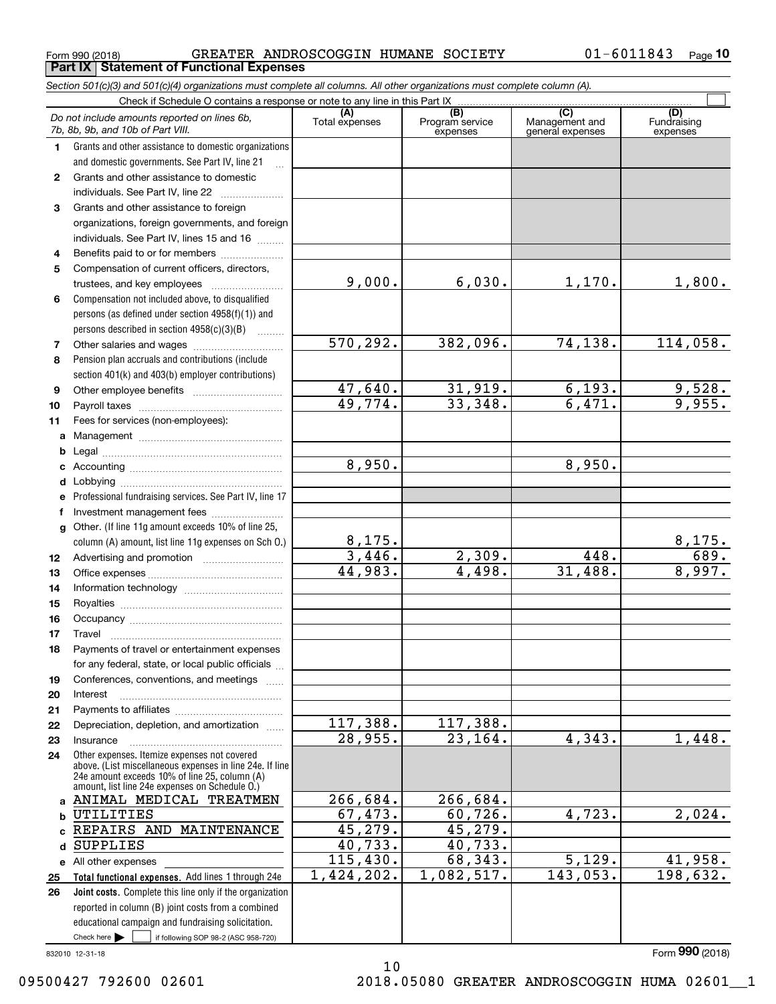$_{\rm Form}$  990 (2018) GREATER ANDROSCOGGIN HUMANE SOCIETY 0 $1$ –60 $11843$   $_{\rm Page}$ **Part IX Statement of Functional Expenses**

|                  | Section 501(c)(3) and 501(c)(4) organizations must complete all columns. All other organizations must complete column (A).                                                                                  |                       |                                    |                                                      |                                |
|------------------|-------------------------------------------------------------------------------------------------------------------------------------------------------------------------------------------------------------|-----------------------|------------------------------------|------------------------------------------------------|--------------------------------|
|                  | Check if Schedule O contains a response or note to any line in this Part IX                                                                                                                                 |                       |                                    |                                                      |                                |
|                  | Do not include amounts reported on lines 6b,<br>7b, 8b, 9b, and 10b of Part VIII.                                                                                                                           | (A)<br>Total expenses | (B)<br>Program service<br>expenses | $\overline{C}$<br>Management and<br>general expenses | (D)<br>Fundraising<br>expenses |
| 1.               | Grants and other assistance to domestic organizations                                                                                                                                                       |                       |                                    |                                                      |                                |
|                  | and domestic governments. See Part IV, line 21                                                                                                                                                              |                       |                                    |                                                      |                                |
| $\mathbf{2}$     | Grants and other assistance to domestic                                                                                                                                                                     |                       |                                    |                                                      |                                |
|                  | individuals. See Part IV, line 22                                                                                                                                                                           |                       |                                    |                                                      |                                |
| 3                | Grants and other assistance to foreign                                                                                                                                                                      |                       |                                    |                                                      |                                |
|                  | organizations, foreign governments, and foreign                                                                                                                                                             |                       |                                    |                                                      |                                |
|                  | individuals. See Part IV, lines 15 and 16                                                                                                                                                                   |                       |                                    |                                                      |                                |
| 4                | Benefits paid to or for members                                                                                                                                                                             |                       |                                    |                                                      |                                |
| 5                | Compensation of current officers, directors,                                                                                                                                                                |                       |                                    |                                                      |                                |
|                  |                                                                                                                                                                                                             | 9,000.                | 6,030.                             | 1,170.                                               | 1,800.                         |
| 6                | Compensation not included above, to disqualified                                                                                                                                                            |                       |                                    |                                                      |                                |
|                  | persons (as defined under section 4958(f)(1)) and                                                                                                                                                           |                       |                                    |                                                      |                                |
|                  | persons described in section $4958(c)(3)(B)$<br>$\sim$                                                                                                                                                      |                       |                                    |                                                      |                                |
| 7                |                                                                                                                                                                                                             | 570,292.              | 382,096.                           | 74,138.                                              | $\overline{114,058}$ .         |
| 8                | Pension plan accruals and contributions (include                                                                                                                                                            |                       |                                    |                                                      |                                |
|                  | section 401(k) and 403(b) employer contributions)                                                                                                                                                           |                       |                                    |                                                      |                                |
| 9                |                                                                                                                                                                                                             | 47,640.               | 31,919.                            | 6, 193.                                              | 9,528.                         |
| 10               |                                                                                                                                                                                                             | 49,774.               | 33,348.                            | 6,471.                                               | 9,955.                         |
| 11               | Fees for services (non-employees):                                                                                                                                                                          |                       |                                    |                                                      |                                |
| a                |                                                                                                                                                                                                             |                       |                                    |                                                      |                                |
| b                |                                                                                                                                                                                                             |                       |                                    |                                                      |                                |
| с                |                                                                                                                                                                                                             | 8,950.                |                                    | 8,950.                                               |                                |
| d                |                                                                                                                                                                                                             |                       |                                    |                                                      |                                |
| е                | Professional fundraising services. See Part IV, line 17                                                                                                                                                     |                       |                                    |                                                      |                                |
| f                | Investment management fees                                                                                                                                                                                  |                       |                                    |                                                      |                                |
| g                | Other. (If line 11g amount exceeds 10% of line 25,                                                                                                                                                          |                       |                                    |                                                      |                                |
|                  | column (A) amount, list line 11g expenses on Sch O.)                                                                                                                                                        | <u>8,175.</u>         |                                    |                                                      | $\frac{8,175.}{689.}$          |
| 12 <sup>12</sup> |                                                                                                                                                                                                             | 3,446.                | 2,309.                             | 448.                                                 |                                |
| 13               |                                                                                                                                                                                                             | 44,983.               | 4,498.                             | 31,488.                                              | 8,997.                         |
| 14               |                                                                                                                                                                                                             |                       |                                    |                                                      |                                |
| 15               |                                                                                                                                                                                                             |                       |                                    |                                                      |                                |
| 16               |                                                                                                                                                                                                             |                       |                                    |                                                      |                                |
| 17               |                                                                                                                                                                                                             |                       |                                    |                                                      |                                |
| 18               | Payments of travel or entertainment expenses                                                                                                                                                                |                       |                                    |                                                      |                                |
|                  | for any federal, state, or local public officials                                                                                                                                                           |                       |                                    |                                                      |                                |
| 19               | Conferences, conventions, and meetings                                                                                                                                                                      |                       |                                    |                                                      |                                |
| 20               | Interest                                                                                                                                                                                                    |                       |                                    |                                                      |                                |
| 21               |                                                                                                                                                                                                             |                       |                                    |                                                      |                                |
| 22               | Depreciation, depletion, and amortization                                                                                                                                                                   | 117,388.              | 117,388.                           |                                                      |                                |
| 23               | Insurance                                                                                                                                                                                                   | 28,955.               | 23, 164.                           | 4,343.                                               | 1,448.                         |
| 24               | Other expenses. Itemize expenses not covered<br>above. (List miscellaneous expenses in line 24e. If line<br>24e amount exceeds 10% of line 25, column (A)<br>amount, list line 24e expenses on Schedule O.) |                       |                                    |                                                      |                                |
|                  | a ANIMAL MEDICAL TREATMEN                                                                                                                                                                                   | 266,684.              | 266,684.                           |                                                      |                                |
| b                | UTILITIES                                                                                                                                                                                                   | 67,473.               | 60, 726.                           | 4,723.                                               | 2,024.                         |
|                  | REPAIRS AND MAINTENANCE                                                                                                                                                                                     | 45,279.               | 45, 279.                           |                                                      |                                |
| d                | <b>SUPPLIES</b>                                                                                                                                                                                             | 40,733.               | 40,733.                            |                                                      |                                |
|                  | e All other expenses                                                                                                                                                                                        | 115,430.              | 68,343.                            | 5,129.                                               | 41,958.                        |
| 25               | Total functional expenses. Add lines 1 through 24e                                                                                                                                                          | 1,424,202.            | 1,082,517.                         | 143,053.                                             | 198,632.                       |
| 26               | <b>Joint costs.</b> Complete this line only if the organization                                                                                                                                             |                       |                                    |                                                      |                                |
|                  | reported in column (B) joint costs from a combined                                                                                                                                                          |                       |                                    |                                                      |                                |
|                  | educational campaign and fundraising solicitation.                                                                                                                                                          |                       |                                    |                                                      |                                |
|                  | Check here $\blacktriangleright$<br>if following SOP 98-2 (ASC 958-720)                                                                                                                                     |                       |                                    |                                                      |                                |

10

832010 12-31-18

Form (2018) **990**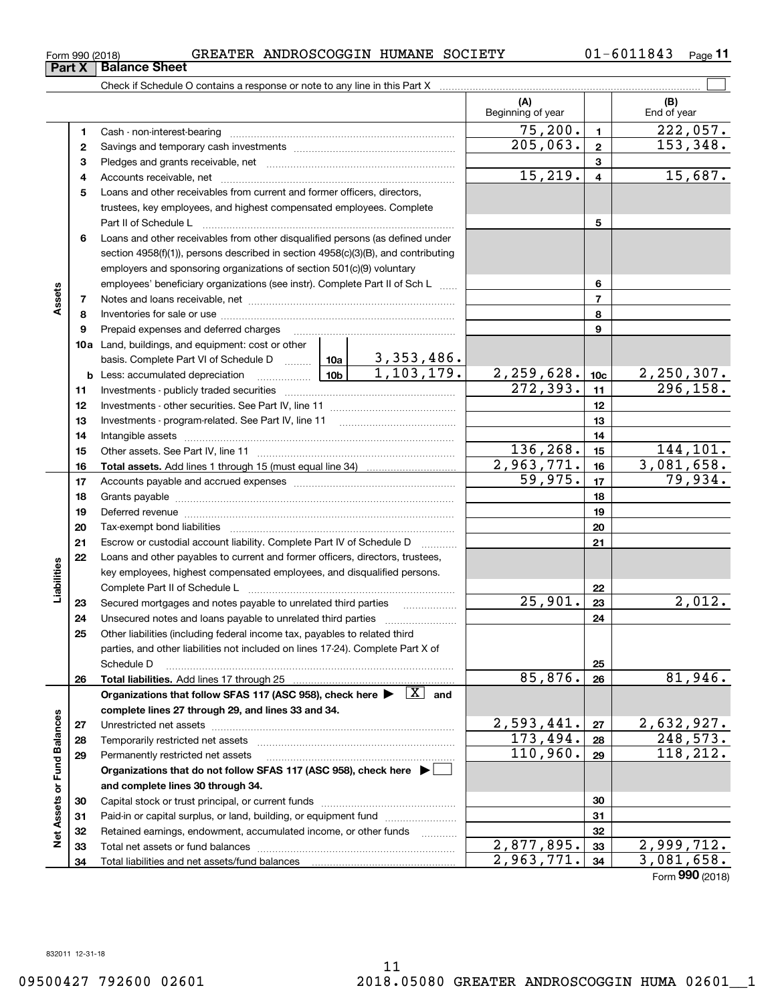**Net Assets or Fund Balances**

**Net Assets or Fund Balances** 

 $2,877,895.$  33 2,999,712.  $2,963,771.$   $34$  3,081,658.

Form (2018) **990**

**5678910a**Land, buildings, and equipment: cost or other **111213141516171819202122232425262728295678910c11121314151617181920212223242526b** Less: accumulated depreciation \_\_\_\_\_\_\_\_\_\_\_\_\_\_\_ Lub basis. Complete Part VI of Schedule D will aller **Total assets.**  Add lines 1 through 15 (must equal line 34) **Total liabilities.**  Add lines 17 through 25 Organizations that follow SFAS 117 (ASC 958), check here  $\blacktriangleright$   $\boxed{\text{X}}$  and **complete lines 27 through 29, and lines 33 and 34. 272829Organizations that do not follow SFAS 117 (ASC 958), check here** | **and complete lines 30 through 34.** Loans and other receivables from current and former officers, directors, trustees, key employees, and highest compensated employees. Complete Part II of Schedule L ~~~~~~~~~~~~~~~~~~~~~~~~~~~~ Loans and other receivables from other disqualified persons (as defined under section 4958(f)(1)), persons described in section 4958(c)(3)(B), and contributing employers and sponsoring organizations of section 501(c)(9) voluntary employees' beneficiary organizations (see instr). Complete Part II of Sch L ...... Notes and loans receivable, net ~~~~~~~~~~~~~~~~~~~~~~~ Inventories for sale or use ~~~~~~~~~~~~~~~~~~~~~~~~~~ Prepaid expenses and deferred charges Investments - publicly traded securities ~~~~~~~~~~~~~~~~~~~ Investments - other securities. See Part IV, line 11 ~~~~~~~~~~~~~~Investments - program-related. See Part IV, line 11 Intangible assets …………………………………………………………………………………… Other assets. See Part IV, line 11 ~~~~~~~~~~~~~~~~~~~~~~ Accounts payable and accrued expenses ~~~~~~~~~~~~~~~~~~Grants payable ~~~~~~~~~~~~~~~~~~~~~~~~~~~~~~~ Deferred revenue et al. and the state of the state of the state of the state of the state of the state of the state of the state of the state of the state of the state of the state of the state of the state of the state of Tax-exempt bond liabilities …………………………………………………………… Escrow or custodial account liability. Complete Part IV of Schedule D  $\quad \, \ldots \ldots \ldots \,$ Loans and other payables to current and former officers, directors, trustees, key employees, highest compensated employees, and disqualified persons. Complete Part II of Schedule L <sub>…………………………………………………………</sub> Secured mortgages and notes payable to unrelated third parties Unsecured notes and loans payable to unrelated third parties ~~~~~~~~~~~~~~~~~~~~ Other liabilities (including federal income tax, payables to related third parties, and other liabilities not included on lines 17-24). Complete Part X of Schedule D ~~~~~~~~~~~~~~~~~~~~~~~~~~~~~~~~ Unrestricted net assets ~~~~~~~~~~~~~~~~~~~~~~~~~~~ Temporarily restricted net assets ~~~~~~~~~~~~~~~~~~~~~~ Permanently restricted net assets ……………………………………………………  $272,393.$  11 296,158. 3,353,486.  $1,103,179.$  2, 259, 628. 10c 2, 250, 307.  $136, 268. |15| 144, 101.$  $2,963,771.$   $16$  3,081,658.  $59,975.$  17 79,934.  $25,901. | z_3 | 2,012.$  $85,876.$  26 81,946.  $2,593,441. | z_7 | 2,632,927.$  $173,494. |28| 248,573.$  $110,960.$  29 118,212.

 $_{\rm Form}$  990 (2018) GREATER ANDROSCOGGIN HUMANE SOCIETY 0 $1$ –60 $11843$   $_{\rm Page}$ 

Check if Schedule O contains a response or note to any line in this Part X

**3** Pledges and grants receivable, net  $\ldots$  **multimes contained and grants receivable**, net **multimes contained and grants receivable**, net **multimes contained and grants receivable** 

Cash - non-interest-bearing ~~~~~~~~~~~~~~~~~~~~~~~~~ Savings and temporary cash investments ~~~~~~~~~~~~~~~~~~

Accounts receivable, net ~~~~~~~~~~~~~~~~~~~~~~~~~~

Capital stock or trust principal, or current funds ~~~~~~~~~~~~~~~ Paid-in or capital surplus, or land, building, or equipment fund will concurred. Retained earnings, endowment, accumulated income, or other funds www.com Total net assets or fund balances ~~~~~~~~~~~~~~~~~~~~~~

Total liabilities and net assets/fund balances

01-6011843 Page 11

 $\mathcal{L}^{\text{max}}$ 

**(A) (B)**

Beginning of year | | End of year

 $75,200$ .  $1$  222,057.

 $\overline{205,063.}$  2 153,348.

 $15,219. | 4 | 15,687.$ 

## **Part X** Balance Sheet

**12**

**4**

**Assets**

**Liabilities**

Liabilities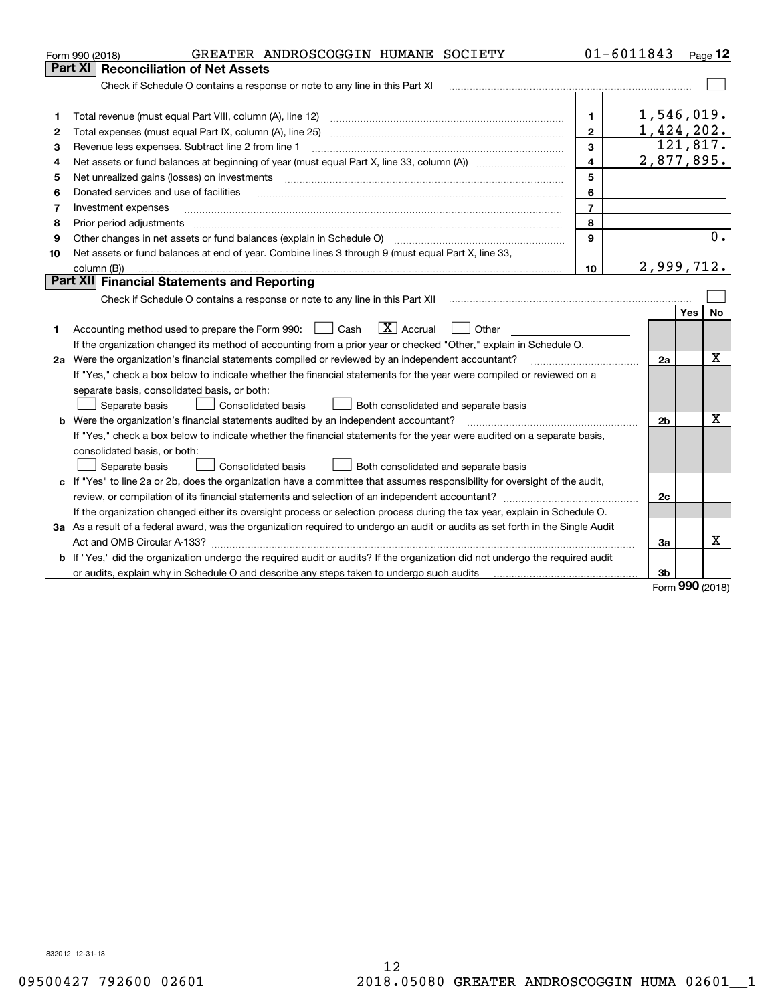|                                                                                                                                                                               |          | Page 12          |
|-------------------------------------------------------------------------------------------------------------------------------------------------------------------------------|----------|------------------|
| Part XI   Reconciliation of Net Assets                                                                                                                                        |          |                  |
| Check if Schedule O contains a response or note to any line in this Part XI                                                                                                   |          |                  |
|                                                                                                                                                                               |          |                  |
| 1,546,019.<br>$\mathbf{1}$<br>1                                                                                                                                               |          |                  |
| 1,424,202.<br>$\mathbf{2}$<br>2                                                                                                                                               |          |                  |
| 3<br>Revenue less expenses. Subtract line 2 from line 1<br>з                                                                                                                  | 121,817. |                  |
| 2,877,895.<br>4<br>4                                                                                                                                                          |          |                  |
| 5<br>Net unrealized gains (losses) on investments<br>5                                                                                                                        |          |                  |
| 6<br>Donated services and use of facilities<br>6                                                                                                                              |          |                  |
| $\overline{7}$<br>Investment expenses<br>7                                                                                                                                    |          |                  |
| 8<br>Prior period adjustments<br>8                                                                                                                                            |          |                  |
| 9<br>Other changes in net assets or fund balances (explain in Schedule O)<br>9                                                                                                |          | $\overline{0}$ . |
| Net assets or fund balances at end of year. Combine lines 3 through 9 (must equal Part X, line 33,<br>10                                                                      |          |                  |
| 2,999,712.<br>10<br>column (B))                                                                                                                                               |          |                  |
| Part XII Financial Statements and Reporting                                                                                                                                   |          |                  |
| Check if Schedule O contains a response or note to any line in this Part XII [11] [12] [13] [13] Check if Schedule O contains a response or note to any line in this Part XII |          |                  |
|                                                                                                                                                                               | Yes      | No               |
| $\boxed{\mathbf{X}}$ Accrual<br>Accounting method used to prepare the Form 990: <u>[</u> Cash<br>Other<br>1                                                                   |          |                  |
| If the organization changed its method of accounting from a prior year or checked "Other," explain in Schedule O.                                                             |          |                  |
| 2a Were the organization's financial statements compiled or reviewed by an independent accountant?<br>2a                                                                      |          | Χ                |
| If "Yes," check a box below to indicate whether the financial statements for the year were compiled or reviewed on a                                                          |          |                  |
| separate basis, consolidated basis, or both:                                                                                                                                  |          |                  |
| Separate basis<br>Both consolidated and separate basis<br>Consolidated basis                                                                                                  |          |                  |
| <b>b</b> Were the organization's financial statements audited by an independent accountant?<br>2 <sub>b</sub>                                                                 |          | х                |
| If "Yes," check a box below to indicate whether the financial statements for the year were audited on a separate basis,                                                       |          |                  |
| consolidated basis, or both:                                                                                                                                                  |          |                  |
| Separate basis<br>Consolidated basis<br>Both consolidated and separate basis                                                                                                  |          |                  |
| c If "Yes" to line 2a or 2b, does the organization have a committee that assumes responsibility for oversight of the audit,                                                   |          |                  |
| 2c                                                                                                                                                                            |          |                  |
| If the organization changed either its oversight process or selection process during the tax year, explain in Schedule O.                                                     |          |                  |
| 3a As a result of a federal award, was the organization required to undergo an audit or audits as set forth in the Single Audit                                               |          |                  |
| 3a                                                                                                                                                                            |          | x                |
| b If "Yes," did the organization undergo the required audit or audits? If the organization did not undergo the required audit                                                 |          |                  |
| or audits, explain why in Schedule O and describe any steps taken to undergo such audits [11] or anomalization<br>3b                                                          | nnn.     |                  |

Form (2018) **990**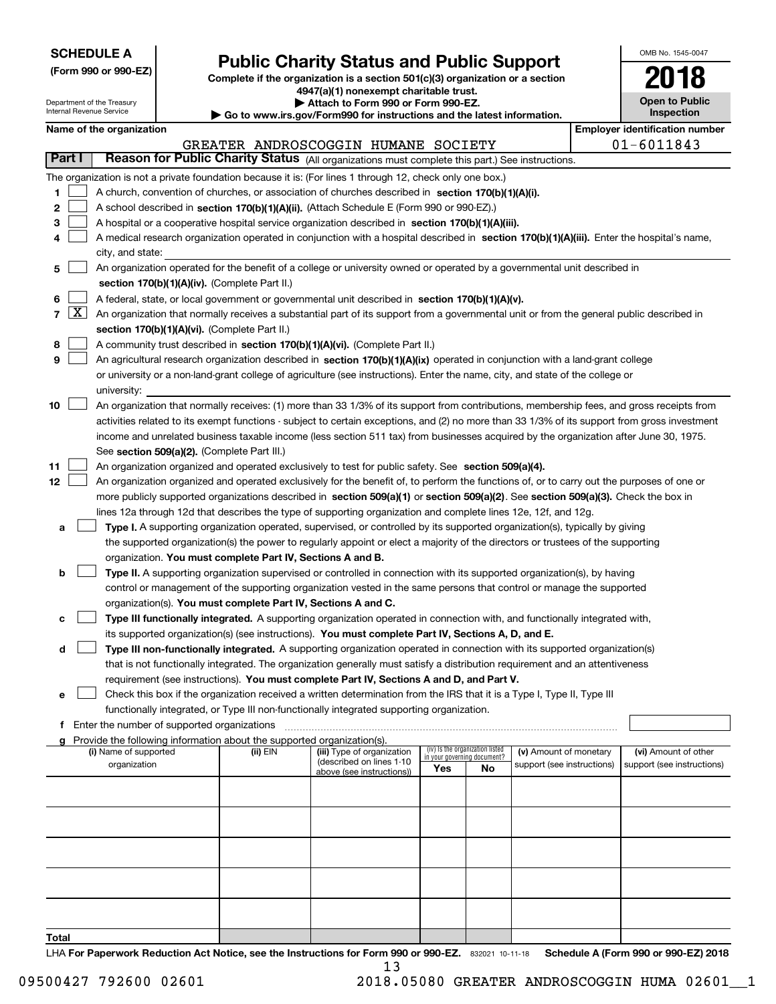| <b>SCHEDULE A</b> |
|-------------------|
|-------------------|

Department of the Treasury

**(Form 990 or 990-EZ)**

## **Public Charity Status and Public Support**

**Complete if the organization is a section 501(c)(3) organization or a section 4947(a)(1) nonexempt charitable trust. | Attach to Form 990 or Form 990-EZ.** 

| OMB No 1545-0047                    |
|-------------------------------------|
| 2018                                |
| <b>Open to Public</b><br>Inspection |

|    |              | Internal Revenue Service                                                                          |                                                      |                                                                        |                                                                                                                                               | Go to www.irs.gov/Form990 for instructions and the latest information. |                                                                |                            |  |                                       |  |  |  |
|----|--------------|---------------------------------------------------------------------------------------------------|------------------------------------------------------|------------------------------------------------------------------------|-----------------------------------------------------------------------------------------------------------------------------------------------|------------------------------------------------------------------------|----------------------------------------------------------------|----------------------------|--|---------------------------------------|--|--|--|
|    |              | Name of the organization                                                                          |                                                      |                                                                        |                                                                                                                                               |                                                                        |                                                                |                            |  | <b>Employer identification number</b> |  |  |  |
|    |              |                                                                                                   |                                                      |                                                                        | GREATER ANDROSCOGGIN HUMANE SOCIETY                                                                                                           |                                                                        |                                                                |                            |  | $01 - 6011843$                        |  |  |  |
|    | Part I       |                                                                                                   |                                                      |                                                                        | Reason for Public Charity Status (All organizations must complete this part.) See instructions.                                               |                                                                        |                                                                |                            |  |                                       |  |  |  |
|    |              |                                                                                                   |                                                      |                                                                        | The organization is not a private foundation because it is: (For lines 1 through 12, check only one box.)                                     |                                                                        |                                                                |                            |  |                                       |  |  |  |
| 1  |              |                                                                                                   |                                                      |                                                                        | A church, convention of churches, or association of churches described in section 170(b)(1)(A)(i).                                            |                                                                        |                                                                |                            |  |                                       |  |  |  |
| 2  |              |                                                                                                   |                                                      |                                                                        | A school described in section 170(b)(1)(A)(ii). (Attach Schedule E (Form 990 or 990-EZ).)                                                     |                                                                        |                                                                |                            |  |                                       |  |  |  |
| з  |              | A hospital or a cooperative hospital service organization described in section 170(b)(1)(A)(iii). |                                                      |                                                                        |                                                                                                                                               |                                                                        |                                                                |                            |  |                                       |  |  |  |
|    |              |                                                                                                   |                                                      |                                                                        | A medical research organization operated in conjunction with a hospital described in section 170(b)(1)(A)(iii). Enter the hospital's name,    |                                                                        |                                                                |                            |  |                                       |  |  |  |
|    |              | city, and state:                                                                                  |                                                      |                                                                        |                                                                                                                                               |                                                                        |                                                                |                            |  |                                       |  |  |  |
| 5  |              |                                                                                                   |                                                      |                                                                        | An organization operated for the benefit of a college or university owned or operated by a governmental unit described in                     |                                                                        |                                                                |                            |  |                                       |  |  |  |
|    |              |                                                                                                   |                                                      | section 170(b)(1)(A)(iv). (Complete Part II.)                          |                                                                                                                                               |                                                                        |                                                                |                            |  |                                       |  |  |  |
| 6  |              |                                                                                                   |                                                      |                                                                        | A federal, state, or local government or governmental unit described in section 170(b)(1)(A)(v).                                              |                                                                        |                                                                |                            |  |                                       |  |  |  |
| 7  | $\mathbf{X}$ |                                                                                                   |                                                      |                                                                        | An organization that normally receives a substantial part of its support from a governmental unit or from the general public described in     |                                                                        |                                                                |                            |  |                                       |  |  |  |
|    |              |                                                                                                   |                                                      | section 170(b)(1)(A)(vi). (Complete Part II.)                          |                                                                                                                                               |                                                                        |                                                                |                            |  |                                       |  |  |  |
| 8  |              |                                                                                                   |                                                      |                                                                        | A community trust described in section 170(b)(1)(A)(vi). (Complete Part II.)                                                                  |                                                                        |                                                                |                            |  |                                       |  |  |  |
| 9  |              |                                                                                                   |                                                      |                                                                        | An agricultural research organization described in section 170(b)(1)(A)(ix) operated in conjunction with a land-grant college                 |                                                                        |                                                                |                            |  |                                       |  |  |  |
|    |              |                                                                                                   |                                                      |                                                                        | or university or a non-land-grant college of agriculture (see instructions). Enter the name, city, and state of the college or                |                                                                        |                                                                |                            |  |                                       |  |  |  |
|    |              | university:                                                                                       |                                                      |                                                                        |                                                                                                                                               |                                                                        |                                                                |                            |  |                                       |  |  |  |
| 10 |              |                                                                                                   |                                                      |                                                                        | An organization that normally receives: (1) more than 33 1/3% of its support from contributions, membership fees, and gross receipts from     |                                                                        |                                                                |                            |  |                                       |  |  |  |
|    |              |                                                                                                   |                                                      |                                                                        | activities related to its exempt functions - subject to certain exceptions, and (2) no more than 33 1/3% of its support from gross investment |                                                                        |                                                                |                            |  |                                       |  |  |  |
|    |              |                                                                                                   |                                                      |                                                                        | income and unrelated business taxable income (less section 511 tax) from businesses acquired by the organization after June 30, 1975.         |                                                                        |                                                                |                            |  |                                       |  |  |  |
|    |              |                                                                                                   |                                                      | See section 509(a)(2). (Complete Part III.)                            |                                                                                                                                               |                                                                        |                                                                |                            |  |                                       |  |  |  |
| 11 |              |                                                                                                   |                                                      |                                                                        | An organization organized and operated exclusively to test for public safety. See section 509(a)(4).                                          |                                                                        |                                                                |                            |  |                                       |  |  |  |
| 12 |              |                                                                                                   |                                                      |                                                                        | An organization organized and operated exclusively for the benefit of, to perform the functions of, or to carry out the purposes of one or    |                                                                        |                                                                |                            |  |                                       |  |  |  |
|    |              |                                                                                                   |                                                      |                                                                        | more publicly supported organizations described in section 509(a)(1) or section 509(a)(2). See section 509(a)(3). Check the box in            |                                                                        |                                                                |                            |  |                                       |  |  |  |
|    |              |                                                                                                   |                                                      |                                                                        | lines 12a through 12d that describes the type of supporting organization and complete lines 12e, 12f, and 12g.                                |                                                                        |                                                                |                            |  |                                       |  |  |  |
| а  |              |                                                                                                   |                                                      |                                                                        | Type I. A supporting organization operated, supervised, or controlled by its supported organization(s), typically by giving                   |                                                                        |                                                                |                            |  |                                       |  |  |  |
|    |              |                                                                                                   |                                                      |                                                                        | the supported organization(s) the power to regularly appoint or elect a majority of the directors or trustees of the supporting               |                                                                        |                                                                |                            |  |                                       |  |  |  |
|    |              |                                                                                                   |                                                      | organization. You must complete Part IV, Sections A and B.             |                                                                                                                                               |                                                                        |                                                                |                            |  |                                       |  |  |  |
| b  |              |                                                                                                   |                                                      |                                                                        | Type II. A supporting organization supervised or controlled in connection with its supported organization(s), by having                       |                                                                        |                                                                |                            |  |                                       |  |  |  |
|    |              |                                                                                                   |                                                      |                                                                        | control or management of the supporting organization vested in the same persons that control or manage the supported                          |                                                                        |                                                                |                            |  |                                       |  |  |  |
|    |              |                                                                                                   |                                                      |                                                                        | organization(s). You must complete Part IV, Sections A and C.                                                                                 |                                                                        |                                                                |                            |  |                                       |  |  |  |
| с  |              |                                                                                                   |                                                      |                                                                        | Type III functionally integrated. A supporting organization operated in connection with, and functionally integrated with,                    |                                                                        |                                                                |                            |  |                                       |  |  |  |
|    |              |                                                                                                   |                                                      |                                                                        | its supported organization(s) (see instructions). You must complete Part IV, Sections A, D, and E.                                            |                                                                        |                                                                |                            |  |                                       |  |  |  |
| d  |              |                                                                                                   |                                                      |                                                                        | Type III non-functionally integrated. A supporting organization operated in connection with its supported organization(s)                     |                                                                        |                                                                |                            |  |                                       |  |  |  |
|    |              |                                                                                                   |                                                      |                                                                        | that is not functionally integrated. The organization generally must satisfy a distribution requirement and an attentiveness                  |                                                                        |                                                                |                            |  |                                       |  |  |  |
|    |              |                                                                                                   |                                                      |                                                                        | requirement (see instructions). You must complete Part IV, Sections A and D, and Part V.                                                      |                                                                        |                                                                |                            |  |                                       |  |  |  |
| е  |              |                                                                                                   |                                                      |                                                                        | Check this box if the organization received a written determination from the IRS that it is a Type I, Type II, Type III                       |                                                                        |                                                                |                            |  |                                       |  |  |  |
|    |              |                                                                                                   |                                                      |                                                                        | functionally integrated, or Type III non-functionally integrated supporting organization.                                                     |                                                                        |                                                                |                            |  |                                       |  |  |  |
|    |              |                                                                                                   | <b>f</b> Enter the number of supported organizations |                                                                        |                                                                                                                                               |                                                                        |                                                                |                            |  |                                       |  |  |  |
|    |              |                                                                                                   |                                                      | Provide the following information about the supported organization(s). |                                                                                                                                               |                                                                        |                                                                |                            |  |                                       |  |  |  |
|    |              | (i) Name of supported                                                                             |                                                      | (ii) EIN                                                               | (iii) Type of organization<br>(described on lines 1-10                                                                                        |                                                                        | (iv) Is the organization listed<br>in your governing document? | (v) Amount of monetary     |  | (vi) Amount of other                  |  |  |  |
|    |              | organization                                                                                      |                                                      |                                                                        | above (see instructions))                                                                                                                     | Yes                                                                    | No                                                             | support (see instructions) |  | support (see instructions)            |  |  |  |
|    |              |                                                                                                   |                                                      |                                                                        |                                                                                                                                               |                                                                        |                                                                |                            |  |                                       |  |  |  |
|    |              |                                                                                                   |                                                      |                                                                        |                                                                                                                                               |                                                                        |                                                                |                            |  |                                       |  |  |  |
|    |              |                                                                                                   |                                                      |                                                                        |                                                                                                                                               |                                                                        |                                                                |                            |  |                                       |  |  |  |
|    |              |                                                                                                   |                                                      |                                                                        |                                                                                                                                               |                                                                        |                                                                |                            |  |                                       |  |  |  |
|    |              |                                                                                                   |                                                      |                                                                        |                                                                                                                                               |                                                                        |                                                                |                            |  |                                       |  |  |  |
|    |              |                                                                                                   |                                                      |                                                                        |                                                                                                                                               |                                                                        |                                                                |                            |  |                                       |  |  |  |
|    |              |                                                                                                   |                                                      |                                                                        |                                                                                                                                               |                                                                        |                                                                |                            |  |                                       |  |  |  |
|    |              |                                                                                                   |                                                      |                                                                        |                                                                                                                                               |                                                                        |                                                                |                            |  |                                       |  |  |  |
|    |              |                                                                                                   |                                                      |                                                                        |                                                                                                                                               |                                                                        |                                                                |                            |  |                                       |  |  |  |
|    |              |                                                                                                   |                                                      |                                                                        |                                                                                                                                               |                                                                        |                                                                |                            |  |                                       |  |  |  |
|    |              |                                                                                                   |                                                      |                                                                        |                                                                                                                                               |                                                                        |                                                                |                            |  |                                       |  |  |  |

**Total**

LHA For Paperwork Reduction Act Notice, see the Instructions for Form 990 or 990-EZ. 832021 10-11-18 Schedule A (Form 990 or 990-EZ) 2018 13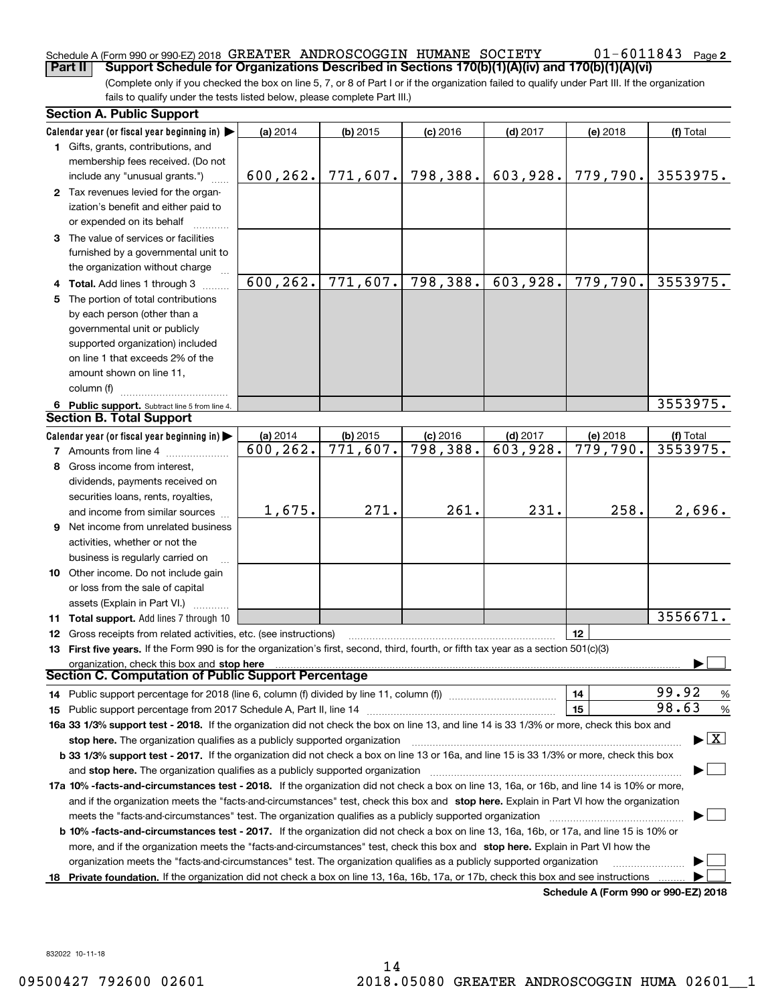### Schedule A (Form 990 or 990-EZ) 2018  ${\tt GREATER\_ANDROSCOGGIN\_HUMANE\_SOCIENT} \hspace{1.5cm} 01-6\,011\,84\,3 \quad$  Page

(Complete only if you checked the box on line 5, 7, or 8 of Part I or if the organization failed to qualify under Part III. If the organization **Part II Support Schedule for Organizations Described in Sections 170(b)(1)(A)(iv) and 170(b)(1)(A)(vi)**

fails to qualify under the tests listed below, please complete Part III.)

| Calendar year (or fiscal year beginning in)<br>(a) 2014<br>$(b)$ 2015<br>$(c)$ 2016<br>$(d)$ 2017<br>(f) Total<br>(e) 2018<br>1 Gifts, grants, contributions, and<br>membership fees received. (Do not<br>798,388.<br>603,928.<br>779,790.<br>600,262.<br>771,607.<br>3553975.<br>include any "unusual grants.")<br>2 Tax revenues levied for the organ-<br>ization's benefit and either paid to<br>or expended on its behalf<br>3 The value of services or facilities<br>furnished by a governmental unit to<br>the organization without charge<br>798,388.<br>600, 262.<br>771,607.<br>603,928.<br>779,790.<br>3553975.<br>Total. Add lines 1 through 3<br>The portion of total contributions<br>5.<br>by each person (other than a<br>governmental unit or publicly<br>supported organization) included<br>on line 1 that exceeds 2% of the<br>amount shown on line 11,<br>column (f)<br>3553975.<br>6 Public support. Subtract line 5 from line 4.<br><b>Section B. Total Support</b><br>Calendar year (or fiscal year beginning in)<br>(a) 2014<br>$(d)$ 2017<br>$(b)$ 2015<br>$(c)$ 2016<br>(e) 2018<br>(f) Total<br>771,607.<br>798, 388.<br>3553975.<br>$\overline{603,928}$ .<br>779,790.<br>600, 262.<br><b>7</b> Amounts from line 4<br>8 Gross income from interest,<br>dividends, payments received on<br>securities loans, rents, royalties,<br>271.<br>261.<br>231.<br>1,675.<br>258.<br>2,696.<br>and income from similar sources<br><b>9</b> Net income from unrelated business<br>activities, whether or not the<br>business is regularly carried on<br>10 Other income. Do not include gain<br>or loss from the sale of capital<br>assets (Explain in Part VI.)<br>3556671.<br><b>Total support.</b> Add lines 7 through 10<br>11.<br>12<br>Gross receipts from related activities, etc. (see instructions)<br>12<br>13 First five years. If the Form 990 is for the organization's first, second, third, fourth, or fifth tax year as a section 501(c)(3)<br>organization, check this box and stop here<br>Section C. Computation of Public Support Percentage<br>99.92<br>14<br>$\frac{9}{6}$<br>14 Public support percentage for 2018 (line 6, column (f) divided by line 11, column (f) <i>mummumumum</i><br>98.63<br>15<br>%<br>16a 33 1/3% support test - 2018. If the organization did not check the box on line 13, and line 14 is 33 1/3% or more, check this box and<br>$\blacktriangleright$ $\mid$ X<br>stop here. The organization qualifies as a publicly supported organization<br>b 33 1/3% support test - 2017. If the organization did not check a box on line 13 or 16a, and line 15 is 33 1/3% or more, check this box<br>and stop here. The organization qualifies as a publicly supported organization<br>17a 10% -facts-and-circumstances test - 2018. If the organization did not check a box on line 13, 16a, or 16b, and line 14 is 10% or more,<br>and if the organization meets the "facts-and-circumstances" test, check this box and stop here. Explain in Part VI how the organization<br>meets the "facts-and-circumstances" test. The organization qualifies as a publicly supported organization<br><b>b 10% -facts-and-circumstances test - 2017.</b> If the organization did not check a box on line 13, 16a, 16b, or 17a, and line 15 is 10% or<br>more, and if the organization meets the "facts-and-circumstances" test, check this box and stop here. Explain in Part VI how the<br>organization meets the "facts-and-circumstances" test. The organization qualifies as a publicly supported organization<br>Private foundation. If the organization did not check a box on line 13, 16a, 16b, 17a, or 17b, check this box and see instructions<br>18.<br>Schedule A (Form 990 or 990-F7) 2018 | <b>Section A. Public Support</b> |  |  |  |  |  |  |  |
|------------------------------------------------------------------------------------------------------------------------------------------------------------------------------------------------------------------------------------------------------------------------------------------------------------------------------------------------------------------------------------------------------------------------------------------------------------------------------------------------------------------------------------------------------------------------------------------------------------------------------------------------------------------------------------------------------------------------------------------------------------------------------------------------------------------------------------------------------------------------------------------------------------------------------------------------------------------------------------------------------------------------------------------------------------------------------------------------------------------------------------------------------------------------------------------------------------------------------------------------------------------------------------------------------------------------------------------------------------------------------------------------------------------------------------------------------------------------------------------------------------------------------------------------------------------------------------------------------------------------------------------------------------------------------------------------------------------------------------------------------------------------------------------------------------------------------------------------------------------------------------------------------------------------------------------------------------------------------------------------------------------------------------------------------------------------------------------------------------------------------------------------------------------------------------------------------------------------------------------------------------------------------------------------------------------------------------------------------------------------------------------------------------------------------------------------------------------------------------------------------------------------------------------------------------------------------------------------------------------------------------------------------------------------------------------------------------------------------------------------------------------------------------------------------------------------------------------------------------------------------------------------------------------------------------------------------------------------------------------------------------------------------------------------------------------------------------------------------------------------------------------------------------------------------------------------------------------------------------------------------------------------------------------------------------------------------------------------------------------------------------------------------------------------------------------------------------------------------------------------------------------------------------------------------------------------------------------------------------------------------------------------------------------------------------------------------------------------------------------------------------|----------------------------------|--|--|--|--|--|--|--|
|                                                                                                                                                                                                                                                                                                                                                                                                                                                                                                                                                                                                                                                                                                                                                                                                                                                                                                                                                                                                                                                                                                                                                                                                                                                                                                                                                                                                                                                                                                                                                                                                                                                                                                                                                                                                                                                                                                                                                                                                                                                                                                                                                                                                                                                                                                                                                                                                                                                                                                                                                                                                                                                                                                                                                                                                                                                                                                                                                                                                                                                                                                                                                                                                                                                                                                                                                                                                                                                                                                                                                                                                                                                                                                                                                            |                                  |  |  |  |  |  |  |  |
|                                                                                                                                                                                                                                                                                                                                                                                                                                                                                                                                                                                                                                                                                                                                                                                                                                                                                                                                                                                                                                                                                                                                                                                                                                                                                                                                                                                                                                                                                                                                                                                                                                                                                                                                                                                                                                                                                                                                                                                                                                                                                                                                                                                                                                                                                                                                                                                                                                                                                                                                                                                                                                                                                                                                                                                                                                                                                                                                                                                                                                                                                                                                                                                                                                                                                                                                                                                                                                                                                                                                                                                                                                                                                                                                                            |                                  |  |  |  |  |  |  |  |
|                                                                                                                                                                                                                                                                                                                                                                                                                                                                                                                                                                                                                                                                                                                                                                                                                                                                                                                                                                                                                                                                                                                                                                                                                                                                                                                                                                                                                                                                                                                                                                                                                                                                                                                                                                                                                                                                                                                                                                                                                                                                                                                                                                                                                                                                                                                                                                                                                                                                                                                                                                                                                                                                                                                                                                                                                                                                                                                                                                                                                                                                                                                                                                                                                                                                                                                                                                                                                                                                                                                                                                                                                                                                                                                                                            |                                  |  |  |  |  |  |  |  |
|                                                                                                                                                                                                                                                                                                                                                                                                                                                                                                                                                                                                                                                                                                                                                                                                                                                                                                                                                                                                                                                                                                                                                                                                                                                                                                                                                                                                                                                                                                                                                                                                                                                                                                                                                                                                                                                                                                                                                                                                                                                                                                                                                                                                                                                                                                                                                                                                                                                                                                                                                                                                                                                                                                                                                                                                                                                                                                                                                                                                                                                                                                                                                                                                                                                                                                                                                                                                                                                                                                                                                                                                                                                                                                                                                            |                                  |  |  |  |  |  |  |  |
|                                                                                                                                                                                                                                                                                                                                                                                                                                                                                                                                                                                                                                                                                                                                                                                                                                                                                                                                                                                                                                                                                                                                                                                                                                                                                                                                                                                                                                                                                                                                                                                                                                                                                                                                                                                                                                                                                                                                                                                                                                                                                                                                                                                                                                                                                                                                                                                                                                                                                                                                                                                                                                                                                                                                                                                                                                                                                                                                                                                                                                                                                                                                                                                                                                                                                                                                                                                                                                                                                                                                                                                                                                                                                                                                                            |                                  |  |  |  |  |  |  |  |
|                                                                                                                                                                                                                                                                                                                                                                                                                                                                                                                                                                                                                                                                                                                                                                                                                                                                                                                                                                                                                                                                                                                                                                                                                                                                                                                                                                                                                                                                                                                                                                                                                                                                                                                                                                                                                                                                                                                                                                                                                                                                                                                                                                                                                                                                                                                                                                                                                                                                                                                                                                                                                                                                                                                                                                                                                                                                                                                                                                                                                                                                                                                                                                                                                                                                                                                                                                                                                                                                                                                                                                                                                                                                                                                                                            |                                  |  |  |  |  |  |  |  |
|                                                                                                                                                                                                                                                                                                                                                                                                                                                                                                                                                                                                                                                                                                                                                                                                                                                                                                                                                                                                                                                                                                                                                                                                                                                                                                                                                                                                                                                                                                                                                                                                                                                                                                                                                                                                                                                                                                                                                                                                                                                                                                                                                                                                                                                                                                                                                                                                                                                                                                                                                                                                                                                                                                                                                                                                                                                                                                                                                                                                                                                                                                                                                                                                                                                                                                                                                                                                                                                                                                                                                                                                                                                                                                                                                            |                                  |  |  |  |  |  |  |  |
|                                                                                                                                                                                                                                                                                                                                                                                                                                                                                                                                                                                                                                                                                                                                                                                                                                                                                                                                                                                                                                                                                                                                                                                                                                                                                                                                                                                                                                                                                                                                                                                                                                                                                                                                                                                                                                                                                                                                                                                                                                                                                                                                                                                                                                                                                                                                                                                                                                                                                                                                                                                                                                                                                                                                                                                                                                                                                                                                                                                                                                                                                                                                                                                                                                                                                                                                                                                                                                                                                                                                                                                                                                                                                                                                                            |                                  |  |  |  |  |  |  |  |
|                                                                                                                                                                                                                                                                                                                                                                                                                                                                                                                                                                                                                                                                                                                                                                                                                                                                                                                                                                                                                                                                                                                                                                                                                                                                                                                                                                                                                                                                                                                                                                                                                                                                                                                                                                                                                                                                                                                                                                                                                                                                                                                                                                                                                                                                                                                                                                                                                                                                                                                                                                                                                                                                                                                                                                                                                                                                                                                                                                                                                                                                                                                                                                                                                                                                                                                                                                                                                                                                                                                                                                                                                                                                                                                                                            |                                  |  |  |  |  |  |  |  |
|                                                                                                                                                                                                                                                                                                                                                                                                                                                                                                                                                                                                                                                                                                                                                                                                                                                                                                                                                                                                                                                                                                                                                                                                                                                                                                                                                                                                                                                                                                                                                                                                                                                                                                                                                                                                                                                                                                                                                                                                                                                                                                                                                                                                                                                                                                                                                                                                                                                                                                                                                                                                                                                                                                                                                                                                                                                                                                                                                                                                                                                                                                                                                                                                                                                                                                                                                                                                                                                                                                                                                                                                                                                                                                                                                            |                                  |  |  |  |  |  |  |  |
|                                                                                                                                                                                                                                                                                                                                                                                                                                                                                                                                                                                                                                                                                                                                                                                                                                                                                                                                                                                                                                                                                                                                                                                                                                                                                                                                                                                                                                                                                                                                                                                                                                                                                                                                                                                                                                                                                                                                                                                                                                                                                                                                                                                                                                                                                                                                                                                                                                                                                                                                                                                                                                                                                                                                                                                                                                                                                                                                                                                                                                                                                                                                                                                                                                                                                                                                                                                                                                                                                                                                                                                                                                                                                                                                                            |                                  |  |  |  |  |  |  |  |
|                                                                                                                                                                                                                                                                                                                                                                                                                                                                                                                                                                                                                                                                                                                                                                                                                                                                                                                                                                                                                                                                                                                                                                                                                                                                                                                                                                                                                                                                                                                                                                                                                                                                                                                                                                                                                                                                                                                                                                                                                                                                                                                                                                                                                                                                                                                                                                                                                                                                                                                                                                                                                                                                                                                                                                                                                                                                                                                                                                                                                                                                                                                                                                                                                                                                                                                                                                                                                                                                                                                                                                                                                                                                                                                                                            |                                  |  |  |  |  |  |  |  |
|                                                                                                                                                                                                                                                                                                                                                                                                                                                                                                                                                                                                                                                                                                                                                                                                                                                                                                                                                                                                                                                                                                                                                                                                                                                                                                                                                                                                                                                                                                                                                                                                                                                                                                                                                                                                                                                                                                                                                                                                                                                                                                                                                                                                                                                                                                                                                                                                                                                                                                                                                                                                                                                                                                                                                                                                                                                                                                                                                                                                                                                                                                                                                                                                                                                                                                                                                                                                                                                                                                                                                                                                                                                                                                                                                            |                                  |  |  |  |  |  |  |  |
|                                                                                                                                                                                                                                                                                                                                                                                                                                                                                                                                                                                                                                                                                                                                                                                                                                                                                                                                                                                                                                                                                                                                                                                                                                                                                                                                                                                                                                                                                                                                                                                                                                                                                                                                                                                                                                                                                                                                                                                                                                                                                                                                                                                                                                                                                                                                                                                                                                                                                                                                                                                                                                                                                                                                                                                                                                                                                                                                                                                                                                                                                                                                                                                                                                                                                                                                                                                                                                                                                                                                                                                                                                                                                                                                                            |                                  |  |  |  |  |  |  |  |
|                                                                                                                                                                                                                                                                                                                                                                                                                                                                                                                                                                                                                                                                                                                                                                                                                                                                                                                                                                                                                                                                                                                                                                                                                                                                                                                                                                                                                                                                                                                                                                                                                                                                                                                                                                                                                                                                                                                                                                                                                                                                                                                                                                                                                                                                                                                                                                                                                                                                                                                                                                                                                                                                                                                                                                                                                                                                                                                                                                                                                                                                                                                                                                                                                                                                                                                                                                                                                                                                                                                                                                                                                                                                                                                                                            |                                  |  |  |  |  |  |  |  |
|                                                                                                                                                                                                                                                                                                                                                                                                                                                                                                                                                                                                                                                                                                                                                                                                                                                                                                                                                                                                                                                                                                                                                                                                                                                                                                                                                                                                                                                                                                                                                                                                                                                                                                                                                                                                                                                                                                                                                                                                                                                                                                                                                                                                                                                                                                                                                                                                                                                                                                                                                                                                                                                                                                                                                                                                                                                                                                                                                                                                                                                                                                                                                                                                                                                                                                                                                                                                                                                                                                                                                                                                                                                                                                                                                            |                                  |  |  |  |  |  |  |  |
|                                                                                                                                                                                                                                                                                                                                                                                                                                                                                                                                                                                                                                                                                                                                                                                                                                                                                                                                                                                                                                                                                                                                                                                                                                                                                                                                                                                                                                                                                                                                                                                                                                                                                                                                                                                                                                                                                                                                                                                                                                                                                                                                                                                                                                                                                                                                                                                                                                                                                                                                                                                                                                                                                                                                                                                                                                                                                                                                                                                                                                                                                                                                                                                                                                                                                                                                                                                                                                                                                                                                                                                                                                                                                                                                                            |                                  |  |  |  |  |  |  |  |
|                                                                                                                                                                                                                                                                                                                                                                                                                                                                                                                                                                                                                                                                                                                                                                                                                                                                                                                                                                                                                                                                                                                                                                                                                                                                                                                                                                                                                                                                                                                                                                                                                                                                                                                                                                                                                                                                                                                                                                                                                                                                                                                                                                                                                                                                                                                                                                                                                                                                                                                                                                                                                                                                                                                                                                                                                                                                                                                                                                                                                                                                                                                                                                                                                                                                                                                                                                                                                                                                                                                                                                                                                                                                                                                                                            |                                  |  |  |  |  |  |  |  |
|                                                                                                                                                                                                                                                                                                                                                                                                                                                                                                                                                                                                                                                                                                                                                                                                                                                                                                                                                                                                                                                                                                                                                                                                                                                                                                                                                                                                                                                                                                                                                                                                                                                                                                                                                                                                                                                                                                                                                                                                                                                                                                                                                                                                                                                                                                                                                                                                                                                                                                                                                                                                                                                                                                                                                                                                                                                                                                                                                                                                                                                                                                                                                                                                                                                                                                                                                                                                                                                                                                                                                                                                                                                                                                                                                            |                                  |  |  |  |  |  |  |  |
|                                                                                                                                                                                                                                                                                                                                                                                                                                                                                                                                                                                                                                                                                                                                                                                                                                                                                                                                                                                                                                                                                                                                                                                                                                                                                                                                                                                                                                                                                                                                                                                                                                                                                                                                                                                                                                                                                                                                                                                                                                                                                                                                                                                                                                                                                                                                                                                                                                                                                                                                                                                                                                                                                                                                                                                                                                                                                                                                                                                                                                                                                                                                                                                                                                                                                                                                                                                                                                                                                                                                                                                                                                                                                                                                                            |                                  |  |  |  |  |  |  |  |
|                                                                                                                                                                                                                                                                                                                                                                                                                                                                                                                                                                                                                                                                                                                                                                                                                                                                                                                                                                                                                                                                                                                                                                                                                                                                                                                                                                                                                                                                                                                                                                                                                                                                                                                                                                                                                                                                                                                                                                                                                                                                                                                                                                                                                                                                                                                                                                                                                                                                                                                                                                                                                                                                                                                                                                                                                                                                                                                                                                                                                                                                                                                                                                                                                                                                                                                                                                                                                                                                                                                                                                                                                                                                                                                                                            |                                  |  |  |  |  |  |  |  |
|                                                                                                                                                                                                                                                                                                                                                                                                                                                                                                                                                                                                                                                                                                                                                                                                                                                                                                                                                                                                                                                                                                                                                                                                                                                                                                                                                                                                                                                                                                                                                                                                                                                                                                                                                                                                                                                                                                                                                                                                                                                                                                                                                                                                                                                                                                                                                                                                                                                                                                                                                                                                                                                                                                                                                                                                                                                                                                                                                                                                                                                                                                                                                                                                                                                                                                                                                                                                                                                                                                                                                                                                                                                                                                                                                            |                                  |  |  |  |  |  |  |  |
|                                                                                                                                                                                                                                                                                                                                                                                                                                                                                                                                                                                                                                                                                                                                                                                                                                                                                                                                                                                                                                                                                                                                                                                                                                                                                                                                                                                                                                                                                                                                                                                                                                                                                                                                                                                                                                                                                                                                                                                                                                                                                                                                                                                                                                                                                                                                                                                                                                                                                                                                                                                                                                                                                                                                                                                                                                                                                                                                                                                                                                                                                                                                                                                                                                                                                                                                                                                                                                                                                                                                                                                                                                                                                                                                                            |                                  |  |  |  |  |  |  |  |
|                                                                                                                                                                                                                                                                                                                                                                                                                                                                                                                                                                                                                                                                                                                                                                                                                                                                                                                                                                                                                                                                                                                                                                                                                                                                                                                                                                                                                                                                                                                                                                                                                                                                                                                                                                                                                                                                                                                                                                                                                                                                                                                                                                                                                                                                                                                                                                                                                                                                                                                                                                                                                                                                                                                                                                                                                                                                                                                                                                                                                                                                                                                                                                                                                                                                                                                                                                                                                                                                                                                                                                                                                                                                                                                                                            |                                  |  |  |  |  |  |  |  |
|                                                                                                                                                                                                                                                                                                                                                                                                                                                                                                                                                                                                                                                                                                                                                                                                                                                                                                                                                                                                                                                                                                                                                                                                                                                                                                                                                                                                                                                                                                                                                                                                                                                                                                                                                                                                                                                                                                                                                                                                                                                                                                                                                                                                                                                                                                                                                                                                                                                                                                                                                                                                                                                                                                                                                                                                                                                                                                                                                                                                                                                                                                                                                                                                                                                                                                                                                                                                                                                                                                                                                                                                                                                                                                                                                            |                                  |  |  |  |  |  |  |  |
|                                                                                                                                                                                                                                                                                                                                                                                                                                                                                                                                                                                                                                                                                                                                                                                                                                                                                                                                                                                                                                                                                                                                                                                                                                                                                                                                                                                                                                                                                                                                                                                                                                                                                                                                                                                                                                                                                                                                                                                                                                                                                                                                                                                                                                                                                                                                                                                                                                                                                                                                                                                                                                                                                                                                                                                                                                                                                                                                                                                                                                                                                                                                                                                                                                                                                                                                                                                                                                                                                                                                                                                                                                                                                                                                                            |                                  |  |  |  |  |  |  |  |
|                                                                                                                                                                                                                                                                                                                                                                                                                                                                                                                                                                                                                                                                                                                                                                                                                                                                                                                                                                                                                                                                                                                                                                                                                                                                                                                                                                                                                                                                                                                                                                                                                                                                                                                                                                                                                                                                                                                                                                                                                                                                                                                                                                                                                                                                                                                                                                                                                                                                                                                                                                                                                                                                                                                                                                                                                                                                                                                                                                                                                                                                                                                                                                                                                                                                                                                                                                                                                                                                                                                                                                                                                                                                                                                                                            |                                  |  |  |  |  |  |  |  |
|                                                                                                                                                                                                                                                                                                                                                                                                                                                                                                                                                                                                                                                                                                                                                                                                                                                                                                                                                                                                                                                                                                                                                                                                                                                                                                                                                                                                                                                                                                                                                                                                                                                                                                                                                                                                                                                                                                                                                                                                                                                                                                                                                                                                                                                                                                                                                                                                                                                                                                                                                                                                                                                                                                                                                                                                                                                                                                                                                                                                                                                                                                                                                                                                                                                                                                                                                                                                                                                                                                                                                                                                                                                                                                                                                            |                                  |  |  |  |  |  |  |  |
|                                                                                                                                                                                                                                                                                                                                                                                                                                                                                                                                                                                                                                                                                                                                                                                                                                                                                                                                                                                                                                                                                                                                                                                                                                                                                                                                                                                                                                                                                                                                                                                                                                                                                                                                                                                                                                                                                                                                                                                                                                                                                                                                                                                                                                                                                                                                                                                                                                                                                                                                                                                                                                                                                                                                                                                                                                                                                                                                                                                                                                                                                                                                                                                                                                                                                                                                                                                                                                                                                                                                                                                                                                                                                                                                                            |                                  |  |  |  |  |  |  |  |
|                                                                                                                                                                                                                                                                                                                                                                                                                                                                                                                                                                                                                                                                                                                                                                                                                                                                                                                                                                                                                                                                                                                                                                                                                                                                                                                                                                                                                                                                                                                                                                                                                                                                                                                                                                                                                                                                                                                                                                                                                                                                                                                                                                                                                                                                                                                                                                                                                                                                                                                                                                                                                                                                                                                                                                                                                                                                                                                                                                                                                                                                                                                                                                                                                                                                                                                                                                                                                                                                                                                                                                                                                                                                                                                                                            |                                  |  |  |  |  |  |  |  |
|                                                                                                                                                                                                                                                                                                                                                                                                                                                                                                                                                                                                                                                                                                                                                                                                                                                                                                                                                                                                                                                                                                                                                                                                                                                                                                                                                                                                                                                                                                                                                                                                                                                                                                                                                                                                                                                                                                                                                                                                                                                                                                                                                                                                                                                                                                                                                                                                                                                                                                                                                                                                                                                                                                                                                                                                                                                                                                                                                                                                                                                                                                                                                                                                                                                                                                                                                                                                                                                                                                                                                                                                                                                                                                                                                            |                                  |  |  |  |  |  |  |  |
|                                                                                                                                                                                                                                                                                                                                                                                                                                                                                                                                                                                                                                                                                                                                                                                                                                                                                                                                                                                                                                                                                                                                                                                                                                                                                                                                                                                                                                                                                                                                                                                                                                                                                                                                                                                                                                                                                                                                                                                                                                                                                                                                                                                                                                                                                                                                                                                                                                                                                                                                                                                                                                                                                                                                                                                                                                                                                                                                                                                                                                                                                                                                                                                                                                                                                                                                                                                                                                                                                                                                                                                                                                                                                                                                                            |                                  |  |  |  |  |  |  |  |
|                                                                                                                                                                                                                                                                                                                                                                                                                                                                                                                                                                                                                                                                                                                                                                                                                                                                                                                                                                                                                                                                                                                                                                                                                                                                                                                                                                                                                                                                                                                                                                                                                                                                                                                                                                                                                                                                                                                                                                                                                                                                                                                                                                                                                                                                                                                                                                                                                                                                                                                                                                                                                                                                                                                                                                                                                                                                                                                                                                                                                                                                                                                                                                                                                                                                                                                                                                                                                                                                                                                                                                                                                                                                                                                                                            |                                  |  |  |  |  |  |  |  |
|                                                                                                                                                                                                                                                                                                                                                                                                                                                                                                                                                                                                                                                                                                                                                                                                                                                                                                                                                                                                                                                                                                                                                                                                                                                                                                                                                                                                                                                                                                                                                                                                                                                                                                                                                                                                                                                                                                                                                                                                                                                                                                                                                                                                                                                                                                                                                                                                                                                                                                                                                                                                                                                                                                                                                                                                                                                                                                                                                                                                                                                                                                                                                                                                                                                                                                                                                                                                                                                                                                                                                                                                                                                                                                                                                            |                                  |  |  |  |  |  |  |  |
|                                                                                                                                                                                                                                                                                                                                                                                                                                                                                                                                                                                                                                                                                                                                                                                                                                                                                                                                                                                                                                                                                                                                                                                                                                                                                                                                                                                                                                                                                                                                                                                                                                                                                                                                                                                                                                                                                                                                                                                                                                                                                                                                                                                                                                                                                                                                                                                                                                                                                                                                                                                                                                                                                                                                                                                                                                                                                                                                                                                                                                                                                                                                                                                                                                                                                                                                                                                                                                                                                                                                                                                                                                                                                                                                                            |                                  |  |  |  |  |  |  |  |
|                                                                                                                                                                                                                                                                                                                                                                                                                                                                                                                                                                                                                                                                                                                                                                                                                                                                                                                                                                                                                                                                                                                                                                                                                                                                                                                                                                                                                                                                                                                                                                                                                                                                                                                                                                                                                                                                                                                                                                                                                                                                                                                                                                                                                                                                                                                                                                                                                                                                                                                                                                                                                                                                                                                                                                                                                                                                                                                                                                                                                                                                                                                                                                                                                                                                                                                                                                                                                                                                                                                                                                                                                                                                                                                                                            |                                  |  |  |  |  |  |  |  |
|                                                                                                                                                                                                                                                                                                                                                                                                                                                                                                                                                                                                                                                                                                                                                                                                                                                                                                                                                                                                                                                                                                                                                                                                                                                                                                                                                                                                                                                                                                                                                                                                                                                                                                                                                                                                                                                                                                                                                                                                                                                                                                                                                                                                                                                                                                                                                                                                                                                                                                                                                                                                                                                                                                                                                                                                                                                                                                                                                                                                                                                                                                                                                                                                                                                                                                                                                                                                                                                                                                                                                                                                                                                                                                                                                            |                                  |  |  |  |  |  |  |  |
|                                                                                                                                                                                                                                                                                                                                                                                                                                                                                                                                                                                                                                                                                                                                                                                                                                                                                                                                                                                                                                                                                                                                                                                                                                                                                                                                                                                                                                                                                                                                                                                                                                                                                                                                                                                                                                                                                                                                                                                                                                                                                                                                                                                                                                                                                                                                                                                                                                                                                                                                                                                                                                                                                                                                                                                                                                                                                                                                                                                                                                                                                                                                                                                                                                                                                                                                                                                                                                                                                                                                                                                                                                                                                                                                                            |                                  |  |  |  |  |  |  |  |
|                                                                                                                                                                                                                                                                                                                                                                                                                                                                                                                                                                                                                                                                                                                                                                                                                                                                                                                                                                                                                                                                                                                                                                                                                                                                                                                                                                                                                                                                                                                                                                                                                                                                                                                                                                                                                                                                                                                                                                                                                                                                                                                                                                                                                                                                                                                                                                                                                                                                                                                                                                                                                                                                                                                                                                                                                                                                                                                                                                                                                                                                                                                                                                                                                                                                                                                                                                                                                                                                                                                                                                                                                                                                                                                                                            |                                  |  |  |  |  |  |  |  |
|                                                                                                                                                                                                                                                                                                                                                                                                                                                                                                                                                                                                                                                                                                                                                                                                                                                                                                                                                                                                                                                                                                                                                                                                                                                                                                                                                                                                                                                                                                                                                                                                                                                                                                                                                                                                                                                                                                                                                                                                                                                                                                                                                                                                                                                                                                                                                                                                                                                                                                                                                                                                                                                                                                                                                                                                                                                                                                                                                                                                                                                                                                                                                                                                                                                                                                                                                                                                                                                                                                                                                                                                                                                                                                                                                            |                                  |  |  |  |  |  |  |  |
|                                                                                                                                                                                                                                                                                                                                                                                                                                                                                                                                                                                                                                                                                                                                                                                                                                                                                                                                                                                                                                                                                                                                                                                                                                                                                                                                                                                                                                                                                                                                                                                                                                                                                                                                                                                                                                                                                                                                                                                                                                                                                                                                                                                                                                                                                                                                                                                                                                                                                                                                                                                                                                                                                                                                                                                                                                                                                                                                                                                                                                                                                                                                                                                                                                                                                                                                                                                                                                                                                                                                                                                                                                                                                                                                                            |                                  |  |  |  |  |  |  |  |
|                                                                                                                                                                                                                                                                                                                                                                                                                                                                                                                                                                                                                                                                                                                                                                                                                                                                                                                                                                                                                                                                                                                                                                                                                                                                                                                                                                                                                                                                                                                                                                                                                                                                                                                                                                                                                                                                                                                                                                                                                                                                                                                                                                                                                                                                                                                                                                                                                                                                                                                                                                                                                                                                                                                                                                                                                                                                                                                                                                                                                                                                                                                                                                                                                                                                                                                                                                                                                                                                                                                                                                                                                                                                                                                                                            |                                  |  |  |  |  |  |  |  |
|                                                                                                                                                                                                                                                                                                                                                                                                                                                                                                                                                                                                                                                                                                                                                                                                                                                                                                                                                                                                                                                                                                                                                                                                                                                                                                                                                                                                                                                                                                                                                                                                                                                                                                                                                                                                                                                                                                                                                                                                                                                                                                                                                                                                                                                                                                                                                                                                                                                                                                                                                                                                                                                                                                                                                                                                                                                                                                                                                                                                                                                                                                                                                                                                                                                                                                                                                                                                                                                                                                                                                                                                                                                                                                                                                            |                                  |  |  |  |  |  |  |  |
|                                                                                                                                                                                                                                                                                                                                                                                                                                                                                                                                                                                                                                                                                                                                                                                                                                                                                                                                                                                                                                                                                                                                                                                                                                                                                                                                                                                                                                                                                                                                                                                                                                                                                                                                                                                                                                                                                                                                                                                                                                                                                                                                                                                                                                                                                                                                                                                                                                                                                                                                                                                                                                                                                                                                                                                                                                                                                                                                                                                                                                                                                                                                                                                                                                                                                                                                                                                                                                                                                                                                                                                                                                                                                                                                                            |                                  |  |  |  |  |  |  |  |
|                                                                                                                                                                                                                                                                                                                                                                                                                                                                                                                                                                                                                                                                                                                                                                                                                                                                                                                                                                                                                                                                                                                                                                                                                                                                                                                                                                                                                                                                                                                                                                                                                                                                                                                                                                                                                                                                                                                                                                                                                                                                                                                                                                                                                                                                                                                                                                                                                                                                                                                                                                                                                                                                                                                                                                                                                                                                                                                                                                                                                                                                                                                                                                                                                                                                                                                                                                                                                                                                                                                                                                                                                                                                                                                                                            |                                  |  |  |  |  |  |  |  |
|                                                                                                                                                                                                                                                                                                                                                                                                                                                                                                                                                                                                                                                                                                                                                                                                                                                                                                                                                                                                                                                                                                                                                                                                                                                                                                                                                                                                                                                                                                                                                                                                                                                                                                                                                                                                                                                                                                                                                                                                                                                                                                                                                                                                                                                                                                                                                                                                                                                                                                                                                                                                                                                                                                                                                                                                                                                                                                                                                                                                                                                                                                                                                                                                                                                                                                                                                                                                                                                                                                                                                                                                                                                                                                                                                            |                                  |  |  |  |  |  |  |  |
|                                                                                                                                                                                                                                                                                                                                                                                                                                                                                                                                                                                                                                                                                                                                                                                                                                                                                                                                                                                                                                                                                                                                                                                                                                                                                                                                                                                                                                                                                                                                                                                                                                                                                                                                                                                                                                                                                                                                                                                                                                                                                                                                                                                                                                                                                                                                                                                                                                                                                                                                                                                                                                                                                                                                                                                                                                                                                                                                                                                                                                                                                                                                                                                                                                                                                                                                                                                                                                                                                                                                                                                                                                                                                                                                                            |                                  |  |  |  |  |  |  |  |
|                                                                                                                                                                                                                                                                                                                                                                                                                                                                                                                                                                                                                                                                                                                                                                                                                                                                                                                                                                                                                                                                                                                                                                                                                                                                                                                                                                                                                                                                                                                                                                                                                                                                                                                                                                                                                                                                                                                                                                                                                                                                                                                                                                                                                                                                                                                                                                                                                                                                                                                                                                                                                                                                                                                                                                                                                                                                                                                                                                                                                                                                                                                                                                                                                                                                                                                                                                                                                                                                                                                                                                                                                                                                                                                                                            |                                  |  |  |  |  |  |  |  |
|                                                                                                                                                                                                                                                                                                                                                                                                                                                                                                                                                                                                                                                                                                                                                                                                                                                                                                                                                                                                                                                                                                                                                                                                                                                                                                                                                                                                                                                                                                                                                                                                                                                                                                                                                                                                                                                                                                                                                                                                                                                                                                                                                                                                                                                                                                                                                                                                                                                                                                                                                                                                                                                                                                                                                                                                                                                                                                                                                                                                                                                                                                                                                                                                                                                                                                                                                                                                                                                                                                                                                                                                                                                                                                                                                            |                                  |  |  |  |  |  |  |  |
|                                                                                                                                                                                                                                                                                                                                                                                                                                                                                                                                                                                                                                                                                                                                                                                                                                                                                                                                                                                                                                                                                                                                                                                                                                                                                                                                                                                                                                                                                                                                                                                                                                                                                                                                                                                                                                                                                                                                                                                                                                                                                                                                                                                                                                                                                                                                                                                                                                                                                                                                                                                                                                                                                                                                                                                                                                                                                                                                                                                                                                                                                                                                                                                                                                                                                                                                                                                                                                                                                                                                                                                                                                                                                                                                                            |                                  |  |  |  |  |  |  |  |
|                                                                                                                                                                                                                                                                                                                                                                                                                                                                                                                                                                                                                                                                                                                                                                                                                                                                                                                                                                                                                                                                                                                                                                                                                                                                                                                                                                                                                                                                                                                                                                                                                                                                                                                                                                                                                                                                                                                                                                                                                                                                                                                                                                                                                                                                                                                                                                                                                                                                                                                                                                                                                                                                                                                                                                                                                                                                                                                                                                                                                                                                                                                                                                                                                                                                                                                                                                                                                                                                                                                                                                                                                                                                                                                                                            |                                  |  |  |  |  |  |  |  |

**Schedule A (Form 990 or 990-EZ) 2018**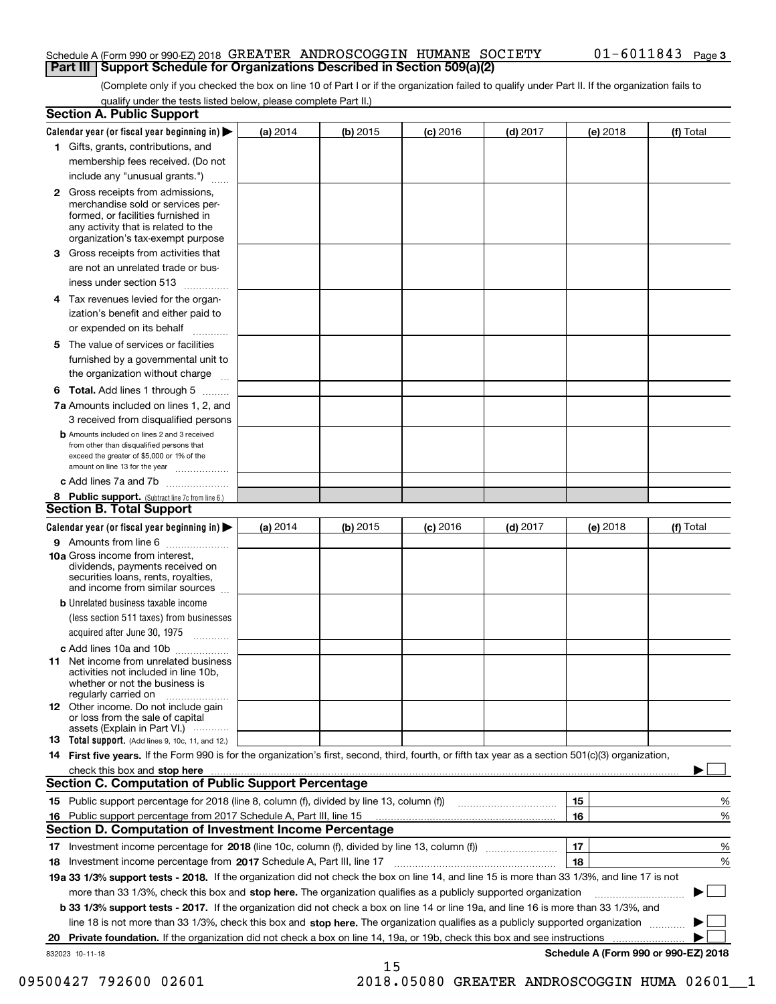#### Schedule A (Form 990 or 990-EZ) 2018  ${\tt GREATER\_ANDROSCOGGIN\_HUMANE\_SOCIENT} \hspace{1.5cm} 01-6\,011\,84\,3 \quad$  Page **Part III Support Schedule for Organizations Described in Section 509(a)(2)**

(Complete only if you checked the box on line 10 of Part I or if the organization failed to qualify under Part II. If the organization fails to qualify under the tests listed below, please complete Part II.)

|     | <b>Section A. Public Support</b>                                                                                                                                                                                                                          |          |          |            |            |          |                                      |
|-----|-----------------------------------------------------------------------------------------------------------------------------------------------------------------------------------------------------------------------------------------------------------|----------|----------|------------|------------|----------|--------------------------------------|
|     | Calendar year (or fiscal year beginning in) $\blacktriangleright$                                                                                                                                                                                         | (a) 2014 | (b) 2015 | $(c)$ 2016 | $(d)$ 2017 | (e) 2018 | (f) Total                            |
|     | 1 Gifts, grants, contributions, and                                                                                                                                                                                                                       |          |          |            |            |          |                                      |
|     | membership fees received. (Do not                                                                                                                                                                                                                         |          |          |            |            |          |                                      |
|     | include any "unusual grants.")                                                                                                                                                                                                                            |          |          |            |            |          |                                      |
|     | <b>2</b> Gross receipts from admissions,<br>merchandise sold or services per-<br>formed, or facilities furnished in<br>any activity that is related to the<br>organization's tax-exempt purpose                                                           |          |          |            |            |          |                                      |
|     | 3 Gross receipts from activities that                                                                                                                                                                                                                     |          |          |            |            |          |                                      |
|     | are not an unrelated trade or bus-<br>iness under section 513                                                                                                                                                                                             |          |          |            |            |          |                                      |
|     | 4 Tax revenues levied for the organ-                                                                                                                                                                                                                      |          |          |            |            |          |                                      |
|     | ization's benefit and either paid to<br>or expended on its behalf                                                                                                                                                                                         |          |          |            |            |          |                                      |
|     | 5 The value of services or facilities<br>furnished by a governmental unit to                                                                                                                                                                              |          |          |            |            |          |                                      |
|     | the organization without charge                                                                                                                                                                                                                           |          |          |            |            |          |                                      |
|     | <b>6 Total.</b> Add lines 1 through 5                                                                                                                                                                                                                     |          |          |            |            |          |                                      |
|     | 7a Amounts included on lines 1, 2, and<br>3 received from disqualified persons                                                                                                                                                                            |          |          |            |            |          |                                      |
|     | <b>b</b> Amounts included on lines 2 and 3 received<br>from other than disqualified persons that<br>exceed the greater of \$5,000 or 1% of the<br>amount on line 13 for the year                                                                          |          |          |            |            |          |                                      |
|     | c Add lines 7a and 7b                                                                                                                                                                                                                                     |          |          |            |            |          |                                      |
|     | 8 Public support. (Subtract line 7c from line 6.)<br><b>Section B. Total Support</b>                                                                                                                                                                      |          |          |            |            |          |                                      |
|     | Calendar year (or fiscal year beginning in)                                                                                                                                                                                                               | (a) 2014 | (b) 2015 | $(c)$ 2016 | $(d)$ 2017 | (e) 2018 | (f) Total                            |
|     | 9 Amounts from line 6                                                                                                                                                                                                                                     |          |          |            |            |          |                                      |
|     | <b>10a</b> Gross income from interest,<br>dividends, payments received on<br>securities loans, rents, royalties,<br>and income from similar sources                                                                                                       |          |          |            |            |          |                                      |
|     | <b>b</b> Unrelated business taxable income                                                                                                                                                                                                                |          |          |            |            |          |                                      |
|     | (less section 511 taxes) from businesses<br>acquired after June 30, 1975                                                                                                                                                                                  |          |          |            |            |          |                                      |
|     | c Add lines 10a and 10b                                                                                                                                                                                                                                   |          |          |            |            |          |                                      |
|     | 11 Net income from unrelated business<br>activities not included in line 10b,<br>whether or not the business is<br>regularly carried on                                                                                                                   |          |          |            |            |          |                                      |
|     | <b>12</b> Other income. Do not include gain<br>or loss from the sale of capital<br>assets (Explain in Part VI.)                                                                                                                                           |          |          |            |            |          |                                      |
|     | 13 Total support. (Add lines 9, 10c, 11, and 12.)                                                                                                                                                                                                         |          |          |            |            |          |                                      |
|     | 14 First five years. If the Form 990 is for the organization's first, second, third, fourth, or fifth tax year as a section 501(c)(3) organization,                                                                                                       |          |          |            |            |          |                                      |
|     | check this box and stop here measurements and contact the contract of the contract of the contract of the contract of the contract of the contract of the contract of the contract of the contract of the contract of the cont                            |          |          |            |            |          |                                      |
|     | <b>Section C. Computation of Public Support Percentage</b>                                                                                                                                                                                                |          |          |            |            |          |                                      |
|     |                                                                                                                                                                                                                                                           |          |          |            |            | 15       | %                                    |
| 16. | Public support percentage from 2017 Schedule A, Part III, line 15                                                                                                                                                                                         |          |          |            |            | 16       | %                                    |
|     | <b>Section D. Computation of Investment Income Percentage</b>                                                                                                                                                                                             |          |          |            |            |          |                                      |
|     | 17 Investment income percentage for 2018 (line 10c, column (f), divided by line 13, column (f))                                                                                                                                                           |          |          |            |            | 17<br>18 | %                                    |
|     | 18 Investment income percentage from 2017 Schedule A, Part III, line 17<br>19a 33 1/3% support tests - 2018. If the organization did not check the box on line 14, and line 15 is more than 33 1/3%, and line 17 is not                                   |          |          |            |            |          | %                                    |
|     |                                                                                                                                                                                                                                                           |          |          |            |            |          |                                      |
|     | more than 33 1/3%, check this box and stop here. The organization qualifies as a publicly supported organization<br>b 33 1/3% support tests - 2017. If the organization did not check a box on line 14 or line 19a, and line 16 is more than 33 1/3%, and |          |          |            |            |          |                                      |
|     | line 18 is not more than 33 1/3%, check this box and stop here. The organization qualifies as a publicly supported organization                                                                                                                           |          |          |            |            |          |                                      |
| 20  | Private foundation. If the organization did not check a box on line 14, 19a, or 19b, check this box and see instructions                                                                                                                                  |          |          |            |            |          | .                                    |
|     | 832023 10-11-18                                                                                                                                                                                                                                           |          |          |            |            |          | Schedule A (Form 990 or 990-EZ) 2018 |
|     |                                                                                                                                                                                                                                                           |          | 15       |            |            |          |                                      |

09500427 792600 02601 2018.05080 GREATER ANDROSCOGGIN HUMA 02601\_1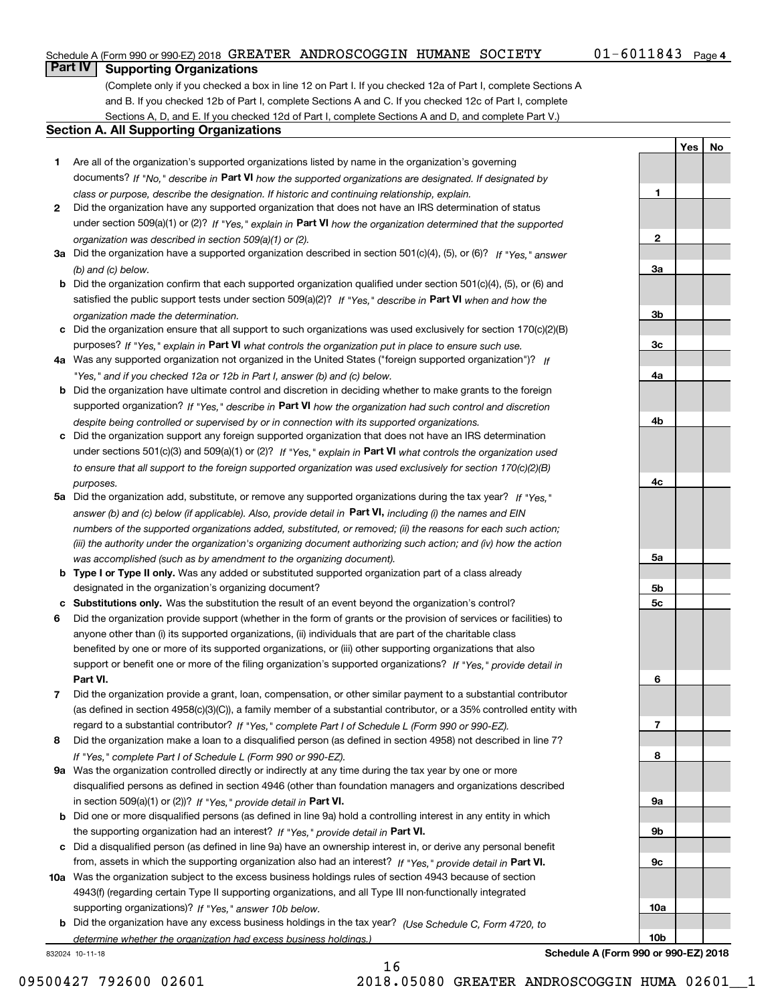#### Schedule A (Form 990 or 990-EZ) 2018  ${\tt GREATER\_ANDROSCOGGIN\_HUMANE\_SOCIENT} \hspace{1.5cm} 01-6\,011\,84\,3 \quad$  Page

**1**

**YesNo**

## **Part IV Supporting Organizations**

(Complete only if you checked a box in line 12 on Part I. If you checked 12a of Part I, complete Sections A and B. If you checked 12b of Part I, complete Sections A and C. If you checked 12c of Part I, complete Sections A, D, and E. If you checked 12d of Part I, complete Sections A and D, and complete Part V.)

#### **Section A. All Supporting Organizations**

- **1** Are all of the organization's supported organizations listed by name in the organization's governing documents? If "No," describe in **Part VI** how the supported organizations are designated. If designated by *class or purpose, describe the designation. If historic and continuing relationship, explain.*
- **2** Did the organization have any supported organization that does not have an IRS determination of status under section 509(a)(1) or (2)? If "Yes," explain in Part VI how the organization determined that the supported *organization was described in section 509(a)(1) or (2).*
- **3a** Did the organization have a supported organization described in section 501(c)(4), (5), or (6)? If "Yes," answer *(b) and (c) below.*
- **b** Did the organization confirm that each supported organization qualified under section 501(c)(4), (5), or (6) and satisfied the public support tests under section 509(a)(2)? If "Yes," describe in **Part VI** when and how the *organization made the determination.*
- **c**Did the organization ensure that all support to such organizations was used exclusively for section 170(c)(2)(B) purposes? If "Yes," explain in **Part VI** what controls the organization put in place to ensure such use.
- **4a***If* Was any supported organization not organized in the United States ("foreign supported organization")? *"Yes," and if you checked 12a or 12b in Part I, answer (b) and (c) below.*
- **b** Did the organization have ultimate control and discretion in deciding whether to make grants to the foreign supported organization? If "Yes," describe in **Part VI** how the organization had such control and discretion *despite being controlled or supervised by or in connection with its supported organizations.*
- **c** Did the organization support any foreign supported organization that does not have an IRS determination under sections 501(c)(3) and 509(a)(1) or (2)? If "Yes," explain in **Part VI** what controls the organization used *to ensure that all support to the foreign supported organization was used exclusively for section 170(c)(2)(B) purposes.*
- **5a** Did the organization add, substitute, or remove any supported organizations during the tax year? If "Yes," answer (b) and (c) below (if applicable). Also, provide detail in **Part VI,** including (i) the names and EIN *numbers of the supported organizations added, substituted, or removed; (ii) the reasons for each such action; (iii) the authority under the organization's organizing document authorizing such action; and (iv) how the action was accomplished (such as by amendment to the organizing document).*
- **b** Type I or Type II only. Was any added or substituted supported organization part of a class already designated in the organization's organizing document?
- **cSubstitutions only.**  Was the substitution the result of an event beyond the organization's control?
- **6** Did the organization provide support (whether in the form of grants or the provision of services or facilities) to **Part VI.** *If "Yes," provide detail in* support or benefit one or more of the filing organization's supported organizations? anyone other than (i) its supported organizations, (ii) individuals that are part of the charitable class benefited by one or more of its supported organizations, or (iii) other supporting organizations that also
- **7**Did the organization provide a grant, loan, compensation, or other similar payment to a substantial contributor *If "Yes," complete Part I of Schedule L (Form 990 or 990-EZ).* regard to a substantial contributor? (as defined in section 4958(c)(3)(C)), a family member of a substantial contributor, or a 35% controlled entity with
- **8** Did the organization make a loan to a disqualified person (as defined in section 4958) not described in line 7? *If "Yes," complete Part I of Schedule L (Form 990 or 990-EZ).*
- **9a** Was the organization controlled directly or indirectly at any time during the tax year by one or more in section 509(a)(1) or (2))? If "Yes," *provide detail in* <code>Part VI.</code> disqualified persons as defined in section 4946 (other than foundation managers and organizations described
- **b** Did one or more disqualified persons (as defined in line 9a) hold a controlling interest in any entity in which the supporting organization had an interest? If "Yes," provide detail in P**art VI**.
- **c**Did a disqualified person (as defined in line 9a) have an ownership interest in, or derive any personal benefit from, assets in which the supporting organization also had an interest? If "Yes," provide detail in P**art VI.**
- **10a** Was the organization subject to the excess business holdings rules of section 4943 because of section supporting organizations)? If "Yes," answer 10b below. 4943(f) (regarding certain Type II supporting organizations, and all Type III non-functionally integrated
- **b** Did the organization have any excess business holdings in the tax year? (Use Schedule C, Form 4720, to *determine whether the organization had excess business holdings.)*

16

832024 10-11-18

**23a3b3c4a4b4c5a 5b5c6789a 9b9c10a**

**Schedule A (Form 990 or 990-EZ) 2018**

**10b**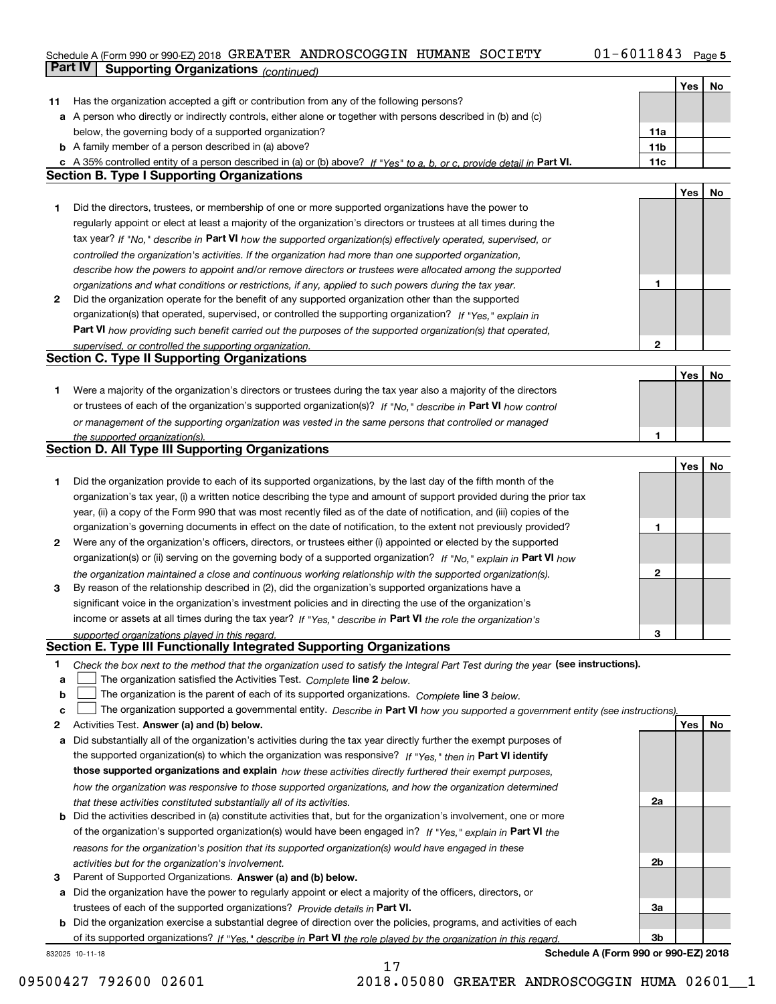#### **5** Schedule A (Form 990 or 990-EZ) 2018 Page GREATER ANDROSCOGGIN HUMANE SOCIETY 01-6011843 **Part IV Supporting Organizations** *(continued)*

|    |                                                                                                                                                                                                             |                 | Yes | No |
|----|-------------------------------------------------------------------------------------------------------------------------------------------------------------------------------------------------------------|-----------------|-----|----|
| 11 | Has the organization accepted a gift or contribution from any of the following persons?                                                                                                                     |                 |     |    |
|    | a A person who directly or indirectly controls, either alone or together with persons described in (b) and (c)                                                                                              |                 |     |    |
|    | below, the governing body of a supported organization?                                                                                                                                                      | 11a             |     |    |
|    | <b>b</b> A family member of a person described in (a) above?                                                                                                                                                | 11 <sub>b</sub> |     |    |
|    | c A 35% controlled entity of a person described in (a) or (b) above? If "Yes" to a, b, or c, provide detail in Part VI.                                                                                     | 11c             |     |    |
|    | <b>Section B. Type I Supporting Organizations</b>                                                                                                                                                           |                 |     |    |
|    |                                                                                                                                                                                                             |                 | Yes | No |
| 1  | Did the directors, trustees, or membership of one or more supported organizations have the power to                                                                                                         |                 |     |    |
|    | regularly appoint or elect at least a majority of the organization's directors or trustees at all times during the                                                                                          |                 |     |    |
|    | tax year? If "No," describe in Part VI how the supported organization(s) effectively operated, supervised, or                                                                                               |                 |     |    |
|    | controlled the organization's activities. If the organization had more than one supported organization,                                                                                                     |                 |     |    |
|    | describe how the powers to appoint and/or remove directors or trustees were allocated among the supported                                                                                                   |                 |     |    |
|    | organizations and what conditions or restrictions, if any, applied to such powers during the tax year.                                                                                                      | 1               |     |    |
| 2  | Did the organization operate for the benefit of any supported organization other than the supported                                                                                                         |                 |     |    |
|    | organization(s) that operated, supervised, or controlled the supporting organization? If "Yes," explain in                                                                                                  |                 |     |    |
|    | Part VI how providing such benefit carried out the purposes of the supported organization(s) that operated,                                                                                                 |                 |     |    |
|    | supervised, or controlled the supporting organization.                                                                                                                                                      | $\mathbf{2}$    |     |    |
|    | <b>Section C. Type II Supporting Organizations</b>                                                                                                                                                          |                 |     |    |
|    |                                                                                                                                                                                                             |                 | Yes | No |
| 1. | Were a majority of the organization's directors or trustees during the tax year also a majority of the directors                                                                                            |                 |     |    |
|    | or trustees of each of the organization's supported organization(s)? If "No," describe in Part VI how control                                                                                               |                 |     |    |
|    | or management of the supporting organization was vested in the same persons that controlled or managed                                                                                                      |                 |     |    |
|    | the supported organization(s).                                                                                                                                                                              | 1               |     |    |
|    | <b>Section D. All Type III Supporting Organizations</b>                                                                                                                                                     |                 |     |    |
|    |                                                                                                                                                                                                             |                 | Yes | No |
| 1  | Did the organization provide to each of its supported organizations, by the last day of the fifth month of the                                                                                              |                 |     |    |
|    | organization's tax year, (i) a written notice describing the type and amount of support provided during the prior tax                                                                                       |                 |     |    |
|    | year, (ii) a copy of the Form 990 that was most recently filed as of the date of notification, and (iii) copies of the                                                                                      |                 |     |    |
|    | organization's governing documents in effect on the date of notification, to the extent not previously provided?                                                                                            | 1               |     |    |
| 2  | Were any of the organization's officers, directors, or trustees either (i) appointed or elected by the supported                                                                                            |                 |     |    |
|    | organization(s) or (ii) serving on the governing body of a supported organization? If "No," explain in Part VI how                                                                                          |                 |     |    |
|    | the organization maintained a close and continuous working relationship with the supported organization(s).                                                                                                 | $\mathbf{2}$    |     |    |
| 3  | By reason of the relationship described in (2), did the organization's supported organizations have a                                                                                                       |                 |     |    |
|    | significant voice in the organization's investment policies and in directing the use of the organization's                                                                                                  |                 |     |    |
|    | income or assets at all times during the tax year? If "Yes," describe in Part VI the role the organization's                                                                                                |                 |     |    |
|    | supported organizations played in this regard.<br>Section E. Type III Functionally Integrated Supporting Organizations                                                                                      | 3               |     |    |
| 1  |                                                                                                                                                                                                             |                 |     |    |
| а  | Check the box next to the method that the organization used to satisfy the Integral Part Test during the year (see instructions).<br>The organization satisfied the Activities Test. Complete line 2 below. |                 |     |    |
| b  | The organization is the parent of each of its supported organizations. Complete line 3 below.                                                                                                               |                 |     |    |
| c  | The organization supported a governmental entity. Describe in Part VI how you supported a government entity (see instructions),                                                                             |                 |     |    |
| 2  | Activities Test. Answer (a) and (b) below.                                                                                                                                                                  |                 | Yes | No |
| а  | Did substantially all of the organization's activities during the tax year directly further the exempt purposes of                                                                                          |                 |     |    |
|    | the supported organization(s) to which the organization was responsive? If "Yes," then in Part VI identify                                                                                                  |                 |     |    |
|    | those supported organizations and explain how these activities directly furthered their exempt purposes,                                                                                                    |                 |     |    |
|    | how the organization was responsive to those supported organizations, and how the organization determined                                                                                                   |                 |     |    |
|    | that these activities constituted substantially all of its activities.                                                                                                                                      | 2a              |     |    |
|    | <b>b</b> Did the activities described in (a) constitute activities that, but for the organization's involvement, one or more                                                                                |                 |     |    |
|    | of the organization's supported organization(s) would have been engaged in? If "Yes," explain in Part VI the                                                                                                |                 |     |    |
|    | reasons for the organization's position that its supported organization(s) would have engaged in these                                                                                                      |                 |     |    |
|    | activities but for the organization's involvement.                                                                                                                                                          | 2b              |     |    |
| 3  | Parent of Supported Organizations. Answer (a) and (b) below.                                                                                                                                                |                 |     |    |
| а  | Did the organization have the power to regularly appoint or elect a majority of the officers, directors, or                                                                                                 |                 |     |    |
|    | trustees of each of the supported organizations? Provide details in Part VI.                                                                                                                                | За              |     |    |
|    | <b>b</b> Did the organization exercise a substantial degree of direction over the policies, programs, and activities of each                                                                                |                 |     |    |
|    | of its supported organizations? If "Yes." describe in Part VI the role played by the organization in this regard.                                                                                           | 3b              |     |    |

17

832025 10-11-18

**Schedule A (Form 990 or 990-EZ) 2018**

09500427 792600 02601 2018.05080 GREATER ANDROSCOGGIN HUMA 02601\_1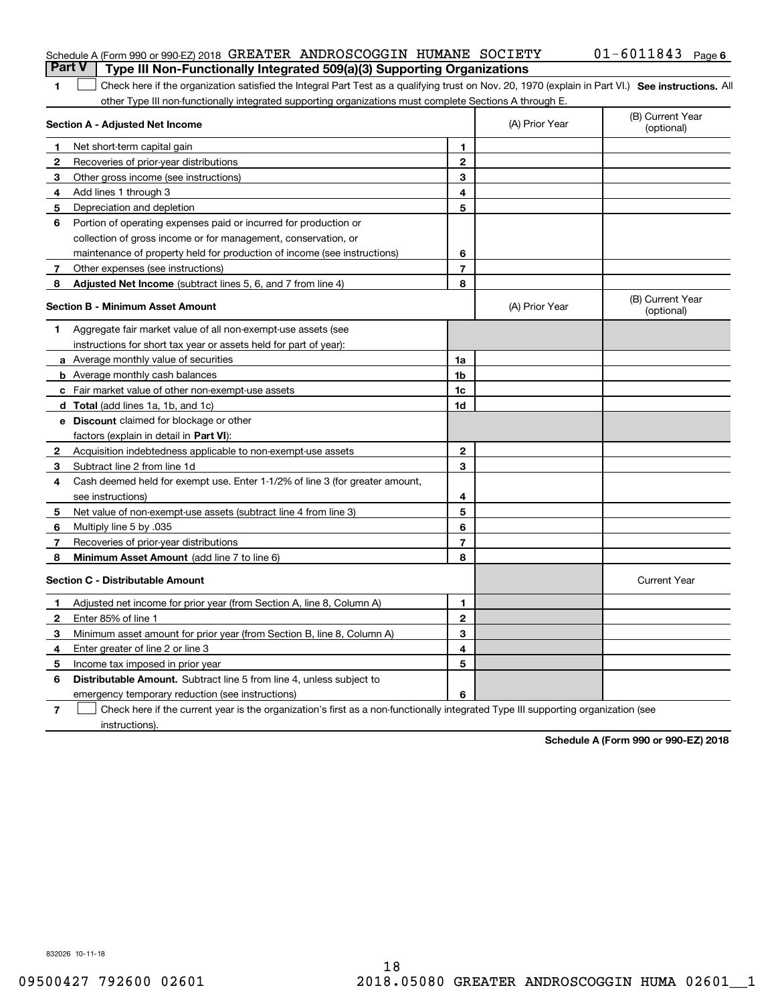| Schedule A (Form 990 or 990-EZ) 2018 GREATER ANDROSCOGGIN HUMANE SOCIETY              |  |  | $01 - 6011843$ Page 6 |  |
|---------------------------------------------------------------------------------------|--|--|-----------------------|--|
| <b>Part V</b> Type III Non-Functionally Integrated 509(a)(3) Supporting Organizations |  |  |                       |  |

| 1 Check here if the organization satisfied the Integral Part Test as a qualifying trust on Nov. 20, 1970 (explain in Part VI.) See instructions. All |  |
|------------------------------------------------------------------------------------------------------------------------------------------------------|--|
| other Type III non-functionally integrated supporting organizations must complete Sections A through E.                                              |  |

|              | Section A - Adjusted Net Income                                              | (A) Prior Year | (B) Current Year<br>(optional) |                                |
|--------------|------------------------------------------------------------------------------|----------------|--------------------------------|--------------------------------|
| 1            | Net short-term capital gain                                                  | 1              |                                |                                |
| $\mathbf{2}$ | Recoveries of prior-year distributions                                       | $\mathbf{2}$   |                                |                                |
| 3            | Other gross income (see instructions)                                        | 3              |                                |                                |
| 4            | Add lines 1 through 3                                                        | 4              |                                |                                |
| 5            | Depreciation and depletion                                                   | 5              |                                |                                |
| 6            | Portion of operating expenses paid or incurred for production or             |                |                                |                                |
|              | collection of gross income or for management, conservation, or               |                |                                |                                |
|              | maintenance of property held for production of income (see instructions)     | 6              |                                |                                |
| 7            | Other expenses (see instructions)                                            | $\overline{7}$ |                                |                                |
| 8            | Adjusted Net Income (subtract lines 5, 6, and 7 from line 4)                 | 8              |                                |                                |
|              | <b>Section B - Minimum Asset Amount</b>                                      |                | (A) Prior Year                 | (B) Current Year<br>(optional) |
| 1            | Aggregate fair market value of all non-exempt-use assets (see                |                |                                |                                |
|              | instructions for short tax year or assets held for part of year):            |                |                                |                                |
|              | a Average monthly value of securities                                        | 1a             |                                |                                |
|              | <b>b</b> Average monthly cash balances                                       | 1 <sub>b</sub> |                                |                                |
|              | <b>c</b> Fair market value of other non-exempt-use assets                    | 1c             |                                |                                |
|              | <b>d</b> Total (add lines 1a, 1b, and 1c)                                    | 1d             |                                |                                |
|              | e Discount claimed for blockage or other                                     |                |                                |                                |
|              | factors (explain in detail in Part VI):                                      |                |                                |                                |
| $\mathbf{2}$ | Acquisition indebtedness applicable to non-exempt-use assets                 | $\mathbf{2}$   |                                |                                |
| 3            | Subtract line 2 from line 1d                                                 | 3              |                                |                                |
| 4            | Cash deemed held for exempt use. Enter 1-1/2% of line 3 (for greater amount, |                |                                |                                |
|              | see instructions)                                                            | 4              |                                |                                |
| 5            | Net value of non-exempt-use assets (subtract line 4 from line 3)             | 5              |                                |                                |
| 6            | Multiply line 5 by .035                                                      | 6              |                                |                                |
| 7            | Recoveries of prior-year distributions                                       | $\overline{7}$ |                                |                                |
| 8            | Minimum Asset Amount (add line 7 to line 6)                                  | 8              |                                |                                |
|              | <b>Section C - Distributable Amount</b>                                      |                |                                | <b>Current Year</b>            |
| 1            | Adjusted net income for prior year (from Section A, line 8, Column A)        | 1              |                                |                                |
| 2            | Enter 85% of line 1                                                          | $\overline{2}$ |                                |                                |
| 3            | Minimum asset amount for prior year (from Section B, line 8, Column A)       | 3              |                                |                                |
| 4            | Enter greater of line 2 or line 3                                            | 4              |                                |                                |
| 5            | Income tax imposed in prior year                                             | 5              |                                |                                |
| 6            | Distributable Amount. Subtract line 5 from line 4, unless subject to         |                |                                |                                |
|              | emergency temporary reduction (see instructions)                             | 6              |                                |                                |
|              |                                                                              |                |                                |                                |

**7** Check here if the current year is the organization's first as a non-functionally integrated Type III supporting organization (see instructions).

**Schedule A (Form 990 or 990-EZ) 2018**

832026 10-11-18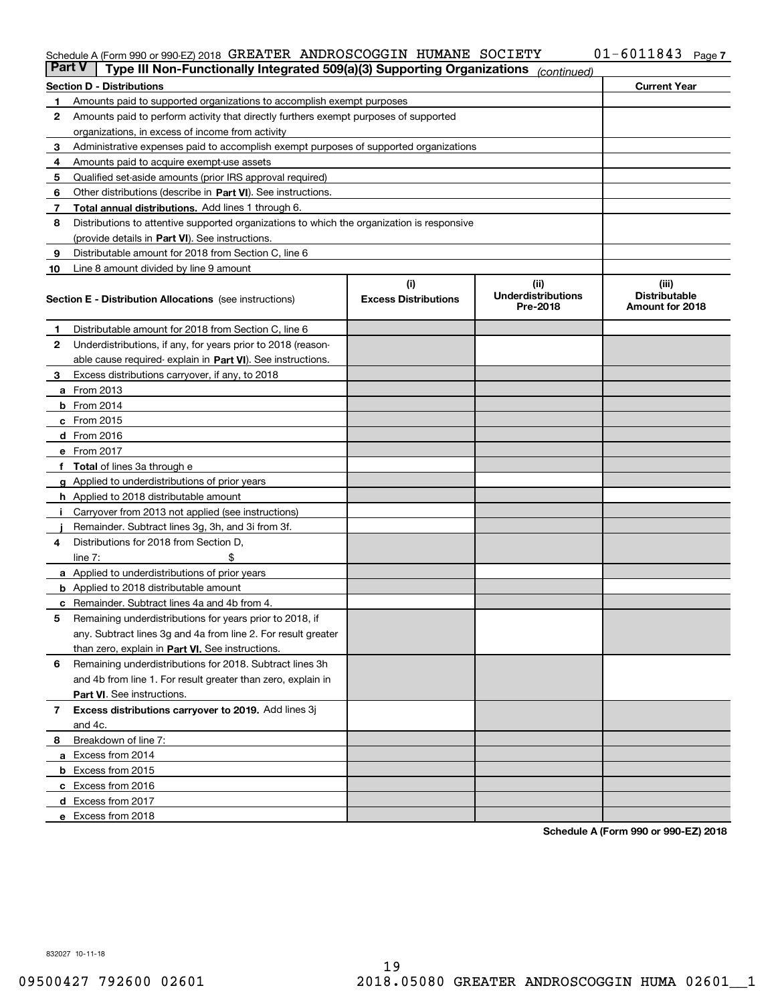#### Schedule A (Form 990 or 990-EZ) 2018 GREATER ANDROSCOGGIN HUMANE SOCIETY UI-6UII843 Page GREATER ANDROSCOGGIN HUMANE SOCIETY 01-6011843

| <b>Part V</b> | Type III Non-Functionally Integrated 509(a)(3) Supporting Organizations                    |                             | (continued)                           |                                         |  |  |  |
|---------------|--------------------------------------------------------------------------------------------|-----------------------------|---------------------------------------|-----------------------------------------|--|--|--|
|               | <b>Section D - Distributions</b>                                                           |                             |                                       | <b>Current Year</b>                     |  |  |  |
| 1             | Amounts paid to supported organizations to accomplish exempt purposes                      |                             |                                       |                                         |  |  |  |
| 2             | Amounts paid to perform activity that directly furthers exempt purposes of supported       |                             |                                       |                                         |  |  |  |
|               | organizations, in excess of income from activity                                           |                             |                                       |                                         |  |  |  |
| 3             | Administrative expenses paid to accomplish exempt purposes of supported organizations      |                             |                                       |                                         |  |  |  |
| 4             | Amounts paid to acquire exempt-use assets                                                  |                             |                                       |                                         |  |  |  |
| 5             | Qualified set-aside amounts (prior IRS approval required)                                  |                             |                                       |                                         |  |  |  |
| 6             | Other distributions (describe in Part VI). See instructions.                               |                             |                                       |                                         |  |  |  |
| 7             | <b>Total annual distributions.</b> Add lines 1 through 6.                                  |                             |                                       |                                         |  |  |  |
| 8             | Distributions to attentive supported organizations to which the organization is responsive |                             |                                       |                                         |  |  |  |
|               | (provide details in Part VI). See instructions.                                            |                             |                                       |                                         |  |  |  |
| 9             | Distributable amount for 2018 from Section C, line 6                                       |                             |                                       |                                         |  |  |  |
| 10            | Line 8 amount divided by line 9 amount                                                     |                             |                                       |                                         |  |  |  |
|               |                                                                                            | (i)                         | (ii)                                  | (iii)                                   |  |  |  |
|               | <b>Section E - Distribution Allocations</b> (see instructions)                             | <b>Excess Distributions</b> | <b>Underdistributions</b><br>Pre-2018 | <b>Distributable</b><br>Amount for 2018 |  |  |  |
| 1             | Distributable amount for 2018 from Section C, line 6                                       |                             |                                       |                                         |  |  |  |
| 2             | Underdistributions, if any, for years prior to 2018 (reason-                               |                             |                                       |                                         |  |  |  |
|               | able cause required- explain in Part VI). See instructions.                                |                             |                                       |                                         |  |  |  |
| З             | Excess distributions carryover, if any, to 2018                                            |                             |                                       |                                         |  |  |  |
|               | <b>a</b> From 2013                                                                         |                             |                                       |                                         |  |  |  |
|               | $b$ From 2014                                                                              |                             |                                       |                                         |  |  |  |
|               | $c$ From 2015                                                                              |                             |                                       |                                         |  |  |  |
|               | d From 2016                                                                                |                             |                                       |                                         |  |  |  |
|               | e From 2017                                                                                |                             |                                       |                                         |  |  |  |
|               | Total of lines 3a through e                                                                |                             |                                       |                                         |  |  |  |
| g             | Applied to underdistributions of prior years                                               |                             |                                       |                                         |  |  |  |
|               | <b>h</b> Applied to 2018 distributable amount                                              |                             |                                       |                                         |  |  |  |
|               | Carryover from 2013 not applied (see instructions)                                         |                             |                                       |                                         |  |  |  |
|               | Remainder. Subtract lines 3g, 3h, and 3i from 3f.                                          |                             |                                       |                                         |  |  |  |
| 4             | Distributions for 2018 from Section D,                                                     |                             |                                       |                                         |  |  |  |
|               | line $7:$                                                                                  |                             |                                       |                                         |  |  |  |
|               | <b>a</b> Applied to underdistributions of prior years                                      |                             |                                       |                                         |  |  |  |
|               | <b>b</b> Applied to 2018 distributable amount                                              |                             |                                       |                                         |  |  |  |
|               | c Remainder. Subtract lines 4a and 4b from 4.                                              |                             |                                       |                                         |  |  |  |
| 5             | Remaining underdistributions for years prior to 2018, if                                   |                             |                                       |                                         |  |  |  |
|               | any. Subtract lines 3g and 4a from line 2. For result greater                              |                             |                                       |                                         |  |  |  |
|               | than zero, explain in Part VI. See instructions.                                           |                             |                                       |                                         |  |  |  |
| 6             | Remaining underdistributions for 2018. Subtract lines 3h                                   |                             |                                       |                                         |  |  |  |
|               | and 4b from line 1. For result greater than zero, explain in                               |                             |                                       |                                         |  |  |  |
|               | Part VI. See instructions.                                                                 |                             |                                       |                                         |  |  |  |
| 7             | Excess distributions carryover to 2019. Add lines 3j                                       |                             |                                       |                                         |  |  |  |
|               | and 4c.                                                                                    |                             |                                       |                                         |  |  |  |
| 8             | Breakdown of line 7:                                                                       |                             |                                       |                                         |  |  |  |
|               | a Excess from 2014                                                                         |                             |                                       |                                         |  |  |  |
|               | <b>b</b> Excess from 2015                                                                  |                             |                                       |                                         |  |  |  |
|               |                                                                                            |                             |                                       |                                         |  |  |  |
|               | c Excess from 2016                                                                         |                             |                                       |                                         |  |  |  |
|               | d Excess from 2017<br>e Excess from 2018                                                   |                             |                                       |                                         |  |  |  |
|               |                                                                                            |                             |                                       |                                         |  |  |  |

**Schedule A (Form 990 or 990-EZ) 2018**

832027 10-11-18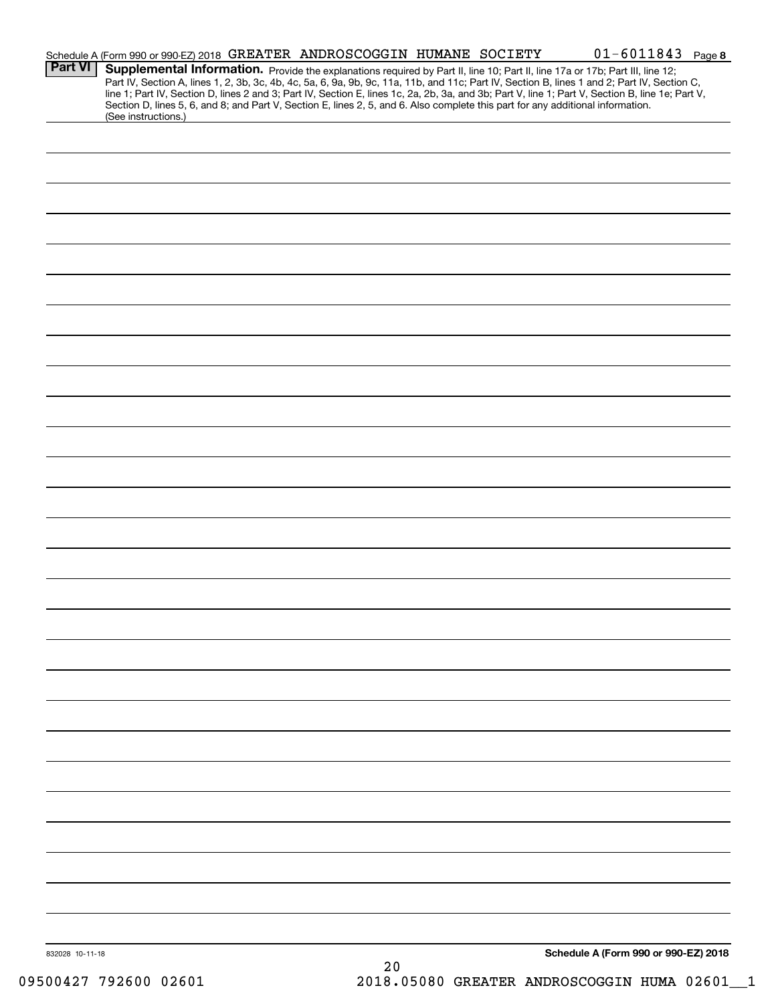| <b>Part VI</b>  | Schedule A (Form 990 or 990-EZ) 2018 GREATER ANDROSCOGGIN HUMANE SOCIETY<br>Section D, lines 5, 6, and 8; and Part V, Section E, lines 2, 5, and 6. Also complete this part for any additional information. |  |    | $01 - 6011843$ Page 8<br>Supplemental Information. Provide the explanations required by Part II, line 10; Part II, line 17a or 17b; Part III, line 12;<br>Part IV, Section A, lines 1, 2, 3b, 3c, 4b, 4c, 5a, 6, 9a, 9b, 9c, 11a, 11b, and 11c; Part IV, Section B, lines 1 and 2; Part IV, Section C,<br>line 1; Part IV, Section D, lines 2 and 3; Part IV, Section E, lines 1c, 2a, 2b, 3a, and 3b; Part V, line 1; Part V, Section B, line 1e; Part V, |  |
|-----------------|-------------------------------------------------------------------------------------------------------------------------------------------------------------------------------------------------------------|--|----|------------------------------------------------------------------------------------------------------------------------------------------------------------------------------------------------------------------------------------------------------------------------------------------------------------------------------------------------------------------------------------------------------------------------------------------------------------|--|
|                 | (See instructions.)                                                                                                                                                                                         |  |    |                                                                                                                                                                                                                                                                                                                                                                                                                                                            |  |
|                 |                                                                                                                                                                                                             |  |    |                                                                                                                                                                                                                                                                                                                                                                                                                                                            |  |
|                 |                                                                                                                                                                                                             |  |    |                                                                                                                                                                                                                                                                                                                                                                                                                                                            |  |
|                 |                                                                                                                                                                                                             |  |    |                                                                                                                                                                                                                                                                                                                                                                                                                                                            |  |
|                 |                                                                                                                                                                                                             |  |    |                                                                                                                                                                                                                                                                                                                                                                                                                                                            |  |
|                 |                                                                                                                                                                                                             |  |    |                                                                                                                                                                                                                                                                                                                                                                                                                                                            |  |
|                 |                                                                                                                                                                                                             |  |    |                                                                                                                                                                                                                                                                                                                                                                                                                                                            |  |
|                 |                                                                                                                                                                                                             |  |    |                                                                                                                                                                                                                                                                                                                                                                                                                                                            |  |
|                 |                                                                                                                                                                                                             |  |    |                                                                                                                                                                                                                                                                                                                                                                                                                                                            |  |
|                 |                                                                                                                                                                                                             |  |    |                                                                                                                                                                                                                                                                                                                                                                                                                                                            |  |
|                 |                                                                                                                                                                                                             |  |    |                                                                                                                                                                                                                                                                                                                                                                                                                                                            |  |
|                 |                                                                                                                                                                                                             |  |    |                                                                                                                                                                                                                                                                                                                                                                                                                                                            |  |
|                 |                                                                                                                                                                                                             |  |    |                                                                                                                                                                                                                                                                                                                                                                                                                                                            |  |
|                 |                                                                                                                                                                                                             |  |    |                                                                                                                                                                                                                                                                                                                                                                                                                                                            |  |
|                 |                                                                                                                                                                                                             |  |    |                                                                                                                                                                                                                                                                                                                                                                                                                                                            |  |
|                 |                                                                                                                                                                                                             |  |    |                                                                                                                                                                                                                                                                                                                                                                                                                                                            |  |
|                 |                                                                                                                                                                                                             |  |    |                                                                                                                                                                                                                                                                                                                                                                                                                                                            |  |
|                 |                                                                                                                                                                                                             |  |    |                                                                                                                                                                                                                                                                                                                                                                                                                                                            |  |
|                 |                                                                                                                                                                                                             |  |    |                                                                                                                                                                                                                                                                                                                                                                                                                                                            |  |
|                 |                                                                                                                                                                                                             |  |    |                                                                                                                                                                                                                                                                                                                                                                                                                                                            |  |
|                 |                                                                                                                                                                                                             |  |    |                                                                                                                                                                                                                                                                                                                                                                                                                                                            |  |
|                 |                                                                                                                                                                                                             |  |    |                                                                                                                                                                                                                                                                                                                                                                                                                                                            |  |
|                 |                                                                                                                                                                                                             |  |    |                                                                                                                                                                                                                                                                                                                                                                                                                                                            |  |
|                 |                                                                                                                                                                                                             |  |    |                                                                                                                                                                                                                                                                                                                                                                                                                                                            |  |
|                 |                                                                                                                                                                                                             |  |    |                                                                                                                                                                                                                                                                                                                                                                                                                                                            |  |
| 832028 10-11-18 |                                                                                                                                                                                                             |  | 20 | Schedule A (Form 990 or 990-EZ) 2018                                                                                                                                                                                                                                                                                                                                                                                                                       |  |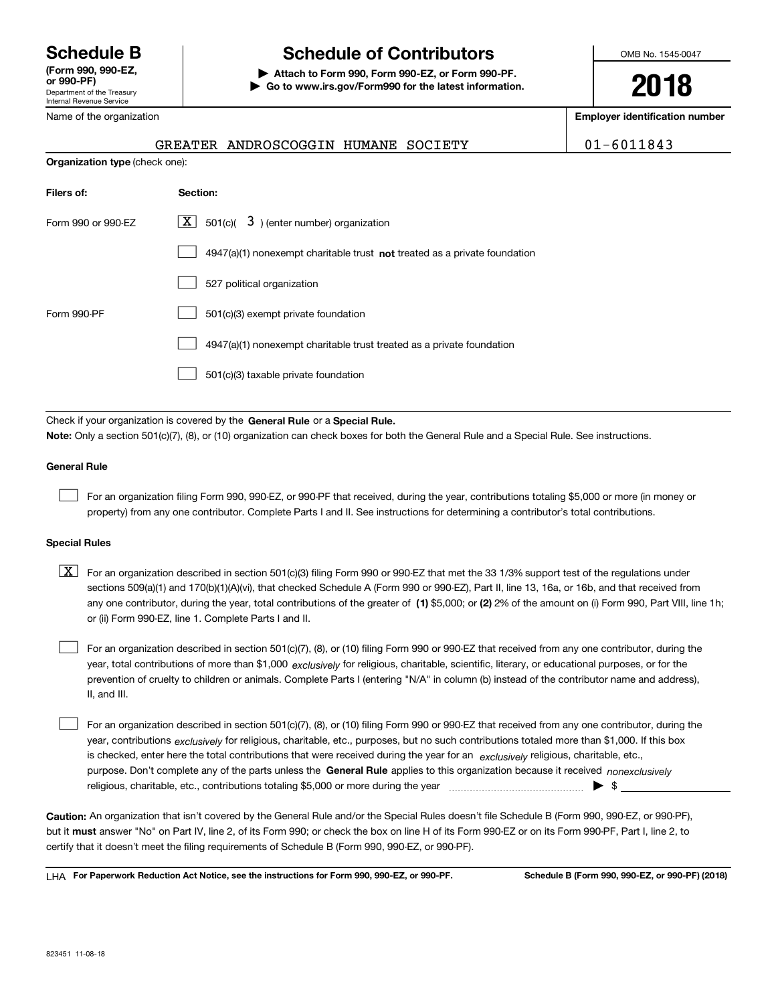Department of the Treasury Internal Revenue Service **(Form 990, 990-EZ, or 990-PF)** Name of the organization

# **Schedule B Schedule of Contributors**

**| Attach to Form 990, Form 990-EZ, or Form 990-PF. | Go to www.irs.gov/Form990 for the latest information.** OMB No. 1545-0047

**2018**

**Employer identification number**

|                                       | GREATER ANDROSCOGGIN HUMANE SOCIETY                                         | $01 - 6011843$ |
|---------------------------------------|-----------------------------------------------------------------------------|----------------|
| <b>Organization type (check one):</b> |                                                                             |                |
| Filers of:                            | Section:                                                                    |                |
| Form 990 or 990-EZ                    | $\mathbf{X}$<br>$501(c)$ $3$ ) (enter number) organization                  |                |
|                                       | $4947(a)(1)$ nonexempt charitable trust not treated as a private foundation |                |
|                                       | 527 political organization                                                  |                |
| Form 990-PF                           | 501(c)(3) exempt private foundation                                         |                |
|                                       | 4947(a)(1) nonexempt charitable trust treated as a private foundation       |                |

501(c)(3) taxable private foundation  $\mathcal{L}^{\text{max}}$ 

Check if your organization is covered by the **General Rule** or a **Special Rule. Note:**  Only a section 501(c)(7), (8), or (10) organization can check boxes for both the General Rule and a Special Rule. See instructions.

#### **General Rule**

 $\mathcal{L}^{\text{max}}$ 

For an organization filing Form 990, 990-EZ, or 990-PF that received, during the year, contributions totaling \$5,000 or more (in money or property) from any one contributor. Complete Parts I and II. See instructions for determining a contributor's total contributions.

#### **Special Rules**

any one contributor, during the year, total contributions of the greater of  $\,$  (1) \$5,000; or **(2)** 2% of the amount on (i) Form 990, Part VIII, line 1h;  $\boxed{\textbf{X}}$  For an organization described in section 501(c)(3) filing Form 990 or 990-EZ that met the 33 1/3% support test of the regulations under sections 509(a)(1) and 170(b)(1)(A)(vi), that checked Schedule A (Form 990 or 990-EZ), Part II, line 13, 16a, or 16b, and that received from or (ii) Form 990-EZ, line 1. Complete Parts I and II.

year, total contributions of more than \$1,000 *exclusively* for religious, charitable, scientific, literary, or educational purposes, or for the For an organization described in section 501(c)(7), (8), or (10) filing Form 990 or 990-EZ that received from any one contributor, during the prevention of cruelty to children or animals. Complete Parts I (entering "N/A" in column (b) instead of the contributor name and address), II, and III.  $\mathcal{L}^{\text{max}}$ 

purpose. Don't complete any of the parts unless the **General Rule** applies to this organization because it received *nonexclusively* year, contributions <sub>exclusively</sub> for religious, charitable, etc., purposes, but no such contributions totaled more than \$1,000. If this box is checked, enter here the total contributions that were received during the year for an  $\;$ exclusively religious, charitable, etc., For an organization described in section 501(c)(7), (8), or (10) filing Form 990 or 990-EZ that received from any one contributor, during the religious, charitable, etc., contributions totaling \$5,000 or more during the year  $\Box$ — $\Box$   $\Box$  $\mathcal{L}^{\text{max}}$ 

**Caution:**  An organization that isn't covered by the General Rule and/or the Special Rules doesn't file Schedule B (Form 990, 990-EZ, or 990-PF),  **must** but it answer "No" on Part IV, line 2, of its Form 990; or check the box on line H of its Form 990-EZ or on its Form 990-PF, Part I, line 2, to certify that it doesn't meet the filing requirements of Schedule B (Form 990, 990-EZ, or 990-PF).

**For Paperwork Reduction Act Notice, see the instructions for Form 990, 990-EZ, or 990-PF. Schedule B (Form 990, 990-EZ, or 990-PF) (2018)** LHA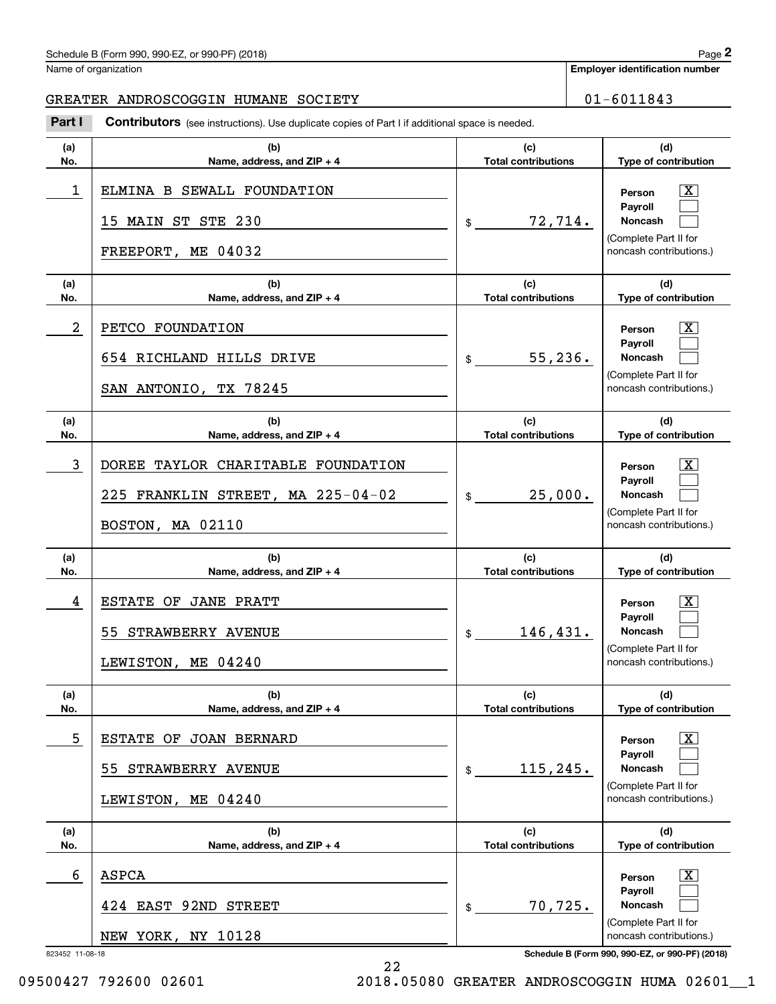### Schedule B (Form 990, 990-EZ, or 990-PF) (2018) Page 2

Name of organization

**Employer identification number**

#### GREATER ANDROSCOGGIN HUMANE SOCIETY | 01-6011843

Chedule B (Form 990, 990-EZ, or 990-PF) (2018)<br> **2014 Interpreteral space of Part I is additional space is needed.**<br> **2Part I Contributors** (see instructions). Use duplicate copies of Part I if additional space is needed.

| (a)<br>No.           | (b)<br>Name, address, and ZIP + 4                                                           | (c)<br><b>Total contributions</b> | (d)<br>Type of contribution                                                                                                                                    |
|----------------------|---------------------------------------------------------------------------------------------|-----------------------------------|----------------------------------------------------------------------------------------------------------------------------------------------------------------|
| 1                    | ELMINA B SEWALL FOUNDATION<br>15 MAIN ST STE 230<br>FREEPORT, ME 04032                      | 72,714.<br>$\mathfrak{S}$         | x<br>Person<br><b>Payroll</b><br><b>Noncash</b><br>(Complete Part II for<br>noncash contributions.)                                                            |
| (a)<br>No.           | (b)<br>Name, address, and ZIP + 4                                                           | (c)<br><b>Total contributions</b> | (d)<br>Type of contribution                                                                                                                                    |
| 2                    | PETCO FOUNDATION<br>654 RICHLAND HILLS DRIVE<br>SAN ANTONIO, TX 78245                       | 55, 236.<br>\$                    | x<br>Person<br>Payroll<br><b>Noncash</b><br>(Complete Part II for<br>noncash contributions.)                                                                   |
| (a)<br>No.           | (b)<br>Name, address, and ZIP + 4                                                           | (c)<br><b>Total contributions</b> | (d)<br>Type of contribution                                                                                                                                    |
| 3                    | DOREE TAYLOR CHARITABLE FOUNDATION<br>225 FRANKLIN STREET, MA 225-04-02<br>BOSTON, MA 02110 | 25,000.<br>\$                     | x<br>Person<br>Payroll<br><b>Noncash</b><br>(Complete Part II for<br>noncash contributions.)                                                                   |
|                      |                                                                                             |                                   |                                                                                                                                                                |
| (a)<br>No.           | (b)<br>Name, address, and ZIP + 4                                                           | (c)<br><b>Total contributions</b> | (d)<br>Type of contribution                                                                                                                                    |
| 4                    | ESTATE OF JANE PRATT<br>55 STRAWBERRY AVENUE<br>LEWISTON, ME 04240                          | 146,431.<br>\$                    | x<br>Person<br><b>Payroll</b><br><b>Noncash</b><br>(Complete Part II for<br>noncash contributions.)                                                            |
| (a)<br>No.           | (b)<br>Name, address, and ZIP + 4                                                           | (c)<br><b>Total contributions</b> | (d)<br>Type of contribution                                                                                                                                    |
| 5                    | ESTATE OF JOAN BERNARD<br>STRAWBERRY AVENUE<br>55.<br>LEWISTON, ME 04240                    | 115,245.<br>\$                    | x<br>Person<br>Payroll<br><b>Noncash</b><br>(Complete Part II for<br>noncash contributions.)                                                                   |
| (a)<br>No.           | (b)<br>Name, address, and ZIP + 4                                                           | (c)<br><b>Total contributions</b> | (d)<br>Type of contribution                                                                                                                                    |
| 6<br>823452 11-08-18 | ASPCA<br>EAST 92ND STREET<br>424<br>NEW YORK, NY 10128                                      | 70,725.<br>\$                     | $\overline{\mathbf{X}}$<br>Person<br>Payroll<br>Noncash<br>(Complete Part II for<br>noncash contributions.)<br>Schedule B (Form 990, 990-EZ, or 990-PF) (2018) |

22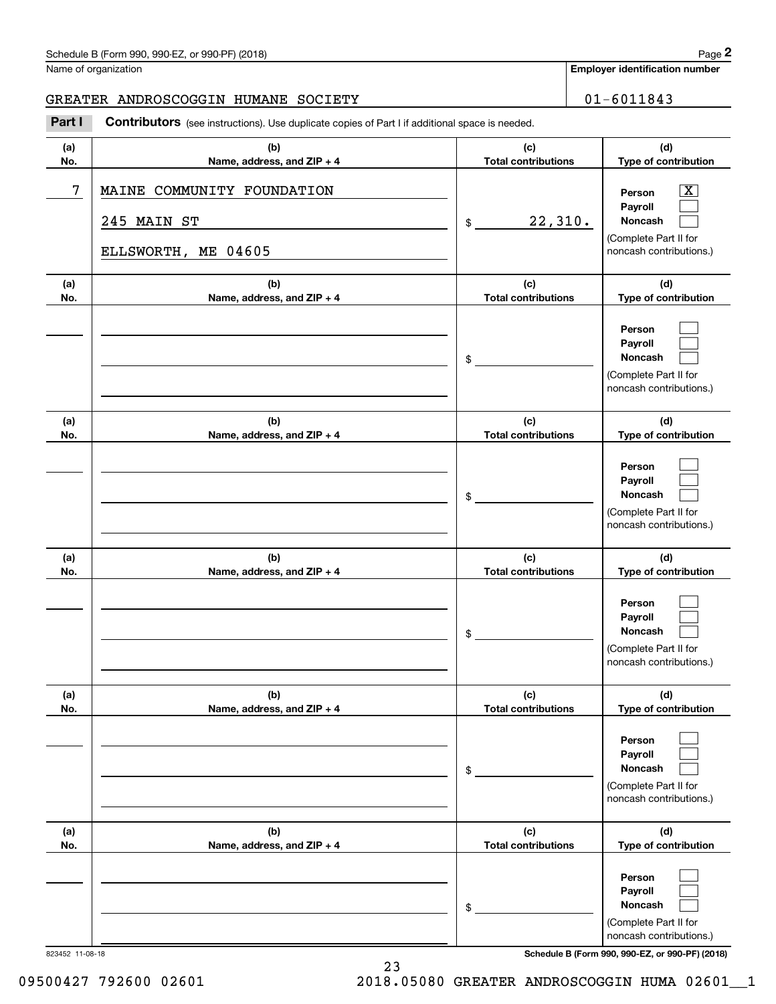### Schedule B (Form 990, 990-EZ, or 990-PF) (2018) Page 2

Name of organization

#### GREATER ANDROSCOGGIN HUMANE SOCIETY | 01-6011843

Contributors (see instructions). Use duplicate copies of Part I if additional space is needed. Chedule B (Form 990, 990-EZ, or 990-PF) (2018)<br>Iame of organization<br>**2PARTER ANDROSCOGGIN HUMANE SOCIETY**<br>**2PART I** Contributors (see instructions). Use duplicate copies of Part I if additional space is needed.

| (a)<br>No.      | (b)<br>Name, address, and ZIP + 4                                | (c)<br><b>Total contributions</b> | (d)<br>Type of contribution                                                                                      |
|-----------------|------------------------------------------------------------------|-----------------------------------|------------------------------------------------------------------------------------------------------------------|
| 7               | MAINE COMMUNITY FOUNDATION<br>245 MAIN ST<br>ELLSWORTH, ME 04605 | 22,310.<br>$\frac{1}{2}$          | $\overline{\text{X}}$<br>Person<br>Pavroll<br><b>Noncash</b><br>(Complete Part II for<br>noncash contributions.) |
| (a)<br>No.      | (b)<br>Name, address, and ZIP + 4                                | (c)<br><b>Total contributions</b> | (d)<br>Type of contribution                                                                                      |
|                 |                                                                  | \$                                | Person<br>Payroll<br>Noncash<br>(Complete Part II for<br>noncash contributions.)                                 |
| (a)<br>No.      | (b)<br>Name, address, and ZIP + 4                                | (c)<br><b>Total contributions</b> | (d)<br>Type of contribution                                                                                      |
|                 |                                                                  | \$                                | Person<br>Payroll<br><b>Noncash</b><br>(Complete Part II for<br>noncash contributions.)                          |
| (a)<br>No.      | (b)<br>Name, address, and ZIP + 4                                | (c)<br><b>Total contributions</b> | (d)<br>Type of contribution                                                                                      |
|                 |                                                                  | \$                                | Person<br>Payroll<br>Noncash<br>(Complete Part II for<br>noncash contributions.)                                 |
| (a)<br>No.      | (b)<br>Name, address, and ZIP + 4                                | (c)<br><b>Total contributions</b> | (d)<br>Type of contribution                                                                                      |
|                 |                                                                  | \$                                | Person<br>Payroll<br>Noncash<br>(Complete Part II for<br>noncash contributions.)                                 |
| (a)<br>No.      | (b)<br>Name, address, and ZIP + 4                                | (c)<br><b>Total contributions</b> | (d)<br>Type of contribution                                                                                      |
|                 |                                                                  | \$                                | Person<br>Payroll<br>Noncash<br>(Complete Part II for<br>noncash contributions.)                                 |
| 823452 11-08-18 |                                                                  |                                   | Schedule B (Form 990, 990-EZ, or 990-PF) (2018)                                                                  |

23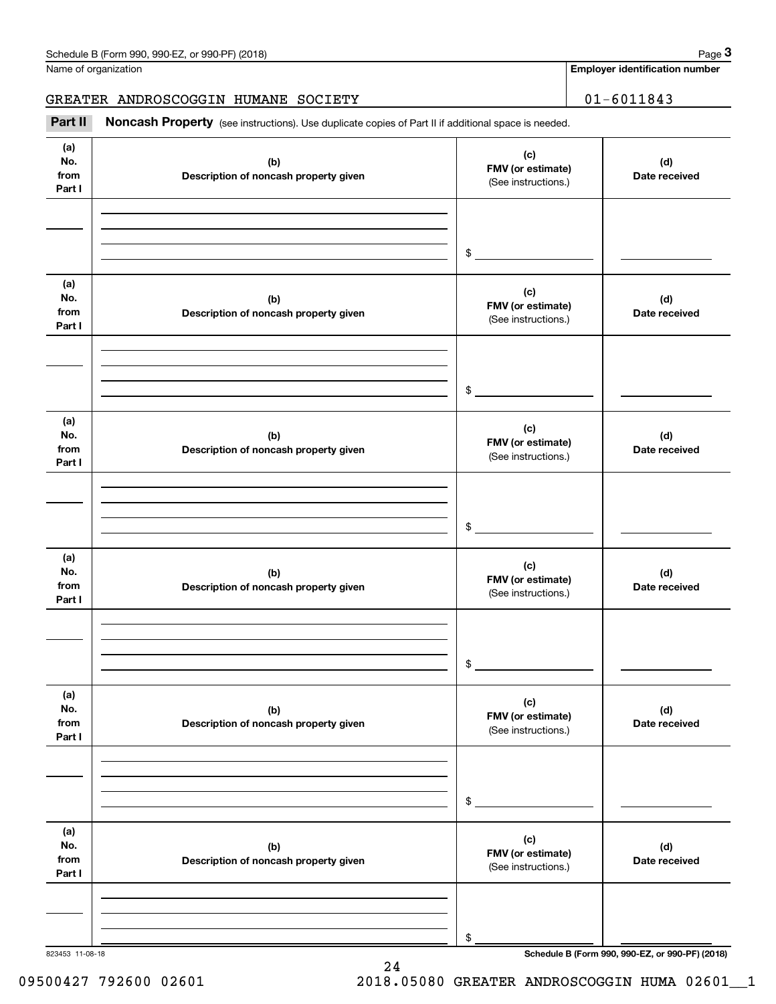Name of organization

**Employer identification number**

GREATER ANDROSCOGGIN HUMANE SOCIETY | 01-6011843

Chedule B (Form 990, 990-EZ, or 990-PF) (2018)<br> **2014 Instruction Section Space 3**<br> **3PART II if additional space is needed.**<br> **2Part II if Additional space is needed.**<br> **3Part II if Additional space is needed.** 

| (a)<br>No.<br>from<br>Part I | (b)<br>Description of noncash property given | (c)<br>FMV (or estimate)<br>(See instructions.) | (d)<br>Date received |
|------------------------------|----------------------------------------------|-------------------------------------------------|----------------------|
|                              |                                              |                                                 |                      |
|                              |                                              | \$                                              |                      |
|                              |                                              |                                                 |                      |
| (a)<br>No.<br>from<br>Part I | (b)<br>Description of noncash property given | (c)<br>FMV (or estimate)<br>(See instructions.) | (d)<br>Date received |
|                              |                                              |                                                 |                      |
|                              |                                              | \$                                              |                      |
|                              |                                              |                                                 |                      |
| (a)<br>No.<br>from<br>Part I | (b)<br>Description of noncash property given | (c)<br>FMV (or estimate)<br>(See instructions.) | (d)<br>Date received |
|                              |                                              |                                                 |                      |
|                              |                                              |                                                 |                      |
|                              |                                              | \$                                              |                      |
| (a)<br>No.<br>from<br>Part I | (b)<br>Description of noncash property given | (c)<br>FMV (or estimate)<br>(See instructions.) | (d)<br>Date received |
|                              |                                              |                                                 |                      |
|                              |                                              |                                                 |                      |
|                              |                                              | \$                                              |                      |
| (a)<br>No.<br>from<br>Part I | (b)<br>Description of noncash property given | (c)<br>FMV (or estimate)<br>(See instructions.) | (d)<br>Date received |
|                              |                                              |                                                 |                      |
|                              |                                              |                                                 |                      |
|                              |                                              | $\$$                                            |                      |
| (a)<br>No.<br>from<br>Part I | (b)<br>Description of noncash property given | (c)<br>FMV (or estimate)<br>(See instructions.) | (d)<br>Date received |
|                              |                                              |                                                 |                      |
|                              |                                              |                                                 |                      |
|                              |                                              | \$                                              |                      |

823453 11-08-18 **Schedule B (Form 990, 990-EZ, or 990-PF) (2018)**

09500427 792600 02601 2018.05080 GREATER ANDROSCOGGIN HUMA 02601\_1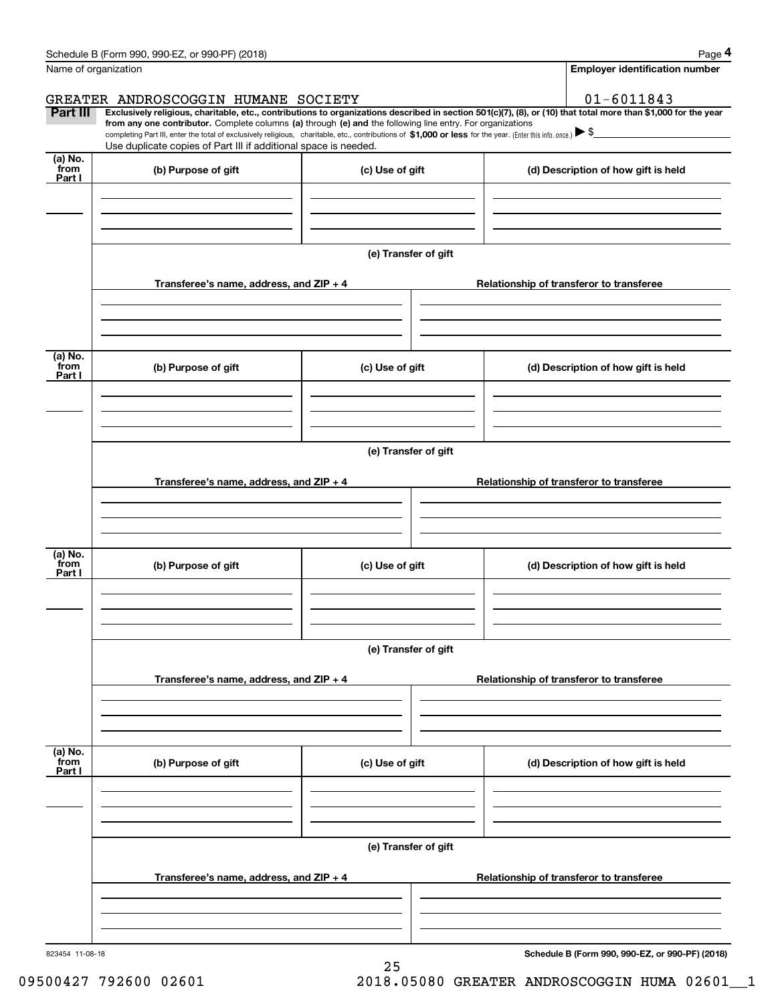|                 | Schedule B (Form 990, 990-EZ, or 990-PF) (2018)                                                                                                                                                                                                                              |                      |  | Page 4                                          |  |  |  |  |
|-----------------|------------------------------------------------------------------------------------------------------------------------------------------------------------------------------------------------------------------------------------------------------------------------------|----------------------|--|-------------------------------------------------|--|--|--|--|
|                 | Name of organization                                                                                                                                                                                                                                                         |                      |  | <b>Employer identification number</b>           |  |  |  |  |
|                 | GREATER ANDROSCOGGIN HUMANE SOCIETY                                                                                                                                                                                                                                          |                      |  | $01 - 6011843$                                  |  |  |  |  |
| <b>Part III</b> | Exclusively religious, charitable, etc., contributions to organizations described in section 501(c)(7), (8), or (10) that total more than \$1,000 for the year<br>from any one contributor. Complete columns (a) through (e) and the following line entry. For organizations |                      |  |                                                 |  |  |  |  |
|                 | completing Part III, enter the total of exclusively religious, charitable, etc., contributions of \$1,000 or less for the year. (Enter this info. once.) $\blacktriangleright$ \$<br>Use duplicate copies of Part III if additional space is needed.                         |                      |  |                                                 |  |  |  |  |
| (a) No.<br>from | (b) Purpose of gift                                                                                                                                                                                                                                                          | (c) Use of gift      |  |                                                 |  |  |  |  |
| Part I          |                                                                                                                                                                                                                                                                              |                      |  | (d) Description of how gift is held             |  |  |  |  |
|                 |                                                                                                                                                                                                                                                                              |                      |  |                                                 |  |  |  |  |
|                 |                                                                                                                                                                                                                                                                              |                      |  |                                                 |  |  |  |  |
|                 |                                                                                                                                                                                                                                                                              | (e) Transfer of gift |  |                                                 |  |  |  |  |
|                 |                                                                                                                                                                                                                                                                              |                      |  |                                                 |  |  |  |  |
|                 | Transferee's name, address, and ZIP + 4                                                                                                                                                                                                                                      |                      |  | Relationship of transferor to transferee        |  |  |  |  |
|                 |                                                                                                                                                                                                                                                                              |                      |  |                                                 |  |  |  |  |
|                 |                                                                                                                                                                                                                                                                              |                      |  |                                                 |  |  |  |  |
| (a) No.<br>from |                                                                                                                                                                                                                                                                              |                      |  |                                                 |  |  |  |  |
| Part I          | (b) Purpose of gift                                                                                                                                                                                                                                                          | (c) Use of gift      |  | (d) Description of how gift is held             |  |  |  |  |
|                 |                                                                                                                                                                                                                                                                              |                      |  |                                                 |  |  |  |  |
|                 |                                                                                                                                                                                                                                                                              |                      |  |                                                 |  |  |  |  |
|                 |                                                                                                                                                                                                                                                                              | (e) Transfer of gift |  |                                                 |  |  |  |  |
|                 |                                                                                                                                                                                                                                                                              |                      |  |                                                 |  |  |  |  |
|                 | Transferee's name, address, and ZIP + 4                                                                                                                                                                                                                                      |                      |  | Relationship of transferor to transferee        |  |  |  |  |
|                 |                                                                                                                                                                                                                                                                              |                      |  |                                                 |  |  |  |  |
|                 |                                                                                                                                                                                                                                                                              |                      |  |                                                 |  |  |  |  |
| (a) No.<br>from |                                                                                                                                                                                                                                                                              |                      |  |                                                 |  |  |  |  |
| Part I          | (b) Purpose of gift                                                                                                                                                                                                                                                          | (c) Use of gift      |  | (d) Description of how gift is held             |  |  |  |  |
|                 |                                                                                                                                                                                                                                                                              |                      |  |                                                 |  |  |  |  |
|                 |                                                                                                                                                                                                                                                                              |                      |  |                                                 |  |  |  |  |
|                 |                                                                                                                                                                                                                                                                              | (e) Transfer of gift |  |                                                 |  |  |  |  |
|                 |                                                                                                                                                                                                                                                                              |                      |  |                                                 |  |  |  |  |
|                 | Transferee's name, address, and $ZIP + 4$                                                                                                                                                                                                                                    |                      |  | Relationship of transferor to transferee        |  |  |  |  |
|                 |                                                                                                                                                                                                                                                                              |                      |  |                                                 |  |  |  |  |
|                 |                                                                                                                                                                                                                                                                              |                      |  |                                                 |  |  |  |  |
| (a) No.<br>from | (b) Purpose of gift                                                                                                                                                                                                                                                          | (c) Use of gift      |  | (d) Description of how gift is held             |  |  |  |  |
| Part I          |                                                                                                                                                                                                                                                                              |                      |  |                                                 |  |  |  |  |
|                 |                                                                                                                                                                                                                                                                              |                      |  |                                                 |  |  |  |  |
|                 |                                                                                                                                                                                                                                                                              |                      |  |                                                 |  |  |  |  |
|                 |                                                                                                                                                                                                                                                                              | (e) Transfer of gift |  |                                                 |  |  |  |  |
|                 |                                                                                                                                                                                                                                                                              |                      |  |                                                 |  |  |  |  |
|                 | Transferee's name, address, and $ZIP + 4$                                                                                                                                                                                                                                    |                      |  | Relationship of transferor to transferee        |  |  |  |  |
|                 |                                                                                                                                                                                                                                                                              |                      |  |                                                 |  |  |  |  |
|                 |                                                                                                                                                                                                                                                                              |                      |  |                                                 |  |  |  |  |
| 823454 11-08-18 |                                                                                                                                                                                                                                                                              |                      |  | Schedule B (Form 990, 990-EZ, or 990-PF) (2018) |  |  |  |  |
|                 |                                                                                                                                                                                                                                                                              | 25                   |  |                                                 |  |  |  |  |

<sup>09500427 792600 02601 2018.05080</sup> GREATER ANDROSCOGGIN HUMA 02601\_1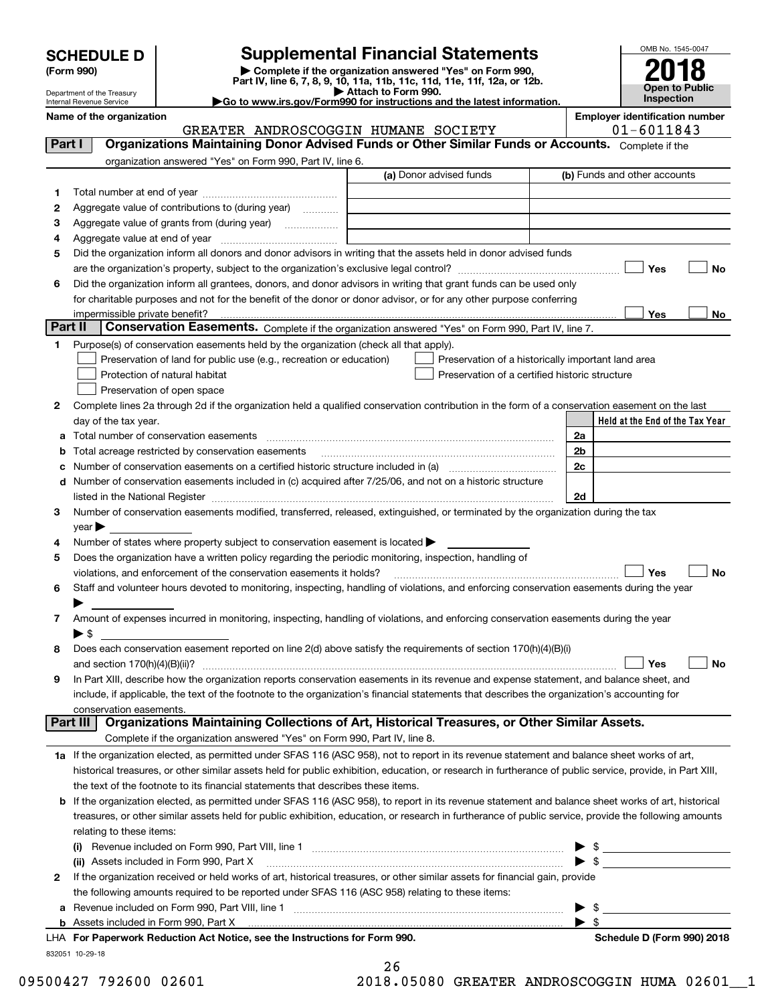| <b>SCHEDULE D</b> |  |
|-------------------|--|
|-------------------|--|

Department of the Treasury

| (Form 990) |  |
|------------|--|
|------------|--|

## **Supplemental Financial Statements**

**(Form 990)** (**Form 990,**<br>Part IV, line 6, 7, 8, 9, 10, 11a, 11b, 11c, 11d, 11e, 11f, 12a, or 12b.<br>Department of the Treasury **and Exercise Connect Connect Connect Connect Connect Connect Connect Connect Connect** 



**|Go to www.irs.gov/Form990 for instructions and the latest information.**

Internal Revenue Service 832051 10-29-18 **Held at the End of the Tax Year Name of the organization Employer identification number** (a) Donor advised funds **123456Yes No Yes**<u>es \_\_\_\_\_\_\_\_ No</u> **12**Complete lines 2a through 2d if the organization held a qualified conservation contribution in the form of a conservation easement on the last **3456789abc** Number of conservation easements on a certified historic structure included in (a) www.communically **d2a2b2c2dYes No Yes No 1a** If the organization elected, as permitted under SFAS 116 (ASC 958), not to report in its revenue statement and balance sheet works of art, **2b** If the organization elected, as permitted under SFAS 116 (ASC 958), to report in its revenue statement and balance sheet works of art, historical **(i)** Revenue included on Form 990, Part VIII, line 1 ~~~~~~~~~~~~~~~~~~~~~~~~~~~~**(ii)** Assets included in Form 990, Part X ~~~~~~~~~~~~~~~~~~~~~~~~~~~~~~~~~ | \$ **a**Revenue included on Form 990, Part VIII, line 1 ~~~~~~~~~~~~~~~~~~~~~~~~~~~~~~**bFor Paperwork Reduction Act Notice, see the Instructions for Form 990. Schedule D (Form 990) 2018** LHAComplete if the organization answered "Yes" on Form 990, Part IV, line 6. (b) Funds and other accounts Total number at end of year ~~~~~~~~~~~~~~~ Aggregate value of contributions to (during year)  $\quad \quad \ldots \ldots \ldots$ Aggregate value of grants from (during year) www.community Aggregate value at end of year ~~~~~~~~~~~~~ Did the organization inform all donors and donor advisors in writing that the assets held in donor advised funds are the organization's property, subject to the organization's exclusive legal control? ~~~~~~~~~~~~~~~~~~ Did the organization inform all grantees, donors, and donor advisors in writing that grant funds can be used only for charitable purposes and not for the benefit of the donor or donor advisor, or for any other purpose conferring impermissible private benefit? **Part II | Conservation Easements.** Complete if the organization answered "Yes" on Form 990, Part IV, line 7. Purpose(s) of conservation easements held by the organization (check all that apply). Preservation of land for public use (e.g., recreation or education) **Protection of natural habitat Exercise 2018** Preservation of open space Preservation of a historically important land area Preservation of a certified historic structure day of the tax year. Total number of conservation easements ~~~~~~~~~~~~~~~~~~~~~~~~~~~~~~~~ Total acreage restricted by conservation easements ~~~~~~~~~~~~~~~~~~~~~~~~~~Number of conservation easements included in (c) acquired after 7/25/06, and not on a historic structure listed in the National Register ~~~~~~~~~~~~~~~~~~~~~~~~~~~~~~~~~~~~~~ Number of conservation easements modified, transferred, released, extinguished, or terminated by the organization during the tax  $year$ Number of states where property subject to conservation easement is located  $\blacktriangleright$ Does the organization have a written policy regarding the periodic monitoring, inspection, handling of violations, and enforcement of the conservation easements it holds? ~~~~~~~~~~~~~~~~~~~~~~~~~ Staff and volunteer hours devoted to monitoring, inspecting, handling of violations, and enforcing conservation easements during the year  $\blacktriangleright$ Amount of expenses incurred in monitoring, inspecting, handling of violations, and enforcing conservation easements during the year  $\blacktriangleright$  \$ Does each conservation easement reported on line 2(d) above satisfy the requirements of section 170(h)(4)(B)(i) and section 170(h)(4)(B)(ii)? ~~~~~~~~~~~~~~~~~~~~~~~~~~~~~~~~~~~~~~~~~~~~~~ In Part XIII, describe how the organization reports conservation easements in its revenue and expense statement, and balance sheet, and include, if applicable, the text of the footnote to the organization's financial statements that describes the organization's accounting for conservation easements. Complete if the organization answered "Yes" on Form 990, Part IV, line 8. historical treasures, or other similar assets held for public exhibition, education, or research in furtherance of public service, provide, in Part XIII, the text of the footnote to its financial statements that describes these items. treasures, or other similar assets held for public exhibition, education, or research in furtherance of public service, provide the following amounts relating to these items:  $\blacktriangleright$  \$ If the organization received or held works of art, historical treasures, or other similar assets for financial gain, provide the following amounts required to be reported under SFAS 116 (ASC 958) relating to these items: Assets included in Form 990, Part X  $\blacktriangleright$  \$  $\ldots$   $\blacktriangleright$  \$ **Part I Organizations Maintaining Donor Advised Funds or Other Similar Funds or Accounts. Part III Organizations Maintaining Collections of Art, Historical Treasures, or Other Similar Assets.**  $\mathcal{L}^{\text{max}}$  $\mathcal{L}^{\text{max}}$  $\Box$  Yes  $\Box$  $\mathcal{L}^{\text{max}}$  $\mathcal{L}^{\text{max}}$  $\mathcal{L}^{\text{max}}$ GREATER ANDROSCOGGIN HUMANE SOCIETY 01-6011843

26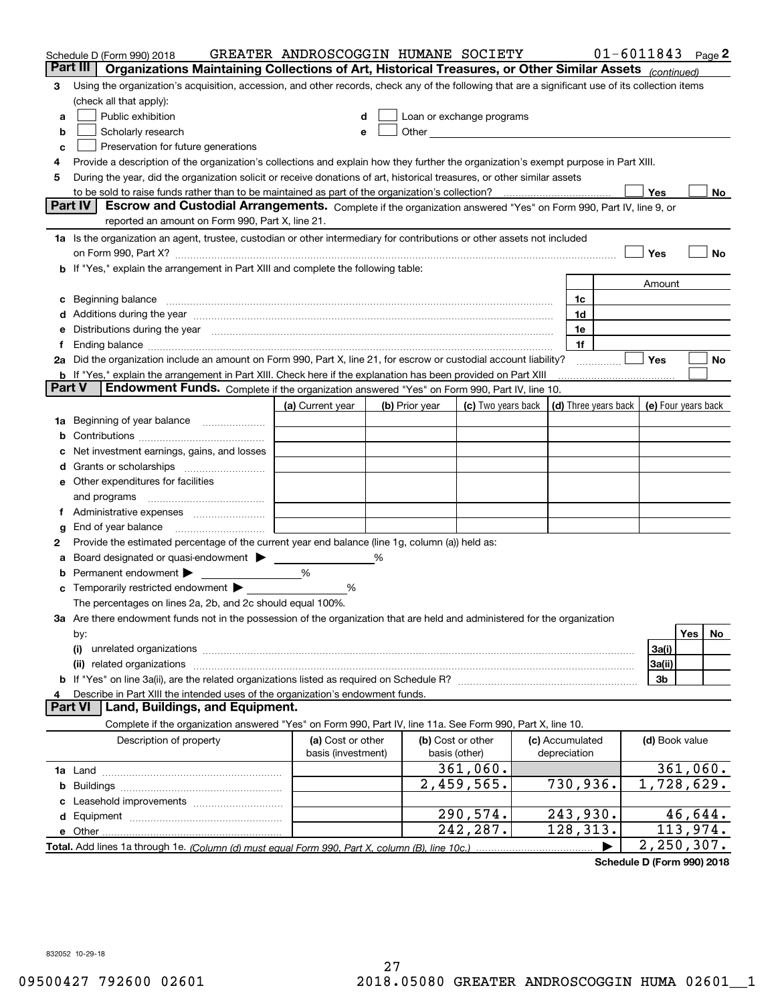|        | Schedule D (Form 990) 2018                                                                                                                                                                                                                                                                                                                       | GREATER ANDROSCOGGIN HUMANE SOCIETY |   |                |                                                                                                                                                                                                                               |                      |                | $01 - 6011843$ Page 2 |
|--------|--------------------------------------------------------------------------------------------------------------------------------------------------------------------------------------------------------------------------------------------------------------------------------------------------------------------------------------------------|-------------------------------------|---|----------------|-------------------------------------------------------------------------------------------------------------------------------------------------------------------------------------------------------------------------------|----------------------|----------------|-----------------------|
|        | Organizations Maintaining Collections of Art, Historical Treasures, or Other Similar Assets (continued)<br>Part III                                                                                                                                                                                                                              |                                     |   |                |                                                                                                                                                                                                                               |                      |                |                       |
| 3      | Using the organization's acquisition, accession, and other records, check any of the following that are a significant use of its collection items                                                                                                                                                                                                |                                     |   |                |                                                                                                                                                                                                                               |                      |                |                       |
|        | (check all that apply):                                                                                                                                                                                                                                                                                                                          |                                     |   |                |                                                                                                                                                                                                                               |                      |                |                       |
| a      | Public exhibition                                                                                                                                                                                                                                                                                                                                |                                     |   |                | Loan or exchange programs                                                                                                                                                                                                     |                      |                |                       |
| b      | Scholarly research                                                                                                                                                                                                                                                                                                                               | е                                   |   |                | Other and the contract of the contract of the contract of the contract of the contract of the contract of the contract of the contract of the contract of the contract of the contract of the contract of the contract of the |                      |                |                       |
| c      | Preservation for future generations                                                                                                                                                                                                                                                                                                              |                                     |   |                |                                                                                                                                                                                                                               |                      |                |                       |
| 4      | Provide a description of the organization's collections and explain how they further the organization's exempt purpose in Part XIII.                                                                                                                                                                                                             |                                     |   |                |                                                                                                                                                                                                                               |                      |                |                       |
| 5      | During the year, did the organization solicit or receive donations of art, historical treasures, or other similar assets                                                                                                                                                                                                                         |                                     |   |                |                                                                                                                                                                                                                               |                      |                |                       |
|        | to be sold to raise funds rather than to be maintained as part of the organization's collection?                                                                                                                                                                                                                                                 |                                     |   |                |                                                                                                                                                                                                                               |                      | Yes            | No                    |
|        | Part IV<br>Escrow and Custodial Arrangements. Complete if the organization answered "Yes" on Form 990, Part IV, line 9, or                                                                                                                                                                                                                       |                                     |   |                |                                                                                                                                                                                                                               |                      |                |                       |
|        | reported an amount on Form 990, Part X, line 21.                                                                                                                                                                                                                                                                                                 |                                     |   |                |                                                                                                                                                                                                                               |                      |                |                       |
|        | 1a Is the organization an agent, trustee, custodian or other intermediary for contributions or other assets not included                                                                                                                                                                                                                         |                                     |   |                |                                                                                                                                                                                                                               |                      |                |                       |
|        | on Form 990, Part X? [11] matter contracts and contracts and contracts are contracted as a function of Form 990, Part X?                                                                                                                                                                                                                         |                                     |   |                |                                                                                                                                                                                                                               |                      | Yes            | No                    |
|        | b If "Yes," explain the arrangement in Part XIII and complete the following table:                                                                                                                                                                                                                                                               |                                     |   |                |                                                                                                                                                                                                                               |                      |                |                       |
|        |                                                                                                                                                                                                                                                                                                                                                  |                                     |   |                |                                                                                                                                                                                                                               |                      | Amount         |                       |
|        | Beginning balance                                                                                                                                                                                                                                                                                                                                |                                     |   |                |                                                                                                                                                                                                                               | 1c<br>1d             |                |                       |
|        | Additions during the year manufactured and an annual contract of the year manufactured and a set of the year manufactured and a set of the year manufactured and a set of the year manufactured and a set of the year manufact<br>Distributions during the year manufactured and continuum and contained and the year manufactured and contained |                                     |   |                |                                                                                                                                                                                                                               | 1e                   |                |                       |
|        |                                                                                                                                                                                                                                                                                                                                                  |                                     |   |                |                                                                                                                                                                                                                               | 1f                   |                |                       |
|        | 2a Did the organization include an amount on Form 990, Part X, line 21, for escrow or custodial account liability?                                                                                                                                                                                                                               |                                     |   |                |                                                                                                                                                                                                                               |                      | Yes            | No                    |
|        | <b>b</b> If "Yes," explain the arrangement in Part XIII. Check here if the explanation has been provided on Part XIII                                                                                                                                                                                                                            |                                     |   |                |                                                                                                                                                                                                                               |                      |                |                       |
| Part V | Endowment Funds. Complete if the organization answered "Yes" on Form 990, Part IV, line 10.                                                                                                                                                                                                                                                      |                                     |   |                |                                                                                                                                                                                                                               |                      |                |                       |
|        |                                                                                                                                                                                                                                                                                                                                                  | (a) Current year                    |   | (b) Prior year | (c) Two years back                                                                                                                                                                                                            | (d) Three years back |                | (e) Four years back   |
| 1a     | Beginning of year balance                                                                                                                                                                                                                                                                                                                        |                                     |   |                |                                                                                                                                                                                                                               |                      |                |                       |
|        |                                                                                                                                                                                                                                                                                                                                                  |                                     |   |                |                                                                                                                                                                                                                               |                      |                |                       |
|        | Net investment earnings, gains, and losses                                                                                                                                                                                                                                                                                                       |                                     |   |                |                                                                                                                                                                                                                               |                      |                |                       |
|        |                                                                                                                                                                                                                                                                                                                                                  |                                     |   |                |                                                                                                                                                                                                                               |                      |                |                       |
| е      | Other expenditures for facilities                                                                                                                                                                                                                                                                                                                |                                     |   |                |                                                                                                                                                                                                                               |                      |                |                       |
|        | and programs                                                                                                                                                                                                                                                                                                                                     |                                     |   |                |                                                                                                                                                                                                                               |                      |                |                       |
|        |                                                                                                                                                                                                                                                                                                                                                  |                                     |   |                |                                                                                                                                                                                                                               |                      |                |                       |
| g      | End of year balance                                                                                                                                                                                                                                                                                                                              |                                     |   |                |                                                                                                                                                                                                                               |                      |                |                       |
| 2      | Provide the estimated percentage of the current year end balance (line 1g, column (a)) held as:                                                                                                                                                                                                                                                  |                                     |   |                |                                                                                                                                                                                                                               |                      |                |                       |
|        | Board designated or quasi-endowment >                                                                                                                                                                                                                                                                                                            |                                     | % |                |                                                                                                                                                                                                                               |                      |                |                       |
|        | Permanent endowment ▶                                                                                                                                                                                                                                                                                                                            | %                                   |   |                |                                                                                                                                                                                                                               |                      |                |                       |
| с      | Temporarily restricted endowment                                                                                                                                                                                                                                                                                                                 | %                                   |   |                |                                                                                                                                                                                                                               |                      |                |                       |
|        | The percentages on lines 2a, 2b, and 2c should equal 100%.                                                                                                                                                                                                                                                                                       |                                     |   |                |                                                                                                                                                                                                                               |                      |                |                       |
|        | 3a Are there endowment funds not in the possession of the organization that are held and administered for the organization                                                                                                                                                                                                                       |                                     |   |                |                                                                                                                                                                                                                               |                      |                |                       |
|        | by:                                                                                                                                                                                                                                                                                                                                              |                                     |   |                |                                                                                                                                                                                                                               |                      |                | Yes<br>No             |
|        | (i)                                                                                                                                                                                                                                                                                                                                              |                                     |   |                |                                                                                                                                                                                                                               |                      | 3a(i)          |                       |
|        | (ii) related organizations                                                                                                                                                                                                                                                                                                                       |                                     |   |                |                                                                                                                                                                                                                               |                      | 3a(ii)         |                       |
|        |                                                                                                                                                                                                                                                                                                                                                  |                                     |   |                |                                                                                                                                                                                                                               |                      | 3b             |                       |
|        | Describe in Part XIII the intended uses of the organization's endowment funds.<br>Land, Buildings, and Equipment.<br>Part VI                                                                                                                                                                                                                     |                                     |   |                |                                                                                                                                                                                                                               |                      |                |                       |
|        | Complete if the organization answered "Yes" on Form 990, Part IV, line 11a. See Form 990, Part X, line 10.                                                                                                                                                                                                                                       |                                     |   |                |                                                                                                                                                                                                                               |                      |                |                       |
|        | Description of property                                                                                                                                                                                                                                                                                                                          | (a) Cost or other                   |   |                | (b) Cost or other                                                                                                                                                                                                             | (c) Accumulated      | (d) Book value |                       |
|        |                                                                                                                                                                                                                                                                                                                                                  | basis (investment)                  |   |                | basis (other)                                                                                                                                                                                                                 | depreciation         |                |                       |
|        |                                                                                                                                                                                                                                                                                                                                                  |                                     |   |                | 361,060.                                                                                                                                                                                                                      |                      |                | 361,060.              |
| b      |                                                                                                                                                                                                                                                                                                                                                  |                                     |   |                | $2,459,565$ .                                                                                                                                                                                                                 | 730,936.             |                | 1,728,629.            |
|        |                                                                                                                                                                                                                                                                                                                                                  |                                     |   |                |                                                                                                                                                                                                                               |                      |                |                       |
| d      |                                                                                                                                                                                                                                                                                                                                                  |                                     |   |                | 290,574.                                                                                                                                                                                                                      | 243,930.             |                | 46,644.               |
|        | e Other.                                                                                                                                                                                                                                                                                                                                         |                                     |   |                | 242,287.                                                                                                                                                                                                                      | 128, 313.            |                | 113,974.              |
|        | Total. Add lines 1a through 1e. (Column (d) must equal Form 990, Part X, column (B), line 10c.)                                                                                                                                                                                                                                                  |                                     |   |                |                                                                                                                                                                                                                               |                      |                | 2,250,307.            |

**Schedule D (Form 990) 2018**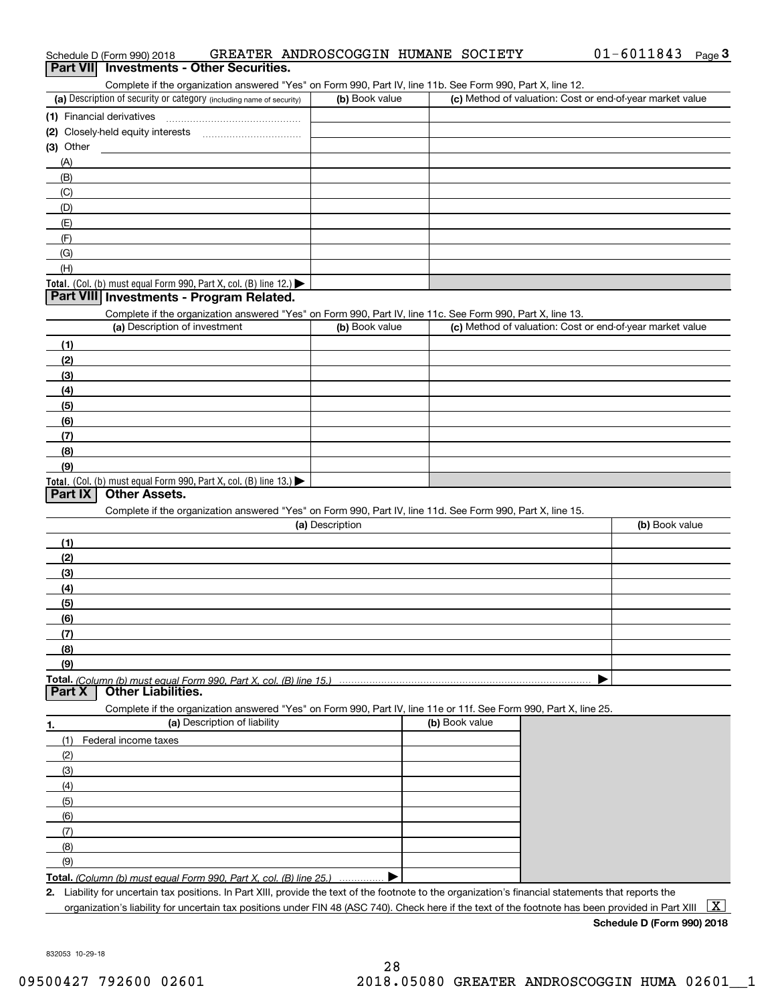| <b>Part VII</b> | Schedule D (Form 990) 2018<br><b>Investments - Other Securities.</b>                                                                               |                 | GREATER ANDROSCOGGIN HUMANE SOCIETY | $01 - 6011843$                                            | Page $3$     |
|-----------------|----------------------------------------------------------------------------------------------------------------------------------------------------|-----------------|-------------------------------------|-----------------------------------------------------------|--------------|
|                 | Complete if the organization answered "Yes" on Form 990, Part IV, line 11b. See Form 990, Part X, line 12.                                         |                 |                                     |                                                           |              |
|                 | (a) Description of security or category (including name of security)                                                                               | (b) Book value  |                                     | (c) Method of valuation: Cost or end-of-year market value |              |
|                 | (1) Financial derivatives                                                                                                                          |                 |                                     |                                                           |              |
|                 |                                                                                                                                                    |                 |                                     |                                                           |              |
| (3) Other       |                                                                                                                                                    |                 |                                     |                                                           |              |
| (A)             |                                                                                                                                                    |                 |                                     |                                                           |              |
| (B)             |                                                                                                                                                    |                 |                                     |                                                           |              |
| (C)             |                                                                                                                                                    |                 |                                     |                                                           |              |
| (D)             |                                                                                                                                                    |                 |                                     |                                                           |              |
| (E)             |                                                                                                                                                    |                 |                                     |                                                           |              |
| (F)             |                                                                                                                                                    |                 |                                     |                                                           |              |
| (G)             |                                                                                                                                                    |                 |                                     |                                                           |              |
| (H)             | Total. (Col. (b) must equal Form 990, Part X, col. (B) line 12.)                                                                                   |                 |                                     |                                                           |              |
|                 | Part VIII Investments - Program Related.                                                                                                           |                 |                                     |                                                           |              |
|                 | Complete if the organization answered "Yes" on Form 990, Part IV, line 11c. See Form 990, Part X, line 13.<br>(a) Description of investment        | (b) Book value  |                                     | (c) Method of valuation: Cost or end-of-year market value |              |
| (1)             |                                                                                                                                                    |                 |                                     |                                                           |              |
| (2)             |                                                                                                                                                    |                 |                                     |                                                           |              |
| (3)             |                                                                                                                                                    |                 |                                     |                                                           |              |
| (4)             |                                                                                                                                                    |                 |                                     |                                                           |              |
| (5)             |                                                                                                                                                    |                 |                                     |                                                           |              |
| (6)             |                                                                                                                                                    |                 |                                     |                                                           |              |
| (7)             |                                                                                                                                                    |                 |                                     |                                                           |              |
| (8)             |                                                                                                                                                    |                 |                                     |                                                           |              |
| (9)             |                                                                                                                                                    |                 |                                     |                                                           |              |
|                 | Total. (Col. (b) must equal Form 990, Part X, col. (B) line 13.)                                                                                   |                 |                                     |                                                           |              |
| <b>Part IX</b>  | <b>Other Assets.</b>                                                                                                                               |                 |                                     |                                                           |              |
|                 | Complete if the organization answered "Yes" on Form 990, Part IV, line 11d. See Form 990, Part X, line 15.                                         |                 |                                     |                                                           |              |
|                 |                                                                                                                                                    | (a) Description |                                     | (b) Book value                                            |              |
| (1)             |                                                                                                                                                    |                 |                                     |                                                           |              |
| (2)             |                                                                                                                                                    |                 |                                     |                                                           |              |
| (3)             |                                                                                                                                                    |                 |                                     |                                                           |              |
| (4)             |                                                                                                                                                    |                 |                                     |                                                           |              |
| (5)<br>(6)      |                                                                                                                                                    |                 |                                     |                                                           |              |
| (7)             |                                                                                                                                                    |                 |                                     |                                                           |              |
| (8)             |                                                                                                                                                    |                 |                                     |                                                           |              |
| (9)             |                                                                                                                                                    |                 |                                     |                                                           |              |
| <b>Part X</b>   | Total. (Column (b) must equal Form 990. Part X, col. (B) line 15.)<br><b>Other Liabilities.</b>                                                    |                 |                                     |                                                           |              |
|                 | Complete if the organization answered "Yes" on Form 990, Part IV, line 11e or 11f. See Form 990, Part X, line 25.                                  |                 |                                     |                                                           |              |
| 1.              | (a) Description of liability                                                                                                                       |                 | (b) Book value                      |                                                           |              |
| (1)             | Federal income taxes                                                                                                                               |                 |                                     |                                                           |              |
| (2)             |                                                                                                                                                    |                 |                                     |                                                           |              |
| (3)             |                                                                                                                                                    |                 |                                     |                                                           |              |
| (4)             |                                                                                                                                                    |                 |                                     |                                                           |              |
| (5)             |                                                                                                                                                    |                 |                                     |                                                           |              |
| (6)             |                                                                                                                                                    |                 |                                     |                                                           |              |
| (7)             |                                                                                                                                                    |                 |                                     |                                                           |              |
| (8)             |                                                                                                                                                    |                 |                                     |                                                           |              |
| (9)             |                                                                                                                                                    |                 |                                     |                                                           |              |
|                 | Total. (Column (b) must equal Form 990, Part X, col. (B) line 25.)                                                                                 |                 |                                     |                                                           |              |
| 2.              | Liability for uncertain tax positions. In Part XIII, provide the text of the footnote to the organization's financial statements that reports the  |                 |                                     |                                                           |              |
|                 | organization's liability for uncertain tax positions under FIN 48 (ASC 740). Check here if the text of the footnote has been provided in Part XIII |                 |                                     |                                                           | $\mathbf{X}$ |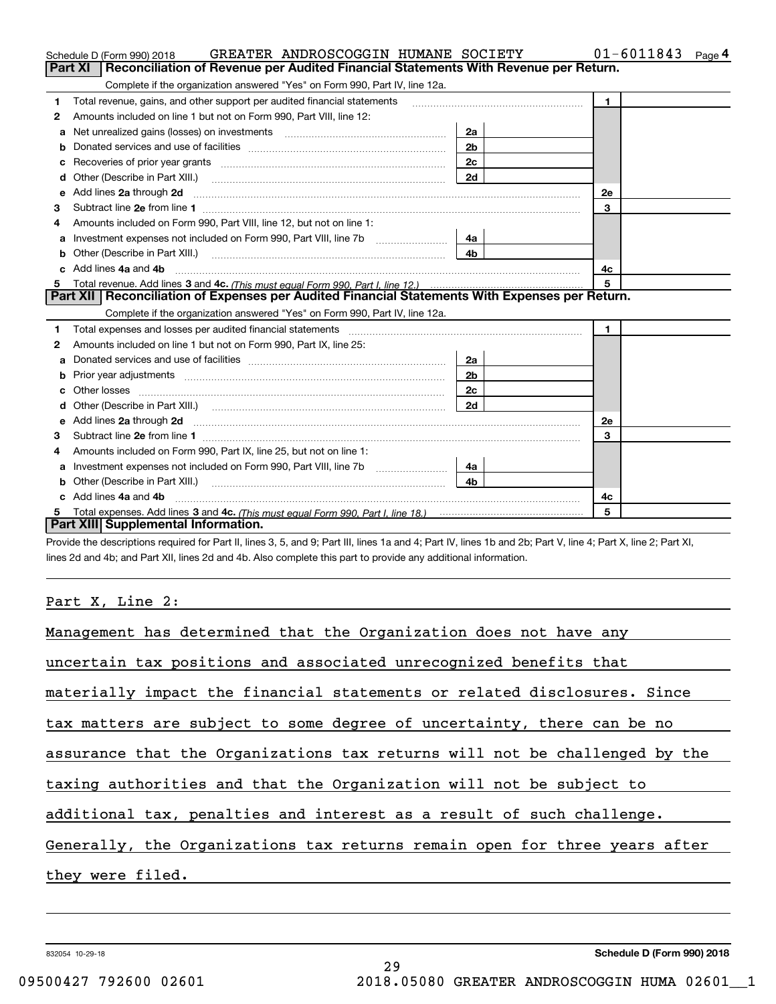|   | GREATER ANDROSCOGGIN HUMANE SOCIETY<br>Schedule D (Form 990) 2018                                                                                                                                                                    |                | $01 - 6011843$ Page 4 |
|---|--------------------------------------------------------------------------------------------------------------------------------------------------------------------------------------------------------------------------------------|----------------|-----------------------|
|   | Part XI   Reconciliation of Revenue per Audited Financial Statements With Revenue per Return.                                                                                                                                        |                |                       |
|   | Complete if the organization answered "Yes" on Form 990, Part IV, line 12a.                                                                                                                                                          |                |                       |
| 1 | Total revenue, gains, and other support per audited financial statements                                                                                                                                                             |                | $\mathbf{1}$          |
| 2 | Amounts included on line 1 but not on Form 990, Part VIII, line 12:                                                                                                                                                                  |                |                       |
| a | Net unrealized gains (losses) on investments [11] matter contracts and the unrealized gains (losses) on investments                                                                                                                  | 2a             |                       |
| b |                                                                                                                                                                                                                                      | 2 <sub>b</sub> |                       |
| с |                                                                                                                                                                                                                                      | 2c             |                       |
| d |                                                                                                                                                                                                                                      | 2d             |                       |
| е |                                                                                                                                                                                                                                      |                | 2e                    |
| з |                                                                                                                                                                                                                                      |                | 3                     |
| 4 | Amounts included on Form 990, Part VIII, line 12, but not on line 1:                                                                                                                                                                 |                |                       |
| a | Investment expenses not included on Form 990, Part VIII, line 7b                                                                                                                                                                     | 4a             |                       |
| b | Other (Describe in Part XIII.)                                                                                                                                                                                                       | 4 <sub>b</sub> |                       |
|   | Add lines 4a and 4b                                                                                                                                                                                                                  |                | 4с                    |
| 5 |                                                                                                                                                                                                                                      |                | 5                     |
|   | Part XII   Reconciliation of Expenses per Audited Financial Statements With Expenses per Return.                                                                                                                                     |                |                       |
|   | Complete if the organization answered "Yes" on Form 990, Part IV, line 12a.                                                                                                                                                          |                |                       |
| 1 | Total expenses and losses per audited financial statements [11] [12] manuscription control expenses and losses per audited financial statements [12] manuscription of the statements [12] manuscription of the statements [12]       |                | $\mathbf{1}$          |
| 2 | Amounts included on line 1 but not on Form 990, Part IX, line 25:                                                                                                                                                                    |                |                       |
| a |                                                                                                                                                                                                                                      | 2a             |                       |
| b |                                                                                                                                                                                                                                      | 2 <sub>b</sub> |                       |
|   | Other losses <b>with a contract the contract of the contract of the contract of the contract of the contract of the contract of the contract of the contract of the contract of the contract of the contract of the contract of </b> | 2c             |                       |
|   |                                                                                                                                                                                                                                      | 2d             |                       |
| е |                                                                                                                                                                                                                                      |                | 2e                    |
| 3 | Subtract line 2e from line 1                                                                                                                                                                                                         |                | 3                     |
| 4 | Amounts included on Form 990, Part IX, line 25, but not on line 1:                                                                                                                                                                   |                |                       |
| a | Investment expenses not included on Form 990, Part VIII, line 7b [100] [100] [100] [100] [100] [100] [100] [10                                                                                                                       | 4a             |                       |
| b |                                                                                                                                                                                                                                      | 4b.            |                       |
|   | Add lines 4a and 4b                                                                                                                                                                                                                  |                | 4c                    |
|   |                                                                                                                                                                                                                                      |                | 5                     |
|   | Part XIII Supplemental Information.                                                                                                                                                                                                  |                |                       |

Provide the descriptions required for Part II, lines 3, 5, and 9; Part III, lines 1a and 4; Part IV, lines 1b and 2b; Part V, line 4; Part X, line 2; Part XI, lines 2d and 4b; and Part XII, lines 2d and 4b. Also complete this part to provide any additional information.

#### Part X, Line 2:

| Management has determined that the Organization does not have any          |
|----------------------------------------------------------------------------|
| uncertain tax positions and associated unrecognized benefits that          |
| materially impact the financial statements or related disclosures. Since   |
| tax matters are subject to some degree of uncertainty, there can be no     |
| assurance that the Organizations tax returns will not be challenged by the |
| taxing authorities and that the Organization will not be subject to        |
| additional tax, penalties and interest as a result of such challenge.      |
| Generally, the Organizations tax returns remain open for three years after |
| they were filed.                                                           |
|                                                                            |

29

832054 10-29-18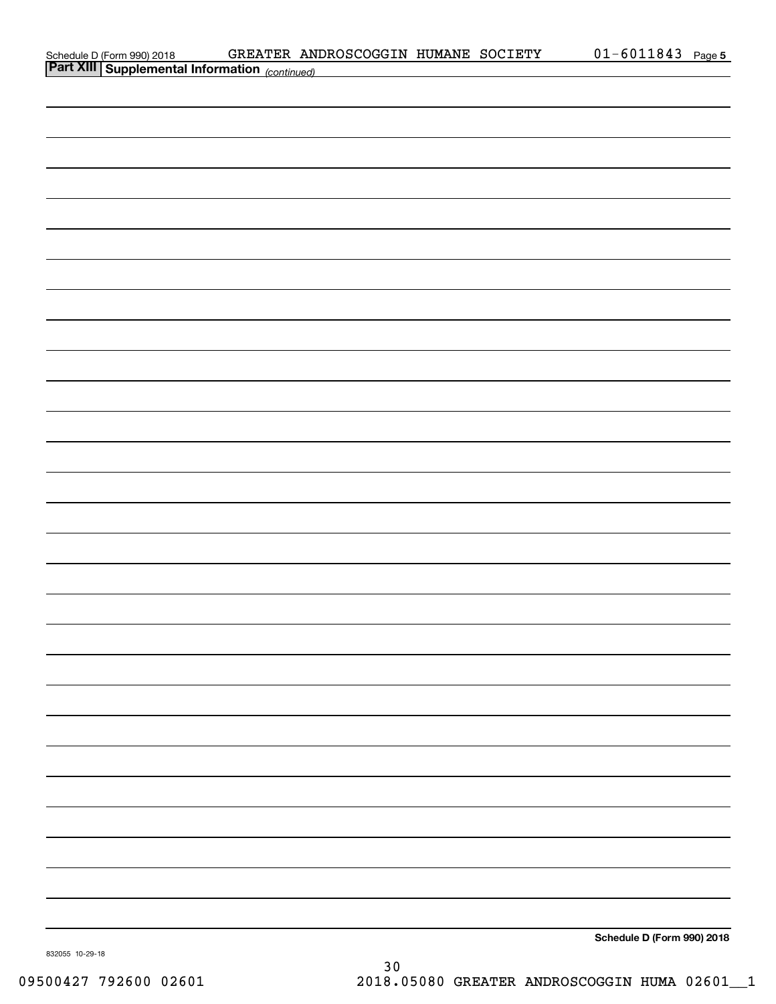| Schedule D (Form 990) 2018                            | GREATER ANDROSCOGGIN HUMANE SOCIETY |  | 01-6011843 | Page 5 |
|-------------------------------------------------------|-------------------------------------|--|------------|--------|
| <b>Part XIII Supplemental Information</b> (continued) |                                     |  |            |        |
|                                                       |                                     |  |            |        |
|                                                       |                                     |  |            |        |
|                                                       |                                     |  |            |        |
|                                                       |                                     |  |            |        |
|                                                       |                                     |  |            |        |
|                                                       |                                     |  |            |        |

**Schedule D (Form 990) 2018**

832055 10-29-18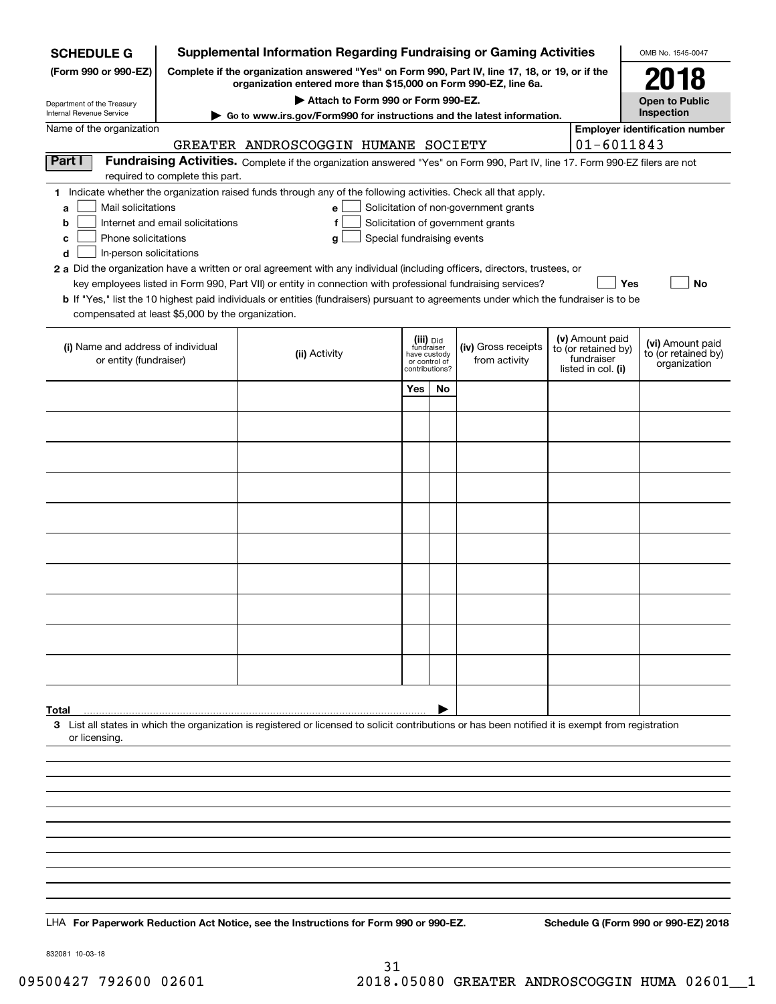| <b>SCHEDULE G</b>                                    | <b>Supplemental Information Regarding Fundraising or Gaming Activities</b>                                                                                          |                                                                                                                                                                                                                                                             |                                         |    |                                       |  |                                        | OMB No. 1545-0047                       |  |
|------------------------------------------------------|---------------------------------------------------------------------------------------------------------------------------------------------------------------------|-------------------------------------------------------------------------------------------------------------------------------------------------------------------------------------------------------------------------------------------------------------|-----------------------------------------|----|---------------------------------------|--|----------------------------------------|-----------------------------------------|--|
| (Form 990 or 990-EZ)                                 | Complete if the organization answered "Yes" on Form 990, Part IV, line 17, 18, or 19, or if the<br>organization entered more than \$15,000 on Form 990-EZ, line 6a. |                                                                                                                                                                                                                                                             |                                         |    |                                       |  |                                        | 2018                                    |  |
| Department of the Treasury                           | Attach to Form 990 or Form 990-EZ.                                                                                                                                  |                                                                                                                                                                                                                                                             |                                         |    |                                       |  |                                        | <b>Open to Public</b><br>Inspection     |  |
| Internal Revenue Service<br>Name of the organization |                                                                                                                                                                     | Go to www.irs.gov/Form990 for instructions and the latest information.                                                                                                                                                                                      |                                         |    |                                       |  |                                        |                                         |  |
|                                                      |                                                                                                                                                                     | GREATER ANDROSCOGGIN HUMANE SOCIETY                                                                                                                                                                                                                         |                                         |    |                                       |  | $01 - 6011843$                         | <b>Employer identification number</b>   |  |
| Part I                                               |                                                                                                                                                                     | Fundraising Activities. Complete if the organization answered "Yes" on Form 990, Part IV, line 17. Form 990-EZ filers are not                                                                                                                               |                                         |    |                                       |  |                                        |                                         |  |
|                                                      | required to complete this part.                                                                                                                                     | 1 Indicate whether the organization raised funds through any of the following activities. Check all that apply.                                                                                                                                             |                                         |    |                                       |  |                                        |                                         |  |
| Mail solicitations<br>a                              |                                                                                                                                                                     | e                                                                                                                                                                                                                                                           |                                         |    | Solicitation of non-government grants |  |                                        |                                         |  |
| b                                                    | Internet and email solicitations                                                                                                                                    | f                                                                                                                                                                                                                                                           |                                         |    | Solicitation of government grants     |  |                                        |                                         |  |
| Phone solicitations<br>c                             |                                                                                                                                                                     | Special fundraising events<br>g                                                                                                                                                                                                                             |                                         |    |                                       |  |                                        |                                         |  |
| In-person solicitations<br>d                         |                                                                                                                                                                     |                                                                                                                                                                                                                                                             |                                         |    |                                       |  |                                        |                                         |  |
|                                                      |                                                                                                                                                                     | 2 a Did the organization have a written or oral agreement with any individual (including officers, directors, trustees, or                                                                                                                                  |                                         |    |                                       |  |                                        |                                         |  |
|                                                      |                                                                                                                                                                     | key employees listed in Form 990, Part VII) or entity in connection with professional fundraising services?<br><b>b</b> If "Yes," list the 10 highest paid individuals or entities (fundraisers) pursuant to agreements under which the fundraiser is to be |                                         |    |                                       |  | Yes                                    | No                                      |  |
| compensated at least \$5,000 by the organization.    |                                                                                                                                                                     |                                                                                                                                                                                                                                                             |                                         |    |                                       |  |                                        |                                         |  |
|                                                      |                                                                                                                                                                     |                                                                                                                                                                                                                                                             |                                         |    |                                       |  |                                        |                                         |  |
| (i) Name and address of individual                   |                                                                                                                                                                     | (ii) Activity                                                                                                                                                                                                                                               | (iii) Did<br>fundraiser<br>have custody |    | (iv) Gross receipts                   |  | (v) Amount paid<br>to (or retained by) | (vi) Amount paid<br>to (or retained by) |  |
| or entity (fundraiser)                               |                                                                                                                                                                     |                                                                                                                                                                                                                                                             | or control of<br>contributions?         |    | from activity                         |  | fundraiser<br>listed in col. (i)       | organization                            |  |
|                                                      |                                                                                                                                                                     |                                                                                                                                                                                                                                                             | Yes                                     | No |                                       |  |                                        |                                         |  |
|                                                      |                                                                                                                                                                     |                                                                                                                                                                                                                                                             |                                         |    |                                       |  |                                        |                                         |  |
|                                                      |                                                                                                                                                                     |                                                                                                                                                                                                                                                             |                                         |    |                                       |  |                                        |                                         |  |
|                                                      |                                                                                                                                                                     |                                                                                                                                                                                                                                                             |                                         |    |                                       |  |                                        |                                         |  |
|                                                      |                                                                                                                                                                     |                                                                                                                                                                                                                                                             |                                         |    |                                       |  |                                        |                                         |  |
|                                                      |                                                                                                                                                                     |                                                                                                                                                                                                                                                             |                                         |    |                                       |  |                                        |                                         |  |
|                                                      |                                                                                                                                                                     |                                                                                                                                                                                                                                                             |                                         |    |                                       |  |                                        |                                         |  |
|                                                      |                                                                                                                                                                     |                                                                                                                                                                                                                                                             |                                         |    |                                       |  |                                        |                                         |  |
|                                                      |                                                                                                                                                                     |                                                                                                                                                                                                                                                             |                                         |    |                                       |  |                                        |                                         |  |
|                                                      |                                                                                                                                                                     |                                                                                                                                                                                                                                                             |                                         |    |                                       |  |                                        |                                         |  |
|                                                      |                                                                                                                                                                     |                                                                                                                                                                                                                                                             |                                         |    |                                       |  |                                        |                                         |  |
|                                                      |                                                                                                                                                                     |                                                                                                                                                                                                                                                             |                                         |    |                                       |  |                                        |                                         |  |
|                                                      |                                                                                                                                                                     |                                                                                                                                                                                                                                                             |                                         |    |                                       |  |                                        |                                         |  |
|                                                      |                                                                                                                                                                     |                                                                                                                                                                                                                                                             |                                         |    |                                       |  |                                        |                                         |  |
|                                                      |                                                                                                                                                                     |                                                                                                                                                                                                                                                             |                                         |    |                                       |  |                                        |                                         |  |
|                                                      |                                                                                                                                                                     |                                                                                                                                                                                                                                                             |                                         |    |                                       |  |                                        |                                         |  |
|                                                      |                                                                                                                                                                     |                                                                                                                                                                                                                                                             |                                         |    |                                       |  |                                        |                                         |  |
|                                                      |                                                                                                                                                                     |                                                                                                                                                                                                                                                             |                                         |    |                                       |  |                                        |                                         |  |
| Total                                                |                                                                                                                                                                     |                                                                                                                                                                                                                                                             |                                         |    |                                       |  |                                        |                                         |  |
|                                                      |                                                                                                                                                                     | 3 List all states in which the organization is registered or licensed to solicit contributions or has been notified it is exempt from registration                                                                                                          |                                         |    |                                       |  |                                        |                                         |  |
| or licensing.                                        |                                                                                                                                                                     |                                                                                                                                                                                                                                                             |                                         |    |                                       |  |                                        |                                         |  |
|                                                      |                                                                                                                                                                     |                                                                                                                                                                                                                                                             |                                         |    |                                       |  |                                        |                                         |  |
|                                                      |                                                                                                                                                                     |                                                                                                                                                                                                                                                             |                                         |    |                                       |  |                                        |                                         |  |
|                                                      |                                                                                                                                                                     |                                                                                                                                                                                                                                                             |                                         |    |                                       |  |                                        |                                         |  |
|                                                      |                                                                                                                                                                     |                                                                                                                                                                                                                                                             |                                         |    |                                       |  |                                        |                                         |  |
|                                                      |                                                                                                                                                                     |                                                                                                                                                                                                                                                             |                                         |    |                                       |  |                                        |                                         |  |
|                                                      |                                                                                                                                                                     |                                                                                                                                                                                                                                                             |                                         |    |                                       |  |                                        |                                         |  |
|                                                      |                                                                                                                                                                     |                                                                                                                                                                                                                                                             |                                         |    |                                       |  |                                        |                                         |  |
|                                                      |                                                                                                                                                                     |                                                                                                                                                                                                                                                             |                                         |    |                                       |  |                                        |                                         |  |
|                                                      |                                                                                                                                                                     |                                                                                                                                                                                                                                                             |                                         |    |                                       |  |                                        |                                         |  |
|                                                      |                                                                                                                                                                     | LHA For Paperwork Reduction Act Notice, see the Instructions for Form 990 or 990-EZ.                                                                                                                                                                        |                                         |    |                                       |  |                                        | Schedule G (Form 990 or 990-EZ) 2018    |  |

832081 10-03-18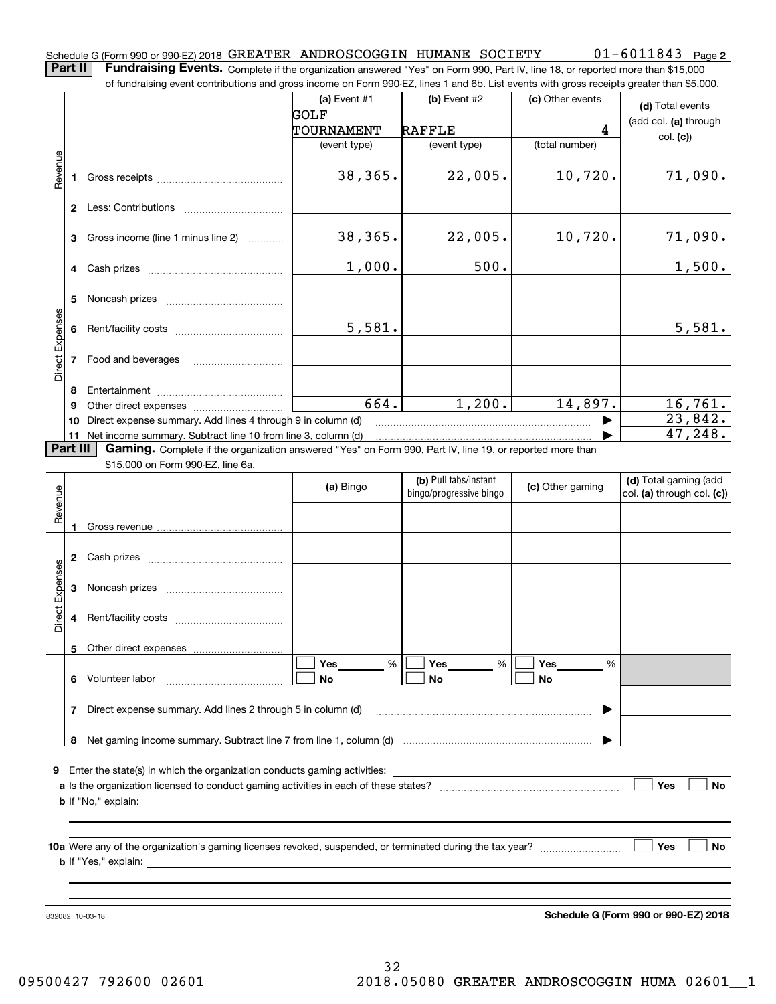Schedule G (Form 990 or 990-EZ) 2018 GREATER ANDROSCOGGIN HUMANE SOCIETY 0 I - 6 0 I I 8 4 3 Page **2** GREATER ANDROSCOGGIN HUMANE SOCIETY 01-6011843

**Part II** | Fundraising Events. Complete if the organization answered "Yes" on Form 990, Part IV, line 18, or reported more than \$15,000 of fundraising event contributions and gross income on Form 990-EZ, lines 1 and 6b. List events with gross receipts greater than \$5,000.

|                 |    | of fundraising event contributions and gross income on Form 990-EZ, lines T and 6D. List events with gross receipts greater than \$5,000.                                                                                      | (a) Event $#1$ | $(b)$ Event #2                                   | (c) Other events | (d) Total events                                    |
|-----------------|----|--------------------------------------------------------------------------------------------------------------------------------------------------------------------------------------------------------------------------------|----------------|--------------------------------------------------|------------------|-----------------------------------------------------|
|                 |    |                                                                                                                                                                                                                                | <b>GOLF</b>    |                                                  |                  | (add col. (a) through                               |
|                 |    |                                                                                                                                                                                                                                | TOURNAMENT     | <b>RAFFLE</b>                                    | 4                | col. (c)                                            |
|                 |    |                                                                                                                                                                                                                                | (event type)   | (event type)                                     | (total number)   |                                                     |
| Revenue         | 1  | Gross receipts and the state of the state of the state of the state of the state of the state of the state of the state of the state of the state of the state of the state of the state of the state of the state of the stat | 38,365.        | 22,005.                                          | 10,720.          | 71,090.                                             |
|                 |    |                                                                                                                                                                                                                                |                |                                                  |                  |                                                     |
|                 | 3  | Gross income (line 1 minus line 2)                                                                                                                                                                                             | 38,365.        | 22,005.                                          | 10,720.          | 71,090.                                             |
|                 | 4  | Cash prizes                                                                                                                                                                                                                    | 1,000.         | 500.                                             |                  | 1,500.                                              |
|                 | 5  |                                                                                                                                                                                                                                |                |                                                  |                  |                                                     |
|                 | 6  |                                                                                                                                                                                                                                | 5,581.         |                                                  |                  | 5,581.                                              |
| Direct Expenses | 7  | Food and beverages                                                                                                                                                                                                             |                |                                                  |                  |                                                     |
|                 | 8  |                                                                                                                                                                                                                                |                |                                                  |                  |                                                     |
|                 | 9  | Other direct expenses <i>manually contained</i>                                                                                                                                                                                | 664.           | 1,200.                                           | 14,897.          | 16,761.                                             |
|                 | 10 | Direct expense summary. Add lines 4 through 9 in column (d)                                                                                                                                                                    |                |                                                  |                  | 23,842.                                             |
|                 |    | 11 Net income summary. Subtract line 10 from line 3, column (d)                                                                                                                                                                |                |                                                  |                  | 47,248.                                             |
| Part III        |    | Gaming. Complete if the organization answered "Yes" on Form 990, Part IV, line 19, or reported more than<br>\$15,000 on Form 990-EZ, line 6a.                                                                                  |                |                                                  |                  |                                                     |
| Revenue         |    |                                                                                                                                                                                                                                | (a) Bingo      | (b) Pull tabs/instant<br>bingo/progressive bingo | (c) Other gaming | (d) Total gaming (add<br>col. (a) through col. (c)) |
|                 | 1  |                                                                                                                                                                                                                                |                |                                                  |                  |                                                     |
|                 | 2  |                                                                                                                                                                                                                                |                |                                                  |                  |                                                     |
| Direct Expenses | 3  |                                                                                                                                                                                                                                |                |                                                  |                  |                                                     |
|                 | 4  |                                                                                                                                                                                                                                |                |                                                  |                  |                                                     |
|                 |    | 5 Other direct expenses                                                                                                                                                                                                        |                |                                                  |                  |                                                     |
|                 |    |                                                                                                                                                                                                                                | Yes<br>%       | Yes<br>%                                         | Yes<br>%         |                                                     |
|                 | 6  | Volunteer labor                                                                                                                                                                                                                | No             | No                                               | No               |                                                     |
|                 | 7  | Direct expense summary. Add lines 2 through 5 in column (d)                                                                                                                                                                    |                |                                                  |                  |                                                     |
|                 | 8  |                                                                                                                                                                                                                                |                |                                                  |                  |                                                     |
|                 |    |                                                                                                                                                                                                                                |                |                                                  |                  |                                                     |
|                 |    | 9 Enter the state(s) in which the organization conducts gaming activities:                                                                                                                                                     |                |                                                  |                  |                                                     |
|                 |    |                                                                                                                                                                                                                                |                |                                                  |                  | Yes<br>No                                           |
|                 |    | <b>b</b> If "No," explain:                                                                                                                                                                                                     |                |                                                  |                  |                                                     |
|                 |    |                                                                                                                                                                                                                                |                |                                                  |                  |                                                     |
|                 |    |                                                                                                                                                                                                                                |                |                                                  |                  | Yes<br>No                                           |
|                 |    | <b>b</b> If "Yes," explain:                                                                                                                                                                                                    |                |                                                  |                  |                                                     |
|                 |    |                                                                                                                                                                                                                                |                |                                                  |                  |                                                     |
|                 |    | 832082 10-03-18                                                                                                                                                                                                                |                |                                                  |                  | Schedule G (Form 990 or 990-EZ) 2018                |

**Schedule G (Form 990 or 990-EZ) 2018**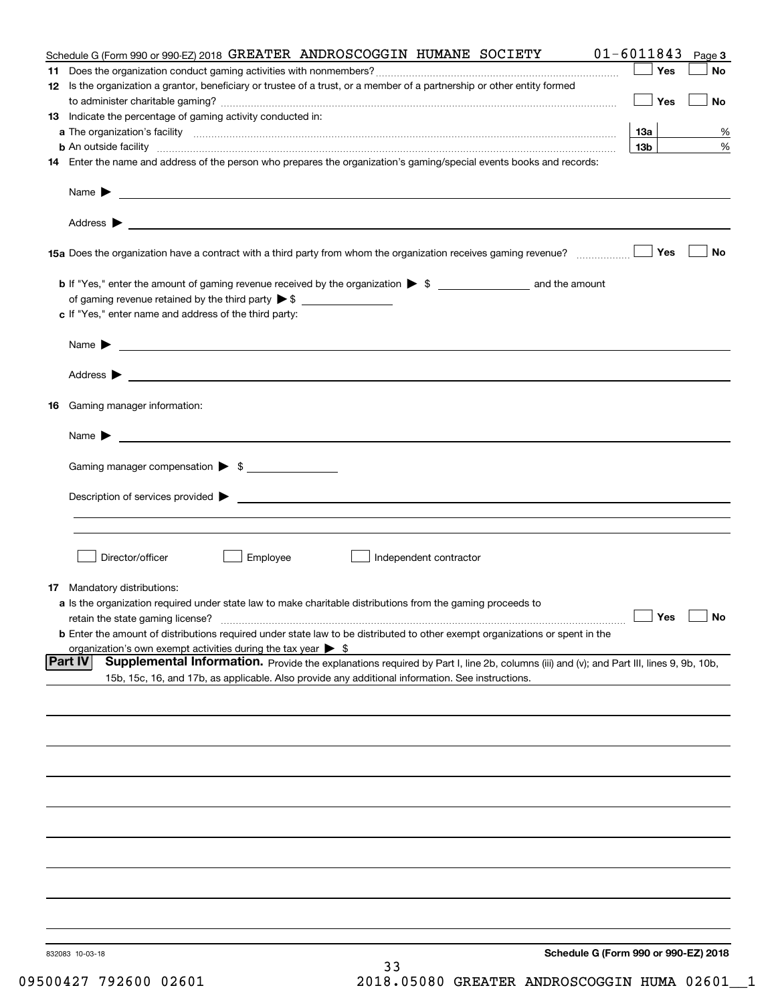|    | Schedule G (Form 990 or 990-EZ) 2018 GREATER ANDROSCOGGIN HUMANE SOCIETY                                                                                                                                            | $01 - 6011843$  | Page 3    |
|----|---------------------------------------------------------------------------------------------------------------------------------------------------------------------------------------------------------------------|-----------------|-----------|
|    |                                                                                                                                                                                                                     | Yes             | No        |
|    | 12 Is the organization a grantor, beneficiary or trustee of a trust, or a member of a partnership or other entity formed                                                                                            | Yes             | No        |
|    | 13 Indicate the percentage of gaming activity conducted in:                                                                                                                                                         |                 |           |
|    |                                                                                                                                                                                                                     | 13а             | %         |
|    |                                                                                                                                                                                                                     | 13 <sub>b</sub> | %         |
|    | 14 Enter the name and address of the person who prepares the organization's gaming/special events books and records:                                                                                                |                 |           |
|    |                                                                                                                                                                                                                     |                 |           |
|    |                                                                                                                                                                                                                     |                 |           |
|    |                                                                                                                                                                                                                     | Yes             | No        |
|    |                                                                                                                                                                                                                     |                 |           |
|    | of gaming revenue retained by the third party $\triangleright$ \$                                                                                                                                                   |                 |           |
|    | c If "Yes," enter name and address of the third party:                                                                                                                                                              |                 |           |
|    | Name $\blacktriangleright$<br><u> 1989 - Andrea Stadt Britain, amerikansk politiker (d. 1989)</u>                                                                                                                   |                 |           |
|    | Address >                                                                                                                                                                                                           |                 |           |
| 16 | Gaming manager information:                                                                                                                                                                                         |                 |           |
|    |                                                                                                                                                                                                                     |                 |           |
|    | $Name \rightarrow$                                                                                                                                                                                                  |                 |           |
|    | Gaming manager compensation > \$                                                                                                                                                                                    |                 |           |
|    |                                                                                                                                                                                                                     |                 |           |
|    |                                                                                                                                                                                                                     |                 |           |
|    |                                                                                                                                                                                                                     |                 |           |
|    | Director/officer<br>Employee<br>Independent contractor                                                                                                                                                              |                 |           |
|    | <b>17</b> Mandatory distributions:                                                                                                                                                                                  |                 |           |
|    | a Is the organization required under state law to make charitable distributions from the gaming proceeds to                                                                                                         |                 |           |
|    | retain the state gaming license?                                                                                                                                                                                    | $\Box$ Yes      | $\Box$ No |
|    | <b>b</b> Enter the amount of distributions required under state law to be distributed to other exempt organizations or spent in the<br>organization's own exempt activities during the tax year $\triangleright$ \$ |                 |           |
|    | <b>Part IV</b><br>Supplemental Information. Provide the explanations required by Part I, line 2b, columns (iii) and (v); and Part III, lines 9, 9b, 10b,                                                            |                 |           |
|    | 15b, 15c, 16, and 17b, as applicable. Also provide any additional information. See instructions.                                                                                                                    |                 |           |
|    |                                                                                                                                                                                                                     |                 |           |
|    |                                                                                                                                                                                                                     |                 |           |
|    |                                                                                                                                                                                                                     |                 |           |
|    |                                                                                                                                                                                                                     |                 |           |
|    |                                                                                                                                                                                                                     |                 |           |
|    |                                                                                                                                                                                                                     |                 |           |
|    |                                                                                                                                                                                                                     |                 |           |
|    |                                                                                                                                                                                                                     |                 |           |
|    |                                                                                                                                                                                                                     |                 |           |
|    |                                                                                                                                                                                                                     |                 |           |
|    | Schedule G (Form 990 or 990-EZ) 2018<br>832083 10-03-18<br>33                                                                                                                                                       |                 |           |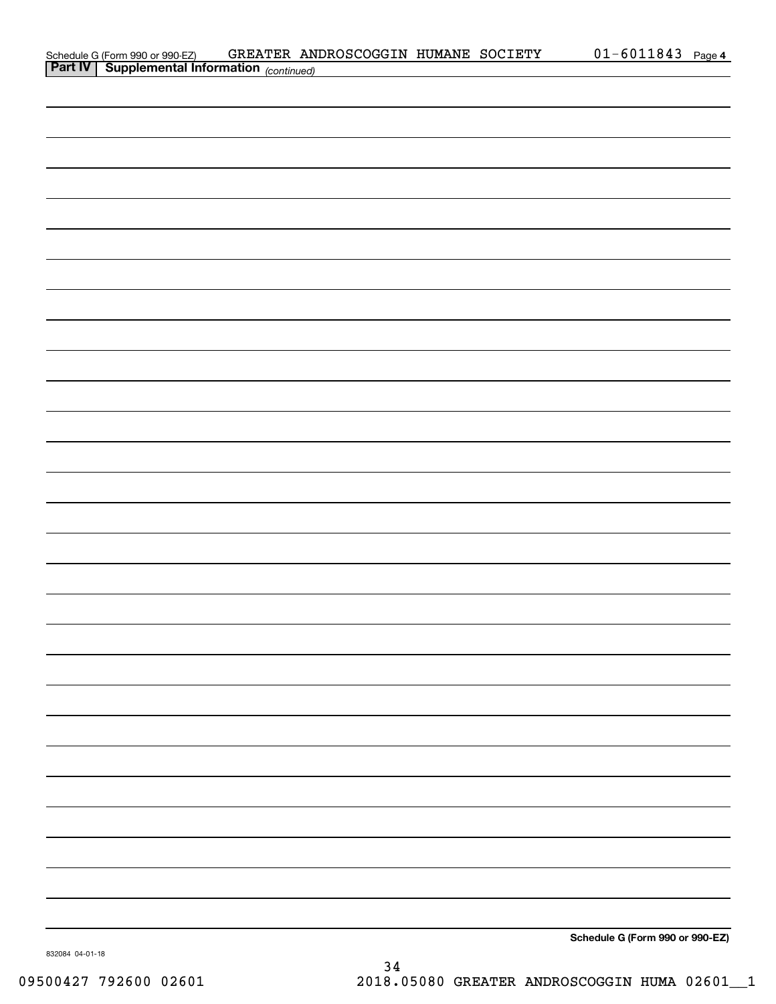|                                                                                          | GREATER ANDROSCOGGIN HUMANE SOCIETY |  | $01 - 6011843$ Page 4           |  |
|------------------------------------------------------------------------------------------|-------------------------------------|--|---------------------------------|--|
| Schedule G (Form 990 or 990-EZ) GREATER AND Part IV Supplemental Information (continued) |                                     |  |                                 |  |
|                                                                                          |                                     |  |                                 |  |
|                                                                                          |                                     |  |                                 |  |
|                                                                                          |                                     |  |                                 |  |
|                                                                                          |                                     |  |                                 |  |
|                                                                                          |                                     |  |                                 |  |
|                                                                                          |                                     |  |                                 |  |
|                                                                                          |                                     |  |                                 |  |
|                                                                                          |                                     |  |                                 |  |
|                                                                                          |                                     |  |                                 |  |
|                                                                                          |                                     |  |                                 |  |
|                                                                                          |                                     |  |                                 |  |
|                                                                                          |                                     |  |                                 |  |
|                                                                                          |                                     |  |                                 |  |
|                                                                                          |                                     |  |                                 |  |
|                                                                                          |                                     |  |                                 |  |
|                                                                                          |                                     |  |                                 |  |
|                                                                                          |                                     |  |                                 |  |
|                                                                                          |                                     |  |                                 |  |
|                                                                                          |                                     |  |                                 |  |
|                                                                                          |                                     |  |                                 |  |
|                                                                                          |                                     |  |                                 |  |
|                                                                                          |                                     |  |                                 |  |
|                                                                                          |                                     |  |                                 |  |
|                                                                                          |                                     |  |                                 |  |
|                                                                                          |                                     |  |                                 |  |
|                                                                                          |                                     |  |                                 |  |
|                                                                                          |                                     |  |                                 |  |
|                                                                                          |                                     |  |                                 |  |
|                                                                                          |                                     |  |                                 |  |
|                                                                                          |                                     |  |                                 |  |
|                                                                                          |                                     |  |                                 |  |
|                                                                                          |                                     |  |                                 |  |
|                                                                                          |                                     |  |                                 |  |
|                                                                                          |                                     |  |                                 |  |
|                                                                                          |                                     |  |                                 |  |
|                                                                                          |                                     |  |                                 |  |
|                                                                                          |                                     |  |                                 |  |
|                                                                                          |                                     |  |                                 |  |
|                                                                                          |                                     |  |                                 |  |
|                                                                                          |                                     |  |                                 |  |
|                                                                                          |                                     |  |                                 |  |
|                                                                                          |                                     |  |                                 |  |
|                                                                                          |                                     |  |                                 |  |
|                                                                                          |                                     |  |                                 |  |
|                                                                                          |                                     |  |                                 |  |
|                                                                                          |                                     |  |                                 |  |
|                                                                                          |                                     |  |                                 |  |
|                                                                                          |                                     |  |                                 |  |
|                                                                                          |                                     |  |                                 |  |
|                                                                                          |                                     |  |                                 |  |
|                                                                                          |                                     |  |                                 |  |
|                                                                                          |                                     |  |                                 |  |
|                                                                                          |                                     |  |                                 |  |
|                                                                                          |                                     |  |                                 |  |
|                                                                                          |                                     |  | Schedule G (Form 990 or 990-EZ) |  |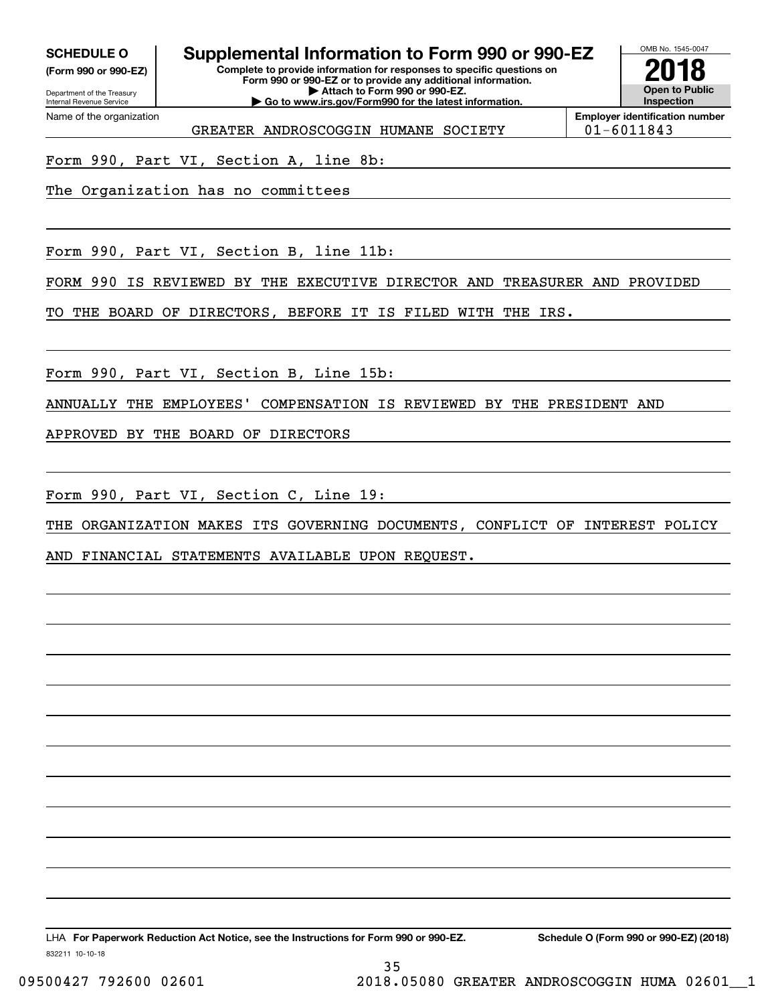**(Form 990 or 990-EZ)**

Department of the Treasury Internal Revenue Service Name of the organization

## **SCHEDULE O Supplemental Information to Form 990 or 990-EZ**

**Complete to provide information for responses to specific questions on Form 990 or 990-EZ or to provide any additional information. | Attach to Form 990 or 990-EZ. | Go to www.irs.gov/Form990 for the latest information.**



GREATER ANDROSCOGGIN HUMANE SOCIETY  $|01-6011843\rangle$ 

**Employer identification number**

Form 990, Part VI, Section A, line 8b:

The Organization has no committees

Form 990, Part VI, Section B, line 11b:

FORM 990 IS REVIEWED BY THE EXECUTIVE DIRECTOR AND TREASURER AND PROVIDED

TO THE BOARD OF DIRECTORS, BEFORE IT IS FILED WITH THE IRS.

Form 990, Part VI, Section B, Line 15b:

ANNUALLY THE EMPLOYEES' COMPENSATION IS REVIEWED BY THE PRESIDENT AND

APPROVED BY THE BOARD OF DIRECTORS

Form 990, Part VI, Section C, Line 19:

THE ORGANIZATION MAKES ITS GOVERNING DOCUMENTS, CONFLICT OF INTEREST POLICY

AND FINANCIAL STATEMENTS AVAILABLE UPON REQUEST.

832211 10-10-18 LHA For Paperwork Reduction Act Notice, see the Instructions for Form 990 or 990-EZ. Schedule O (Form 990 or 990-EZ) (2018)

35 09500427 792600 02601 2018.05080 GREATER ANDROSCOGGIN HUMA 02601\_1